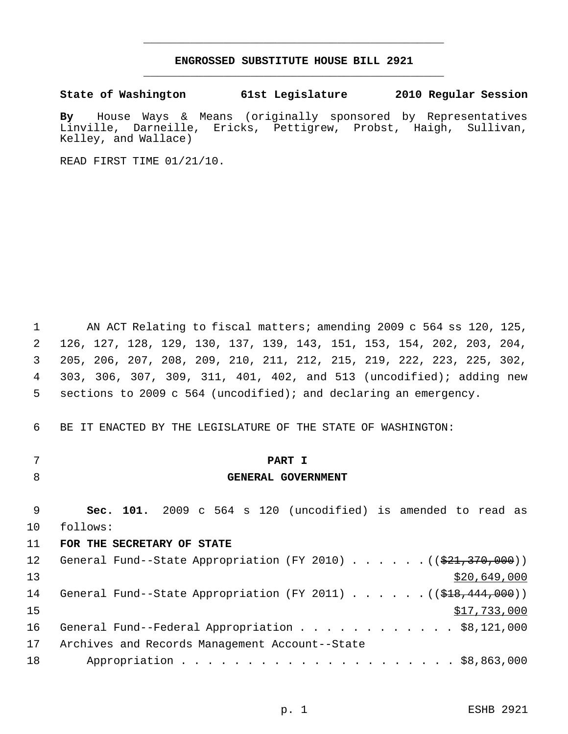### **ENGROSSED SUBSTITUTE HOUSE BILL 2921** \_\_\_\_\_\_\_\_\_\_\_\_\_\_\_\_\_\_\_\_\_\_\_\_\_\_\_\_\_\_\_\_\_\_\_\_\_\_\_\_\_\_\_\_\_

\_\_\_\_\_\_\_\_\_\_\_\_\_\_\_\_\_\_\_\_\_\_\_\_\_\_\_\_\_\_\_\_\_\_\_\_\_\_\_\_\_\_\_\_\_

**State of Washington 61st Legislature 2010 Regular Session**

**By** House Ways & Means (originally sponsored by Representatives Linville, Darneille, Ericks, Pettigrew, Probst, Haigh, Kelley, and Wallace)

READ FIRST TIME 01/21/10.

 AN ACT Relating to fiscal matters; amending 2009 c 564 ss 120, 125, 126, 127, 128, 129, 130, 137, 139, 143, 151, 153, 154, 202, 203, 204, 205, 206, 207, 208, 209, 210, 211, 212, 215, 219, 222, 223, 225, 302, 303, 306, 307, 309, 311, 401, 402, and 513 (uncodified); adding new sections to 2009 c 564 (uncodified); and declaring an emergency.

BE IT ENACTED BY THE LEGISLATURE OF THE STATE OF WASHINGTON:

- 
- 

## **PART I**

#### **GENERAL GOVERNMENT**

 **Sec. 101.** 2009 c 564 s 120 (uncodified) is amended to read as follows:

#### **FOR THE SECRETARY OF STATE**

| 12 <sup>°</sup> | General Fund--State Appropriation (FY 2010) $($ $($ $\frac{21.370}{0.000})$         |
|-----------------|-------------------------------------------------------------------------------------|
| 13              | \$20,649,000                                                                        |
| 14              | General Fund--State Appropriation (FY 2011) ( $(\frac{248}{18}, \frac{444}{100})$ ) |
| 15              | \$17,733,000                                                                        |
| 16              | General Fund--Federal Appropriation \$8,121,000                                     |
| 17              | Archives and Records Management Account--State                                      |
| 18              |                                                                                     |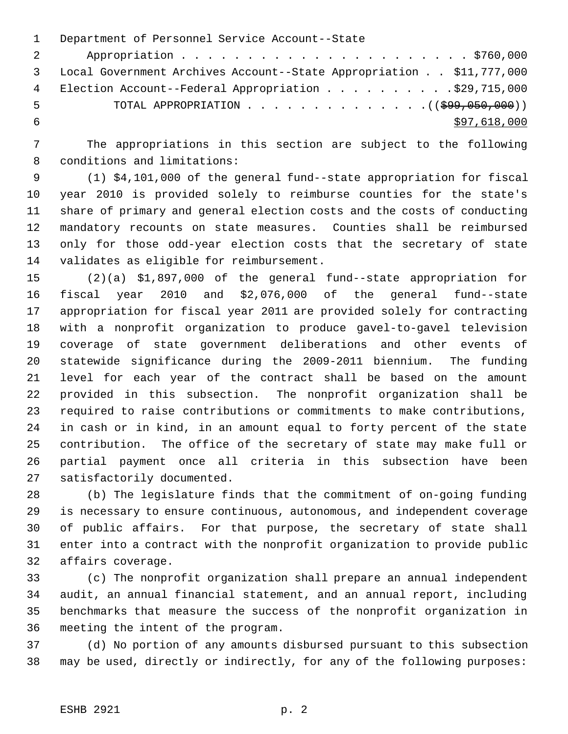Department of Personnel Service Account--State Appropriation . . . . . . . . . . . . . . . . . . . . . . \$760,000 Local Government Archives Account--State Appropriation . . \$11,777,000 4 Election Account--Federal Appropriation . . . . . . . . . . \$29,715,000 5 TOTAL APPROPRIATION . . . . . . . . . . . . . . ((\$99,050,000))  $$97,618,000$ 

 The appropriations in this section are subject to the following conditions and limitations:

 (1) \$4,101,000 of the general fund--state appropriation for fiscal year 2010 is provided solely to reimburse counties for the state's share of primary and general election costs and the costs of conducting mandatory recounts on state measures. Counties shall be reimbursed only for those odd-year election costs that the secretary of state validates as eligible for reimbursement.

 (2)(a) \$1,897,000 of the general fund--state appropriation for fiscal year 2010 and \$2,076,000 of the general fund--state appropriation for fiscal year 2011 are provided solely for contracting with a nonprofit organization to produce gavel-to-gavel television coverage of state government deliberations and other events of statewide significance during the 2009-2011 biennium. The funding level for each year of the contract shall be based on the amount provided in this subsection. The nonprofit organization shall be required to raise contributions or commitments to make contributions, in cash or in kind, in an amount equal to forty percent of the state contribution. The office of the secretary of state may make full or partial payment once all criteria in this subsection have been satisfactorily documented.

 (b) The legislature finds that the commitment of on-going funding is necessary to ensure continuous, autonomous, and independent coverage of public affairs. For that purpose, the secretary of state shall enter into a contract with the nonprofit organization to provide public affairs coverage.

 (c) The nonprofit organization shall prepare an annual independent audit, an annual financial statement, and an annual report, including benchmarks that measure the success of the nonprofit organization in meeting the intent of the program.

 (d) No portion of any amounts disbursed pursuant to this subsection may be used, directly or indirectly, for any of the following purposes: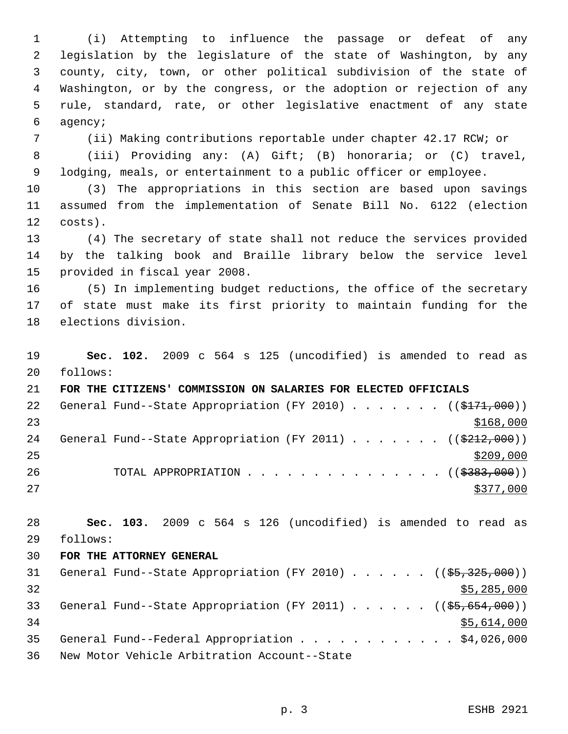(i) Attempting to influence the passage or defeat of any legislation by the legislature of the state of Washington, by any county, city, town, or other political subdivision of the state of Washington, or by the congress, or the adoption or rejection of any rule, standard, rate, or other legislative enactment of any state agency;

(ii) Making contributions reportable under chapter 42.17 RCW; or

 (iii) Providing any: (A) Gift; (B) honoraria; or (C) travel, lodging, meals, or entertainment to a public officer or employee.

 (3) The appropriations in this section are based upon savings assumed from the implementation of Senate Bill No. 6122 (election costs).

 (4) The secretary of state shall not reduce the services provided by the talking book and Braille library below the service level provided in fiscal year 2008.

 (5) In implementing budget reductions, the office of the secretary of state must make its first priority to maintain funding for the elections division.

 **Sec. 102.** 2009 c 564 s 125 (uncodified) is amended to read as follows:

 **FOR THE CITIZENS' COMMISSION ON SALARIES FOR ELECTED OFFICIALS** 22 General Fund--State Appropriation (FY 2010) . . . . . . ((\$171,000)) 24 General Fund--State Appropriation (FY 2011) . . . . . . ((\$212,000)) 26 TOTAL APPROPRIATION . . . . . . . . . . . . . . ((\$383,000)) 

 **Sec. 103.** 2009 c 564 s 126 (uncodified) is amended to read as follows:

#### **FOR THE ATTORNEY GENERAL**

| 31 |  | General Fund--State Appropriation (FY 2010) ( $(\frac{25}{325}, \frac{325}{900})$  |  |  |  |  |  |             |
|----|--|------------------------------------------------------------------------------------|--|--|--|--|--|-------------|
| 32 |  |                                                                                    |  |  |  |  |  | \$5,285,000 |
| 33 |  | General Fund--State Appropriation (FY 2011) ( $(\frac{25}{65}, \frac{654}{600})$ ) |  |  |  |  |  |             |
| 34 |  |                                                                                    |  |  |  |  |  | \$5,614,000 |
| 35 |  | General Fund--Federal Appropriation \$4,026,000                                    |  |  |  |  |  |             |
| 36 |  | New Motor Vehicle Arbitration Account--State                                       |  |  |  |  |  |             |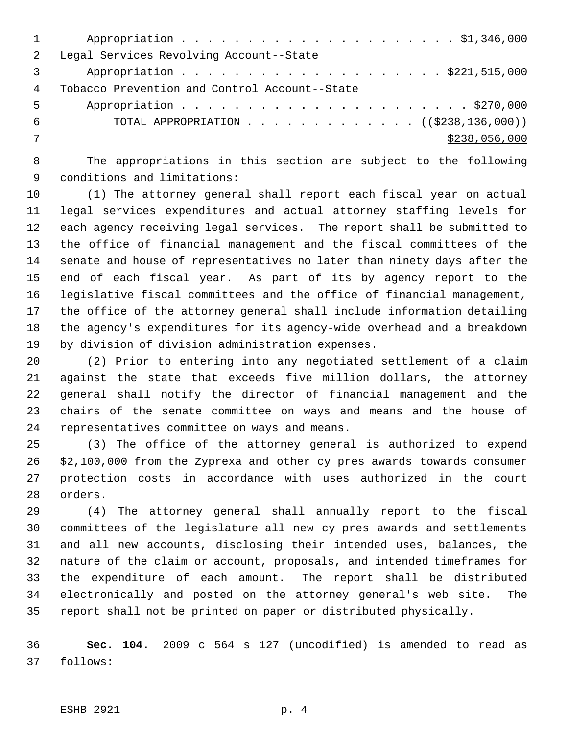| $\mathcal{L}$ | Legal Services Revolving Account--State           |
|---------------|---------------------------------------------------|
|               | Appropriation \$221,515,000                       |
| 4             | Tobacco Prevention and Control Account--State     |
| 5             |                                                   |
| 6             | TOTAL APPROPRIATION ( $(\frac{2238}{136}, 000)$ ) |
|               | \$238,056,000                                     |
|               |                                                   |

 The appropriations in this section are subject to the following conditions and limitations:

 (1) The attorney general shall report each fiscal year on actual legal services expenditures and actual attorney staffing levels for each agency receiving legal services. The report shall be submitted to the office of financial management and the fiscal committees of the senate and house of representatives no later than ninety days after the end of each fiscal year. As part of its by agency report to the legislative fiscal committees and the office of financial management, the office of the attorney general shall include information detailing the agency's expenditures for its agency-wide overhead and a breakdown by division of division administration expenses.

 (2) Prior to entering into any negotiated settlement of a claim against the state that exceeds five million dollars, the attorney general shall notify the director of financial management and the chairs of the senate committee on ways and means and the house of representatives committee on ways and means.

 (3) The office of the attorney general is authorized to expend \$2,100,000 from the Zyprexa and other cy pres awards towards consumer protection costs in accordance with uses authorized in the court orders.

 (4) The attorney general shall annually report to the fiscal committees of the legislature all new cy pres awards and settlements and all new accounts, disclosing their intended uses, balances, the nature of the claim or account, proposals, and intended timeframes for the expenditure of each amount. The report shall be distributed electronically and posted on the attorney general's web site. The report shall not be printed on paper or distributed physically.

 **Sec. 104.** 2009 c 564 s 127 (uncodified) is amended to read as follows: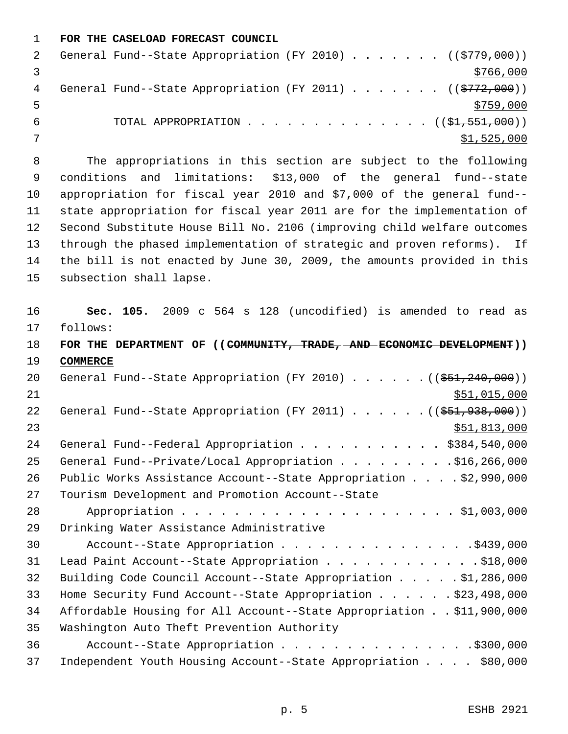**FOR THE CASELOAD FORECAST COUNCIL**

|   | General Fund--State Appropriation (FY 2010) ( $(\frac{2779}{000})$ ) |             |
|---|----------------------------------------------------------------------|-------------|
|   |                                                                      | \$766,000   |
| 4 | General Fund--State Appropriation (FY 2011) ( $(\frac{2772}{000})$   |             |
|   |                                                                      | \$759,000   |
| b | TOTAL APPROPRIATION $($ $(\frac{1}{21}, \frac{551}{1000})$           |             |
|   |                                                                      | \$1,525,000 |

 The appropriations in this section are subject to the following conditions and limitations: \$13,000 of the general fund--state appropriation for fiscal year 2010 and \$7,000 of the general fund-- state appropriation for fiscal year 2011 are for the implementation of Second Substitute House Bill No. 2106 (improving child welfare outcomes through the phased implementation of strategic and proven reforms). If the bill is not enacted by June 30, 2009, the amounts provided in this subsection shall lapse.

 **Sec. 105.** 2009 c 564 s 128 (uncodified) is amended to read as follows: **FOR THE DEPARTMENT OF ((COMMUNITY, TRADE, AND ECONOMIC DEVELOPMENT)) COMMERCE** 20 General Fund--State Appropriation (FY 2010) . . . . . . ((\$51,240,000))  $$51,015,000$ 22 General Fund--State Appropriation (FY 2011) . . . . . . ((\$51,938,000))  $\frac{$51,813,000}{51}$ 24 General Fund--Federal Appropriation . . . . . . . . . . \$384,540,000 25 General Fund--Private/Local Appropriation . . . . . . . . . \$16,266,000 Public Works Assistance Account--State Appropriation . . . . \$2,990,000 Tourism Development and Promotion Account--State Appropriation . . . . . . . . . . . . . . . . . . . . . \$1,003,000 Drinking Water Assistance Administrative 30 Account--State Appropriation . . . . . . . . . . . . . . . \$439,000 31 Lead Paint Account--State Appropriation . . . . . . . . . . . . \$18,000 Building Code Council Account--State Appropriation . . . . . \$1,286,000 Home Security Fund Account--State Appropriation . . . . . . \$23,498,000 Affordable Housing for All Account--State Appropriation . . \$11,900,000 Washington Auto Theft Prevention Authority 36 Account--State Appropriation . . . . . . . . . . . . . . . \$300,000 Independent Youth Housing Account--State Appropriation . . . . \$80,000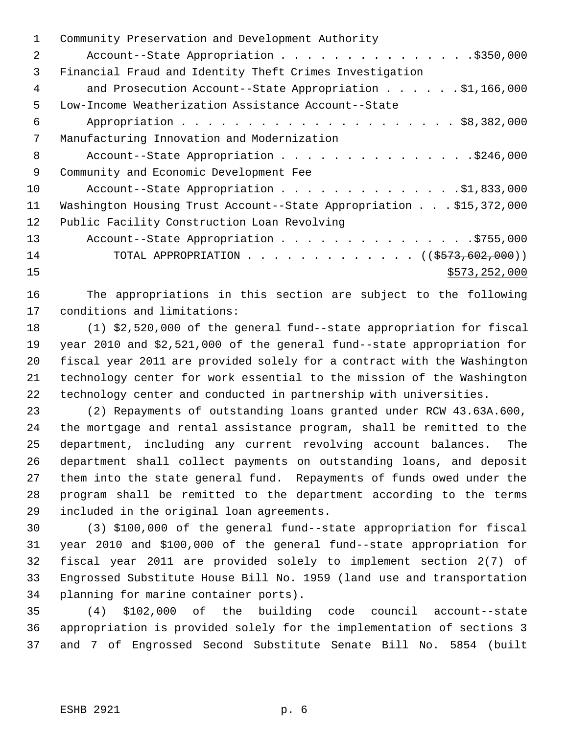| 1  | Community Preservation and Development Authority                   |
|----|--------------------------------------------------------------------|
| 2  | Account--State Appropriation \$350,000                             |
| 3  | Financial Fraud and Identity Theft Crimes Investigation            |
| 4  | and Prosecution Account--State Appropriation \$1,166,000           |
| 5  | Low-Income Weatherization Assistance Account--State                |
| 6  |                                                                    |
| 7  | Manufacturing Innovation and Modernization                         |
| 8  | Account--State Appropriation \$246,000                             |
| 9  | Community and Economic Development Fee                             |
| 10 | Account--State Appropriation \$1,833,000                           |
| 11 | Washington Housing Trust Account--State Appropriation \$15,372,000 |
| 12 | Public Facility Construction Loan Revolving                        |
| 13 |                                                                    |
| 14 | TOTAL APPROPRIATION ( $(\frac{2573}{602},000)$ )                   |
| 15 | \$573,252,000                                                      |
|    |                                                                    |

 The appropriations in this section are subject to the following conditions and limitations:

 (1) \$2,520,000 of the general fund--state appropriation for fiscal year 2010 and \$2,521,000 of the general fund--state appropriation for fiscal year 2011 are provided solely for a contract with the Washington technology center for work essential to the mission of the Washington technology center and conducted in partnership with universities.

 (2) Repayments of outstanding loans granted under RCW 43.63A.600, the mortgage and rental assistance program, shall be remitted to the department, including any current revolving account balances. The department shall collect payments on outstanding loans, and deposit them into the state general fund. Repayments of funds owed under the program shall be remitted to the department according to the terms included in the original loan agreements.

 (3) \$100,000 of the general fund--state appropriation for fiscal year 2010 and \$100,000 of the general fund--state appropriation for fiscal year 2011 are provided solely to implement section 2(7) of Engrossed Substitute House Bill No. 1959 (land use and transportation planning for marine container ports).

 (4) \$102,000 of the building code council account--state appropriation is provided solely for the implementation of sections 3 and 7 of Engrossed Second Substitute Senate Bill No. 5854 (built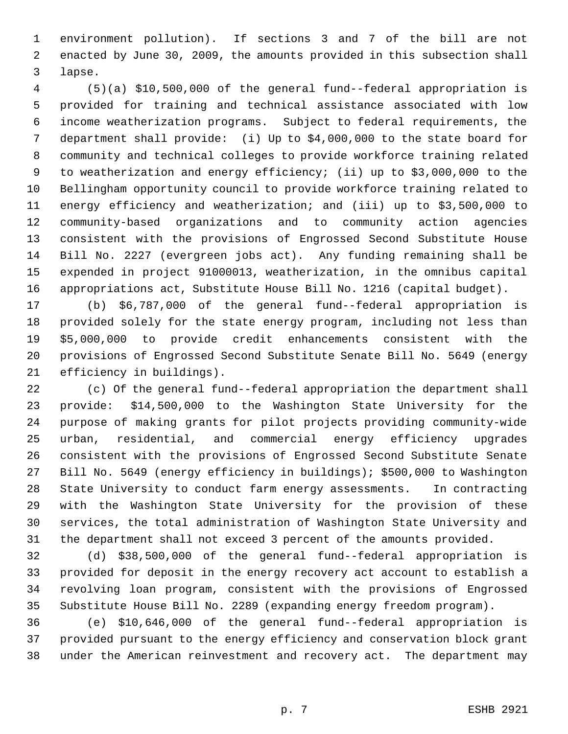environment pollution). If sections 3 and 7 of the bill are not enacted by June 30, 2009, the amounts provided in this subsection shall lapse.

 (5)(a) \$10,500,000 of the general fund--federal appropriation is provided for training and technical assistance associated with low income weatherization programs. Subject to federal requirements, the department shall provide: (i) Up to \$4,000,000 to the state board for community and technical colleges to provide workforce training related to weatherization and energy efficiency; (ii) up to \$3,000,000 to the Bellingham opportunity council to provide workforce training related to energy efficiency and weatherization; and (iii) up to \$3,500,000 to community-based organizations and to community action agencies consistent with the provisions of Engrossed Second Substitute House Bill No. 2227 (evergreen jobs act). Any funding remaining shall be expended in project 91000013, weatherization, in the omnibus capital appropriations act, Substitute House Bill No. 1216 (capital budget).

 (b) \$6,787,000 of the general fund--federal appropriation is provided solely for the state energy program, including not less than \$5,000,000 to provide credit enhancements consistent with the provisions of Engrossed Second Substitute Senate Bill No. 5649 (energy efficiency in buildings).

 (c) Of the general fund--federal appropriation the department shall provide: \$14,500,000 to the Washington State University for the purpose of making grants for pilot projects providing community-wide urban, residential, and commercial energy efficiency upgrades consistent with the provisions of Engrossed Second Substitute Senate Bill No. 5649 (energy efficiency in buildings); \$500,000 to Washington State University to conduct farm energy assessments. In contracting with the Washington State University for the provision of these services, the total administration of Washington State University and the department shall not exceed 3 percent of the amounts provided.

 (d) \$38,500,000 of the general fund--federal appropriation is provided for deposit in the energy recovery act account to establish a revolving loan program, consistent with the provisions of Engrossed Substitute House Bill No. 2289 (expanding energy freedom program).

 (e) \$10,646,000 of the general fund--federal appropriation is provided pursuant to the energy efficiency and conservation block grant under the American reinvestment and recovery act. The department may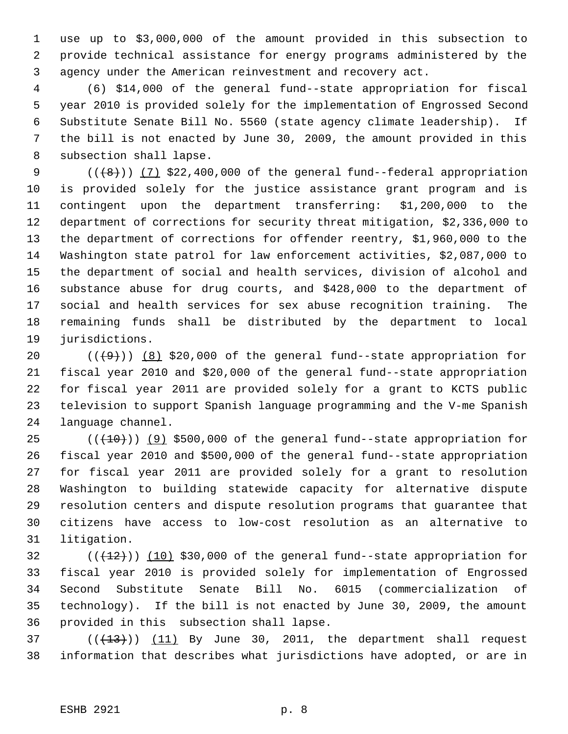use up to \$3,000,000 of the amount provided in this subsection to provide technical assistance for energy programs administered by the agency under the American reinvestment and recovery act.

 (6) \$14,000 of the general fund--state appropriation for fiscal year 2010 is provided solely for the implementation of Engrossed Second Substitute Senate Bill No. 5560 (state agency climate leadership). If the bill is not enacted by June 30, 2009, the amount provided in this subsection shall lapse.

 $((+8))$   $(7)$  \$22,400,000 of the general fund--federal appropriation is provided solely for the justice assistance grant program and is contingent upon the department transferring: \$1,200,000 to the department of corrections for security threat mitigation, \$2,336,000 to the department of corrections for offender reentry, \$1,960,000 to the Washington state patrol for law enforcement activities, \$2,087,000 to the department of social and health services, division of alcohol and substance abuse for drug courts, and \$428,000 to the department of social and health services for sex abuse recognition training. The remaining funds shall be distributed by the department to local jurisdictions.

 $((+9))$   $(8)$  \$20,000 of the general fund--state appropriation for fiscal year 2010 and \$20,000 of the general fund--state appropriation for fiscal year 2011 are provided solely for a grant to KCTS public television to support Spanish language programming and the V-me Spanish language channel.

 ( $(\overline{+10})$ )  $(9)$  \$500,000 of the general fund--state appropriation for fiscal year 2010 and \$500,000 of the general fund--state appropriation for fiscal year 2011 are provided solely for a grant to resolution Washington to building statewide capacity for alternative dispute resolution centers and dispute resolution programs that guarantee that citizens have access to low-cost resolution as an alternative to litigation.

 (( $(12)$ )) (10) \$30,000 of the general fund--state appropriation for fiscal year 2010 is provided solely for implementation of Engrossed Second Substitute Senate Bill No. 6015 (commercialization of technology). If the bill is not enacted by June 30, 2009, the amount provided in this subsection shall lapse.

37  $((+13))$   $(11)$  By June 30, 2011, the department shall request information that describes what jurisdictions have adopted, or are in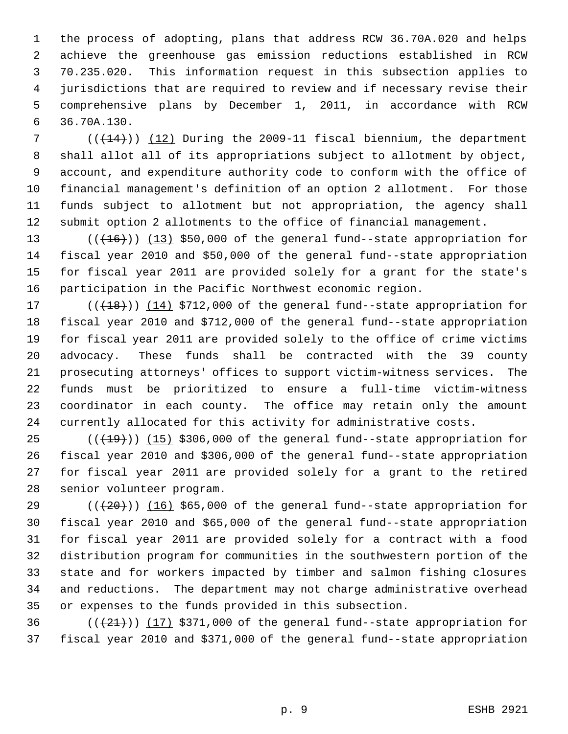the process of adopting, plans that address RCW 36.70A.020 and helps achieve the greenhouse gas emission reductions established in RCW 70.235.020. This information request in this subsection applies to jurisdictions that are required to review and if necessary revise their comprehensive plans by December 1, 2011, in accordance with RCW 36.70A.130.

 $((+14))$   $(12)$  During the 2009-11 fiscal biennium, the department shall allot all of its appropriations subject to allotment by object, account, and expenditure authority code to conform with the office of financial management's definition of an option 2 allotment. For those funds subject to allotment but not appropriation, the agency shall submit option 2 allotments to the office of financial management.

13 (( $(16)$ )) (13) \$50,000 of the general fund--state appropriation for fiscal year 2010 and \$50,000 of the general fund--state appropriation for fiscal year 2011 are provided solely for a grant for the state's participation in the Pacific Northwest economic region.

17 (( $(18)$ )) (14) \$712,000 of the general fund--state appropriation for fiscal year 2010 and \$712,000 of the general fund--state appropriation for fiscal year 2011 are provided solely to the office of crime victims advocacy. These funds shall be contracted with the 39 county prosecuting attorneys' offices to support victim-witness services. The funds must be prioritized to ensure a full-time victim-witness coordinator in each county. The office may retain only the amount currently allocated for this activity for administrative costs.

 ( $(\overline{+19})$ )  $(15)$  \$306,000 of the general fund--state appropriation for fiscal year 2010 and \$306,000 of the general fund--state appropriation for fiscal year 2011 are provided solely for a grant to the retired senior volunteer program.

 $((+20))$  (16) \$65,000 of the general fund--state appropriation for fiscal year 2010 and \$65,000 of the general fund--state appropriation for fiscal year 2011 are provided solely for a contract with a food distribution program for communities in the southwestern portion of the state and for workers impacted by timber and salmon fishing closures and reductions. The department may not charge administrative overhead or expenses to the funds provided in this subsection.

36  $((21))$  (17) \$371,000 of the general fund--state appropriation for fiscal year 2010 and \$371,000 of the general fund--state appropriation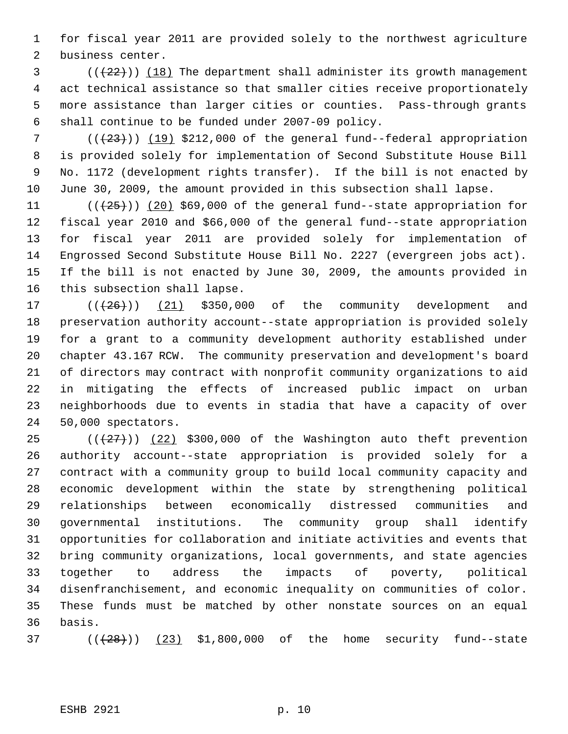for fiscal year 2011 are provided solely to the northwest agriculture business center.

 (( $(22)$ )) (18) The department shall administer its growth management act technical assistance so that smaller cities receive proportionately more assistance than larger cities or counties. Pass-through grants shall continue to be funded under 2007-09 policy.

 $((+23))$   $(19)$  \$212,000 of the general fund--federal appropriation is provided solely for implementation of Second Substitute House Bill No. 1172 (development rights transfer). If the bill is not enacted by June 30, 2009, the amount provided in this subsection shall lapse.

 $((+25))$   $(20)$  \$69,000 of the general fund--state appropriation for fiscal year 2010 and \$66,000 of the general fund--state appropriation for fiscal year 2011 are provided solely for implementation of Engrossed Second Substitute House Bill No. 2227 (evergreen jobs act). If the bill is not enacted by June 30, 2009, the amounts provided in this subsection shall lapse.

 $((+26))$   $(21)$  \$350,000 of the community development and preservation authority account--state appropriation is provided solely for a grant to a community development authority established under chapter 43.167 RCW. The community preservation and development's board of directors may contract with nonprofit community organizations to aid in mitigating the effects of increased public impact on urban neighborhoods due to events in stadia that have a capacity of over 50,000 spectators.

 $((+27))$   $(22)$  \$300,000 of the Washington auto theft prevention authority account--state appropriation is provided solely for a contract with a community group to build local community capacity and economic development within the state by strengthening political relationships between economically distressed communities and governmental institutions. The community group shall identify opportunities for collaboration and initiate activities and events that bring community organizations, local governments, and state agencies together to address the impacts of poverty, political disenfranchisement, and economic inequality on communities of color. These funds must be matched by other nonstate sources on an equal basis.

37  $((+28))$   $(23)$  \$1,800,000 of the home security fund--state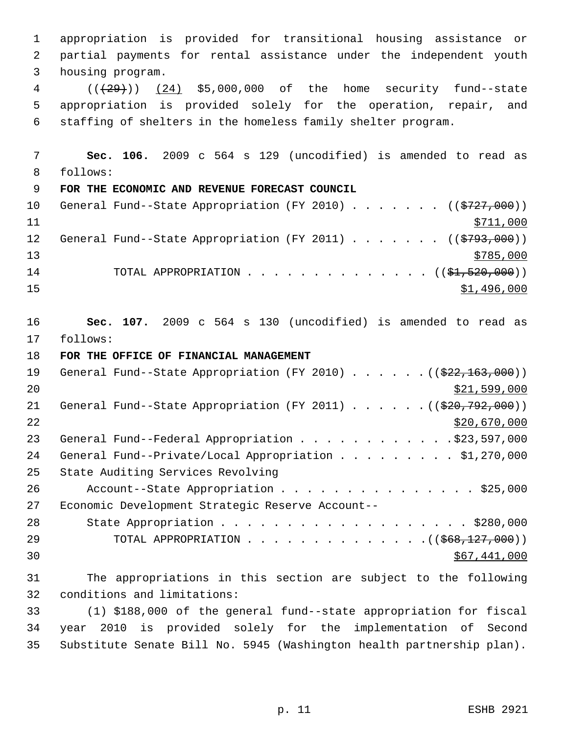appropriation is provided for transitional housing assistance or partial payments for rental assistance under the independent youth housing program. 4 (( $(29)$ )) (24) \$5,000,000 of the home security fund--state appropriation is provided solely for the operation, repair, and staffing of shelters in the homeless family shelter program. **Sec. 106.** 2009 c 564 s 129 (uncodified) is amended to read as follows: **FOR THE ECONOMIC AND REVENUE FORECAST COUNCIL** 10 General Fund--State Appropriation (FY 2010) . . . . . . ((\$727,000))  $\frac{$711,000}{}$ 12 General Fund--State Appropriation (FY 2011) . . . . . . ((\$793,000))  $\frac{13}{2785,000}$ 14 TOTAL APPROPRIATION . . . . . . . . . . . . . (  $(\frac{21}{21}, \frac{520}{100})$  )  $\frac{$1,496,000}{1}$  **Sec. 107.** 2009 c 564 s 130 (uncodified) is amended to read as follows: **FOR THE OFFICE OF FINANCIAL MANAGEMENT** 19 General Fund--State Appropriation (FY 2010) . . . . . . ((\$22,163,000)) \$21,599,000 21 General Fund--State Appropriation (FY 2011) . . . . . . ((\$20,792,000)) \$20,670,000 23 General Fund--Federal Appropriation . . . . . . . . . . . . \$23,597,000 24 General Fund--Private/Local Appropriation . . . . . . . . \$1,270,000 State Auditing Services Revolving 26 Account--State Appropriation . . . . . . . . . . . . . . \$25,000 Economic Development Strategic Reserve Account-- 28 State Appropriation . . . . . . . . . . . . . . . . . . \$280,000 29 TOTAL APPROPRIATION . . . . . . . . . . . . . . ((\$68,127,000))  $30 \,$  \$67,441,000 The appropriations in this section are subject to the following conditions and limitations: (1) \$188,000 of the general fund--state appropriation for fiscal year 2010 is provided solely for the implementation of Second Substitute Senate Bill No. 5945 (Washington health partnership plan).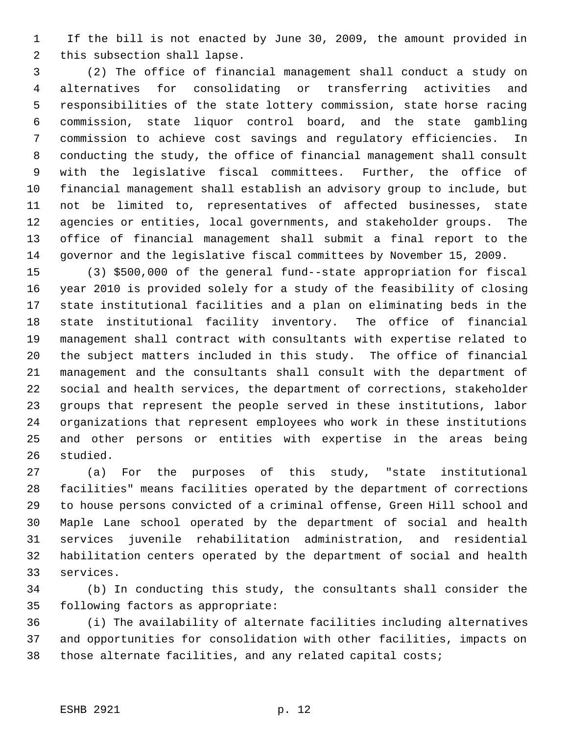1 If the bill is not enacted by June 30, 2009, the amount provided in this subsection shall lapse.

 (2) The office of financial management shall conduct a study on alternatives for consolidating or transferring activities and responsibilities of the state lottery commission, state horse racing commission, state liquor control board, and the state gambling commission to achieve cost savings and regulatory efficiencies. In conducting the study, the office of financial management shall consult with the legislative fiscal committees. Further, the office of financial management shall establish an advisory group to include, but not be limited to, representatives of affected businesses, state agencies or entities, local governments, and stakeholder groups. The office of financial management shall submit a final report to the governor and the legislative fiscal committees by November 15, 2009.

 (3) \$500,000 of the general fund--state appropriation for fiscal year 2010 is provided solely for a study of the feasibility of closing state institutional facilities and a plan on eliminating beds in the state institutional facility inventory. The office of financial management shall contract with consultants with expertise related to the subject matters included in this study. The office of financial management and the consultants shall consult with the department of social and health services, the department of corrections, stakeholder groups that represent the people served in these institutions, labor organizations that represent employees who work in these institutions and other persons or entities with expertise in the areas being studied.

 (a) For the purposes of this study, "state institutional facilities" means facilities operated by the department of corrections to house persons convicted of a criminal offense, Green Hill school and Maple Lane school operated by the department of social and health services juvenile rehabilitation administration, and residential habilitation centers operated by the department of social and health services.

 (b) In conducting this study, the consultants shall consider the following factors as appropriate:

 (i) The availability of alternate facilities including alternatives and opportunities for consolidation with other facilities, impacts on those alternate facilities, and any related capital costs;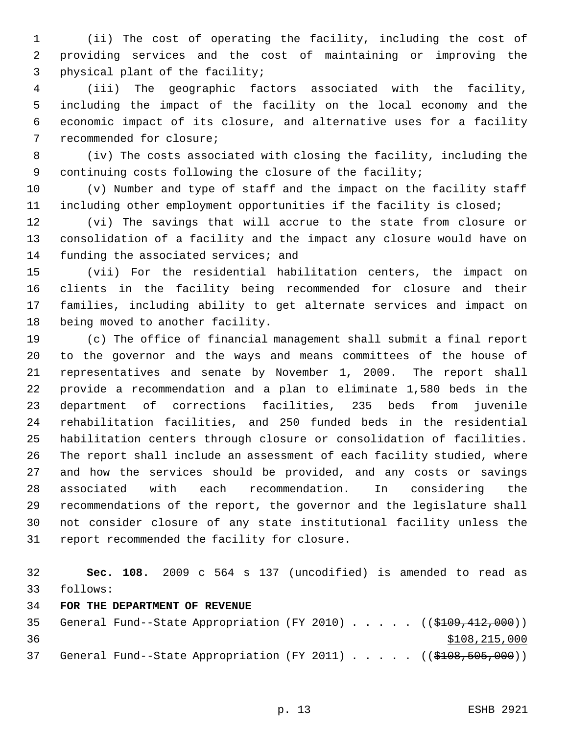(ii) The cost of operating the facility, including the cost of providing services and the cost of maintaining or improving the physical plant of the facility;

 (iii) The geographic factors associated with the facility, including the impact of the facility on the local economy and the economic impact of its closure, and alternative uses for a facility recommended for closure;

 (iv) The costs associated with closing the facility, including the continuing costs following the closure of the facility;

 (v) Number and type of staff and the impact on the facility staff including other employment opportunities if the facility is closed;

 (vi) The savings that will accrue to the state from closure or consolidation of a facility and the impact any closure would have on 14 funding the associated services; and

 (vii) For the residential habilitation centers, the impact on clients in the facility being recommended for closure and their families, including ability to get alternate services and impact on being moved to another facility.

 (c) The office of financial management shall submit a final report to the governor and the ways and means committees of the house of representatives and senate by November 1, 2009. The report shall provide a recommendation and a plan to eliminate 1,580 beds in the department of corrections facilities, 235 beds from juvenile rehabilitation facilities, and 250 funded beds in the residential habilitation centers through closure or consolidation of facilities. The report shall include an assessment of each facility studied, where and how the services should be provided, and any costs or savings associated with each recommendation. In considering the recommendations of the report, the governor and the legislature shall not consider closure of any state institutional facility unless the report recommended the facility for closure.

 **Sec. 108.** 2009 c 564 s 137 (uncodified) is amended to read as follows:

### **FOR THE DEPARTMENT OF REVENUE**

35 General Fund--State Appropriation (FY 2010) . . . . . ((\$109,412,000))  $$108,215,000$ 37 General Fund--State Appropriation (FY 2011) . . . . . ((\$108,505,000))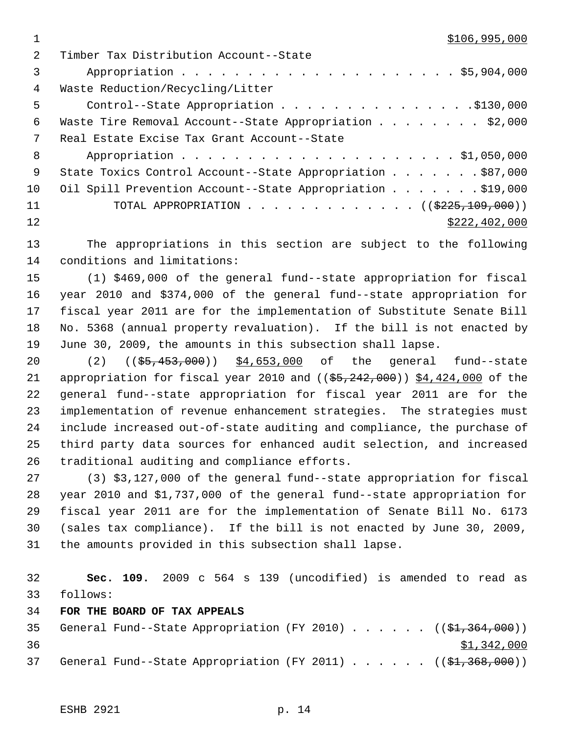$1 \quad$  \$106,995,000

| $\mathcal{L}$ | Timber Tax Distribution Account--State                     |
|---------------|------------------------------------------------------------|
| 3             |                                                            |
| 4             | Waste Reduction/Recycling/Litter                           |
| 5             | Control--State Appropriation \$130,000                     |
| 6             | Waste Tire Removal Account--State Appropriation \$2,000    |
| 7             | Real Estate Excise Tax Grant Account--State                |
| 8             |                                                            |
| - 9           | State Toxics Control Account--State Appropriation \$87,000 |
| 10            | Oil Spill Prevention Account--State Appropriation \$19,000 |
| 11            | TOTAL APPROPRIATION ( $(\frac{2225,109,000}{s})$ )         |
| 12            | \$222, 402, 000                                            |
|               |                                                            |

 The appropriations in this section are subject to the following conditions and limitations:

 (1) \$469,000 of the general fund--state appropriation for fiscal year 2010 and \$374,000 of the general fund--state appropriation for fiscal year 2011 are for the implementation of Substitute Senate Bill No. 5368 (annual property revaluation). If the bill is not enacted by June 30, 2009, the amounts in this subsection shall lapse.

20 (2) ((\$5,453,000)) \$4,653,000 of the general fund--state 21 appropriation for fiscal year 2010 and  $($   $(*5, 242, 000)$  )  $*4,424,000$  of the general fund--state appropriation for fiscal year 2011 are for the implementation of revenue enhancement strategies. The strategies must include increased out-of-state auditing and compliance, the purchase of third party data sources for enhanced audit selection, and increased traditional auditing and compliance efforts.

 (3) \$3,127,000 of the general fund--state appropriation for fiscal year 2010 and \$1,737,000 of the general fund--state appropriation for fiscal year 2011 are for the implementation of Senate Bill No. 6173 (sales tax compliance). If the bill is not enacted by June 30, 2009, the amounts provided in this subsection shall lapse.

 **Sec. 109.** 2009 c 564 s 139 (uncodified) is amended to read as follows:

**FOR THE BOARD OF TAX APPEALS**

35 General Fund--State Appropriation (FY 2010)  $\ldots$  . . . . ((\$1,364,000))  $\frac{$1,342,000}{9}$ 37 General Fund--State Appropriation (FY 2011)  $\ldots$  . . . . (( $\frac{2}{31}$ , 368, 000))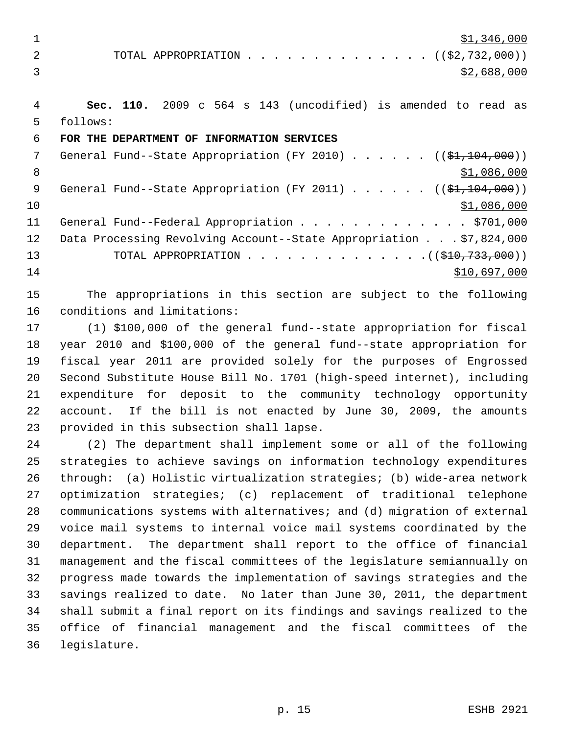1  $\frac{$1,346,000}{ }$ 

2 TOTAL APPROPRIATION . . . . . . . . . . . . . . ((\$2,732,000))  $3 \times 2,688,000$ 

 **Sec. 110.** 2009 c 564 s 143 (uncodified) is amended to read as follows:

## **FOR THE DEPARTMENT OF INFORMATION SERVICES**

7 General Fund--State Appropriation (FY 2010) . . . . . . ((\$1,104,000)) 8  $\text{S1,086,000}$ 9 General Fund--State Appropriation (FY 2011) . . . . . . ((\$1,104,000)) \$1,086,000 11 General Fund--Federal Appropriation . . . . . . . . . . . . . \$701,000 Data Processing Revolving Account--State Appropriation . . . \$7,824,000 13 TOTAL APPROPRIATION . . . . . . . . . . . . . ((<del>\$10,733,000</del>)) \$10,697,000

 The appropriations in this section are subject to the following conditions and limitations:

 (1) \$100,000 of the general fund--state appropriation for fiscal year 2010 and \$100,000 of the general fund--state appropriation for fiscal year 2011 are provided solely for the purposes of Engrossed Second Substitute House Bill No. 1701 (high-speed internet), including expenditure for deposit to the community technology opportunity account. If the bill is not enacted by June 30, 2009, the amounts provided in this subsection shall lapse.

 (2) The department shall implement some or all of the following strategies to achieve savings on information technology expenditures through: (a) Holistic virtualization strategies; (b) wide-area network optimization strategies; (c) replacement of traditional telephone communications systems with alternatives; and (d) migration of external voice mail systems to internal voice mail systems coordinated by the department. The department shall report to the office of financial management and the fiscal committees of the legislature semiannually on progress made towards the implementation of savings strategies and the savings realized to date. No later than June 30, 2011, the department shall submit a final report on its findings and savings realized to the office of financial management and the fiscal committees of the legislature.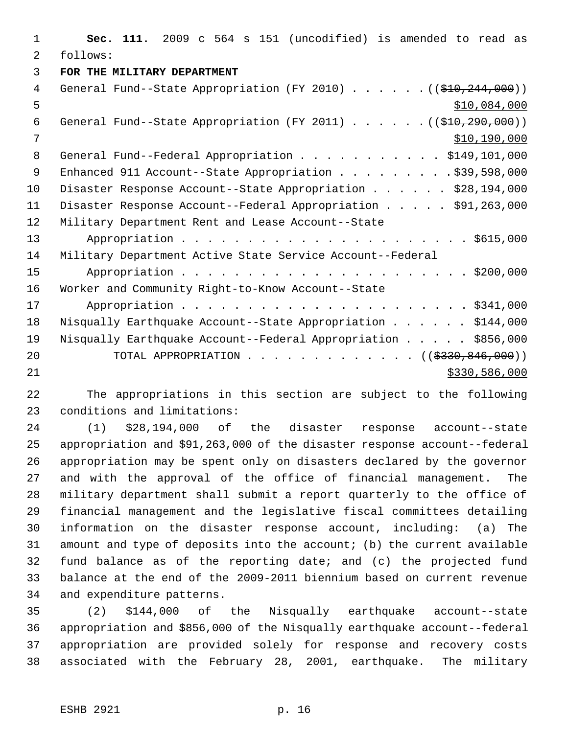**Sec. 111.** 2009 c 564 s 151 (uncodified) is amended to read as follows: **FOR THE MILITARY DEPARTMENT** 4 General Fund--State Appropriation (FY 2010) . . . . . . ((\$10,244,000))  $5 - 5$   $5 - 60$ 6 General Fund--State Appropriation (FY 2011) . . . . . . ((\$10,290,000)) \$10,190,000 8 General Fund--Federal Appropriation . . . . . . . . . . \$149,101,000 9 Enhanced 911 Account--State Appropriation . . . . . . . . \$39,598,000 10 Disaster Response Account--State Appropriation . . . . . \$28,194,000 Disaster Response Account--Federal Appropriation . . . . . \$91,263,000 Military Department Rent and Lease Account--State Appropriation . . . . . . . . . . . . . . . . . . . . . . \$615,000 Military Department Active State Service Account--Federal Appropriation . . . . . . . . . . . . . . . . . . . . . . \$200,000 Worker and Community Right-to-Know Account--State Appropriation . . . . . . . . . . . . . . . . . . . . . . \$341,000 Nisqually Earthquake Account--State Appropriation . . . . . . \$144,000 Nisqually Earthquake Account--Federal Appropriation . . . . . \$856,000 20 TOTAL APPROPRIATION . . . . . . . . . . . . ((\$330,846,000)) \$330,586,000

 The appropriations in this section are subject to the following conditions and limitations:

 (1) \$28,194,000 of the disaster response account--state appropriation and \$91,263,000 of the disaster response account--federal appropriation may be spent only on disasters declared by the governor and with the approval of the office of financial management. The military department shall submit a report quarterly to the office of financial management and the legislative fiscal committees detailing information on the disaster response account, including: (a) The amount and type of deposits into the account; (b) the current available fund balance as of the reporting date; and (c) the projected fund balance at the end of the 2009-2011 biennium based on current revenue and expenditure patterns.

 (2) \$144,000 of the Nisqually earthquake account--state appropriation and \$856,000 of the Nisqually earthquake account--federal appropriation are provided solely for response and recovery costs associated with the February 28, 2001, earthquake. The military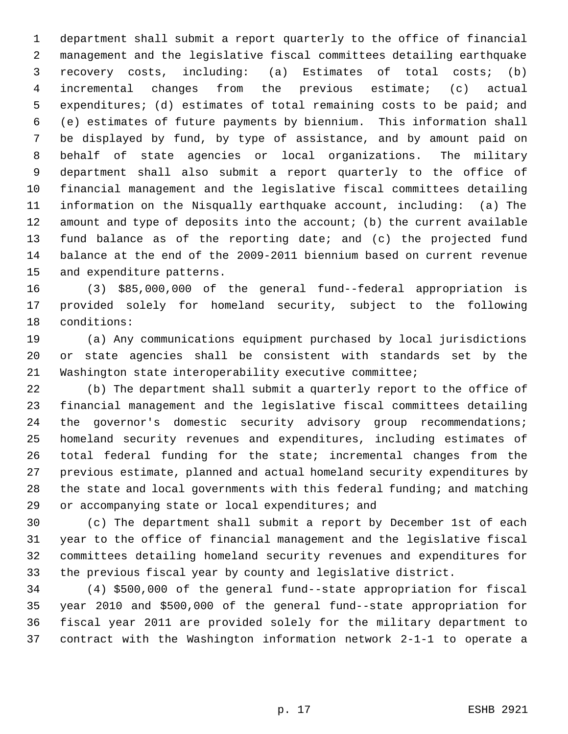department shall submit a report quarterly to the office of financial management and the legislative fiscal committees detailing earthquake recovery costs, including: (a) Estimates of total costs; (b) incremental changes from the previous estimate; (c) actual expenditures; (d) estimates of total remaining costs to be paid; and (e) estimates of future payments by biennium. This information shall be displayed by fund, by type of assistance, and by amount paid on behalf of state agencies or local organizations. The military department shall also submit a report quarterly to the office of financial management and the legislative fiscal committees detailing information on the Nisqually earthquake account, including: (a) The amount and type of deposits into the account; (b) the current available fund balance as of the reporting date; and (c) the projected fund balance at the end of the 2009-2011 biennium based on current revenue and expenditure patterns.

 (3) \$85,000,000 of the general fund--federal appropriation is provided solely for homeland security, subject to the following conditions:

 (a) Any communications equipment purchased by local jurisdictions or state agencies shall be consistent with standards set by the Washington state interoperability executive committee;

 (b) The department shall submit a quarterly report to the office of financial management and the legislative fiscal committees detailing 24 the governor's domestic security advisory group recommendations; homeland security revenues and expenditures, including estimates of total federal funding for the state; incremental changes from the previous estimate, planned and actual homeland security expenditures by the state and local governments with this federal funding; and matching or accompanying state or local expenditures; and

 (c) The department shall submit a report by December 1st of each year to the office of financial management and the legislative fiscal committees detailing homeland security revenues and expenditures for the previous fiscal year by county and legislative district.

 (4) \$500,000 of the general fund--state appropriation for fiscal year 2010 and \$500,000 of the general fund--state appropriation for fiscal year 2011 are provided solely for the military department to contract with the Washington information network 2-1-1 to operate a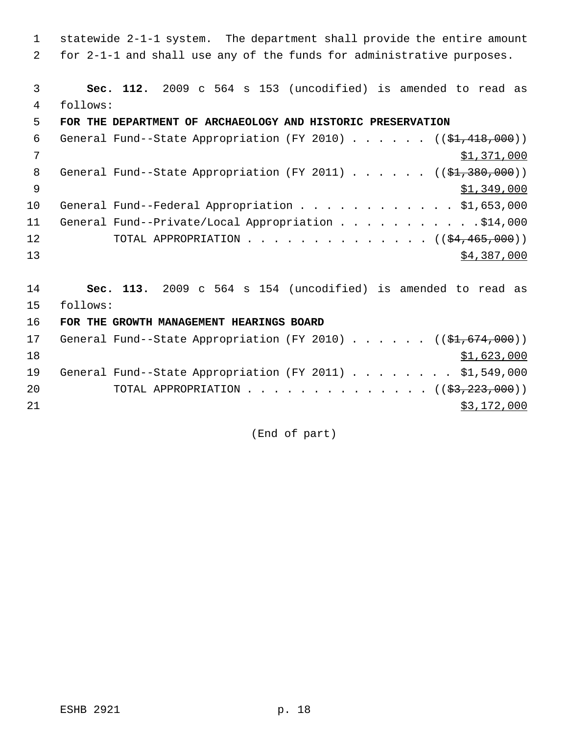1 statewide 2-1-1 system. The department shall provide the entire amount 2 for 2-1-1 and shall use any of the funds for administrative purposes.

 3 **Sec. 112.** 2009 c 564 s 153 (uncodified) is amended to read as 4 follows:

### 5 **FOR THE DEPARTMENT OF ARCHAEOLOGY AND HISTORIC PRESERVATION**

| 6            | General Fund--State Appropriation (FY 2010) $($ $($ \$1,418,000)) |
|--------------|-------------------------------------------------------------------|
| 7            | \$1,371,000                                                       |
| - 8          | General Fund--State Appropriation (FY 2011) $($ $($ \$1,380,000)) |
| <sup>o</sup> | \$1,349,000                                                       |
| 10           | General Fund--Federal Appropriation \$1,653,000                   |
| 11           | General Fund--Private/Local Appropriation \$14,000                |
| 12           | TOTAL APPROPRIATION $($ $($ \$4,465,000) $)$                      |
| 13           | \$4,387,000                                                       |

14 **Sec. 113.** 2009 c 564 s 154 (uncodified) is amended to read as 15 follows:

16 **FOR THE GROWTH MANAGEMENT HEARINGS BOARD**

| 17 |  | General Fund--State Appropriation (FY 2010) $($ $($ \$1,674,000)) |  |  |  |  |  |             |
|----|--|-------------------------------------------------------------------|--|--|--|--|--|-------------|
| 18 |  |                                                                   |  |  |  |  |  | \$1,623,000 |
| 19 |  | General Fund--State Appropriation (FY 2011) \$1,549,000           |  |  |  |  |  |             |
| 20 |  | TOTAL APPROPRIATION $($ $(\frac{23}{223}, \frac{223}{100})$       |  |  |  |  |  |             |
| 21 |  |                                                                   |  |  |  |  |  | \$3,172,000 |

(End of part)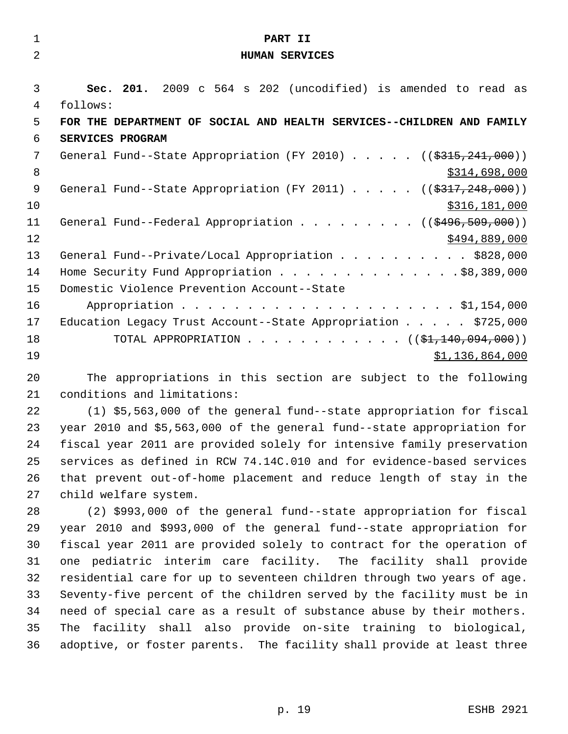| $\mathbf{1}$   | PART II                                                                                                             |
|----------------|---------------------------------------------------------------------------------------------------------------------|
| 2              | <b>HUMAN SERVICES</b>                                                                                               |
|                |                                                                                                                     |
| 3              | Sec. 201. 2009 c 564 s 202 (uncodified) is amended to read as                                                       |
| 4              | follows:                                                                                                            |
| 5              | FOR THE DEPARTMENT OF SOCIAL AND HEALTH SERVICES--CHILDREN AND FAMILY                                               |
| 6              | SERVICES PROGRAM                                                                                                    |
| 7              | General Fund--State Appropriation (FY 2010) $($ $($ \$315,241,000))                                                 |
| 8              | \$314,698,000                                                                                                       |
| $\overline{9}$ | General Fund--State Appropriation (FY 2011) $($ $($ \$317,248,000))                                                 |
| 10             | \$316,181,000                                                                                                       |
| 11             | General Fund--Federal Appropriation ( $(\frac{2496}{509}, \frac{509}{100})$ )                                       |
| 12             | \$494,889,000                                                                                                       |
| 13             | General Fund--Private/Local Appropriation \$828,000                                                                 |
| 14             | Home Security Fund Appropriation \$8,389,000                                                                        |
| 15             | Domestic Violence Prevention Account--State                                                                         |
| 16             |                                                                                                                     |
| 17             | Education Legacy Trust Account--State Appropriation \$725,000                                                       |
| 18             | TOTAL APPROPRIATION ( $(\frac{1}{2}, 140, 094, 000)$ )                                                              |
| 19             | \$1,136,864,000                                                                                                     |
| $\cap$         | no de la constitución de la constitución de la constitución de la constitución de la constitución de la constitució |

 The appropriations in this section are subject to the following conditions and limitations:

 (1) \$5,563,000 of the general fund--state appropriation for fiscal year 2010 and \$5,563,000 of the general fund--state appropriation for fiscal year 2011 are provided solely for intensive family preservation services as defined in RCW 74.14C.010 and for evidence-based services that prevent out-of-home placement and reduce length of stay in the child welfare system.

 (2) \$993,000 of the general fund--state appropriation for fiscal year 2010 and \$993,000 of the general fund--state appropriation for fiscal year 2011 are provided solely to contract for the operation of one pediatric interim care facility. The facility shall provide residential care for up to seventeen children through two years of age. Seventy-five percent of the children served by the facility must be in need of special care as a result of substance abuse by their mothers. The facility shall also provide on-site training to biological, adoptive, or foster parents. The facility shall provide at least three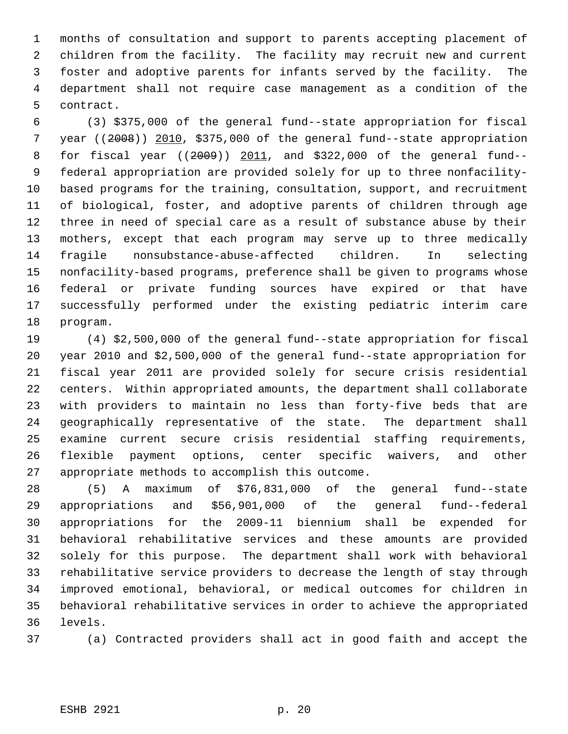months of consultation and support to parents accepting placement of children from the facility. The facility may recruit new and current foster and adoptive parents for infants served by the facility. The department shall not require case management as a condition of the contract.

 (3) \$375,000 of the general fund--state appropriation for fiscal year ((2008)) 2010, \$375,000 of the general fund--state appropriation for fiscal year ((2009)) 2011, and \$322,000 of the general fund-- federal appropriation are provided solely for up to three nonfacility- based programs for the training, consultation, support, and recruitment of biological, foster, and adoptive parents of children through age three in need of special care as a result of substance abuse by their mothers, except that each program may serve up to three medically fragile nonsubstance-abuse-affected children. In selecting nonfacility-based programs, preference shall be given to programs whose federal or private funding sources have expired or that have successfully performed under the existing pediatric interim care program.

 (4) \$2,500,000 of the general fund--state appropriation for fiscal year 2010 and \$2,500,000 of the general fund--state appropriation for fiscal year 2011 are provided solely for secure crisis residential centers. Within appropriated amounts, the department shall collaborate with providers to maintain no less than forty-five beds that are geographically representative of the state. The department shall examine current secure crisis residential staffing requirements, flexible payment options, center specific waivers, and other appropriate methods to accomplish this outcome.

 (5) A maximum of \$76,831,000 of the general fund--state appropriations and \$56,901,000 of the general fund--federal appropriations for the 2009-11 biennium shall be expended for behavioral rehabilitative services and these amounts are provided solely for this purpose. The department shall work with behavioral rehabilitative service providers to decrease the length of stay through improved emotional, behavioral, or medical outcomes for children in behavioral rehabilitative services in order to achieve the appropriated levels.

(a) Contracted providers shall act in good faith and accept the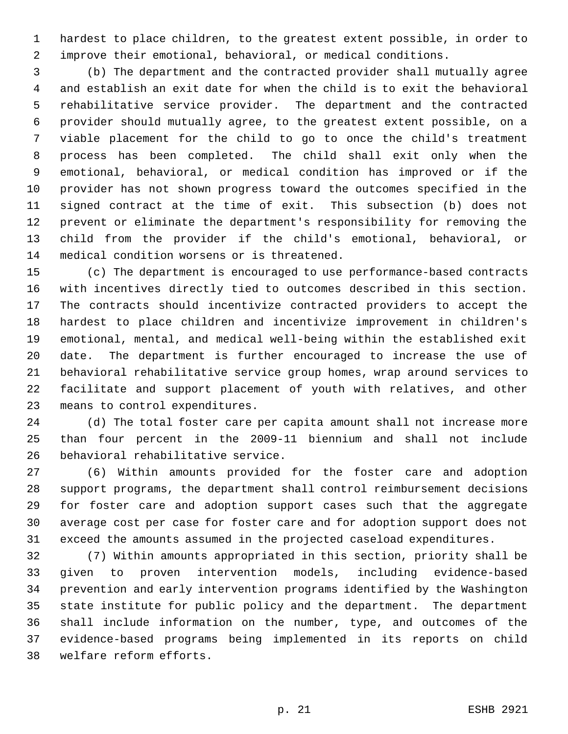hardest to place children, to the greatest extent possible, in order to improve their emotional, behavioral, or medical conditions.

 (b) The department and the contracted provider shall mutually agree and establish an exit date for when the child is to exit the behavioral rehabilitative service provider. The department and the contracted provider should mutually agree, to the greatest extent possible, on a viable placement for the child to go to once the child's treatment process has been completed. The child shall exit only when the emotional, behavioral, or medical condition has improved or if the provider has not shown progress toward the outcomes specified in the signed contract at the time of exit. This subsection (b) does not prevent or eliminate the department's responsibility for removing the child from the provider if the child's emotional, behavioral, or medical condition worsens or is threatened.

 (c) The department is encouraged to use performance-based contracts with incentives directly tied to outcomes described in this section. The contracts should incentivize contracted providers to accept the hardest to place children and incentivize improvement in children's emotional, mental, and medical well-being within the established exit date. The department is further encouraged to increase the use of behavioral rehabilitative service group homes, wrap around services to facilitate and support placement of youth with relatives, and other means to control expenditures.

 (d) The total foster care per capita amount shall not increase more than four percent in the 2009-11 biennium and shall not include behavioral rehabilitative service.

 (6) Within amounts provided for the foster care and adoption support programs, the department shall control reimbursement decisions for foster care and adoption support cases such that the aggregate average cost per case for foster care and for adoption support does not exceed the amounts assumed in the projected caseload expenditures.

 (7) Within amounts appropriated in this section, priority shall be given to proven intervention models, including evidence-based prevention and early intervention programs identified by the Washington state institute for public policy and the department. The department shall include information on the number, type, and outcomes of the evidence-based programs being implemented in its reports on child welfare reform efforts.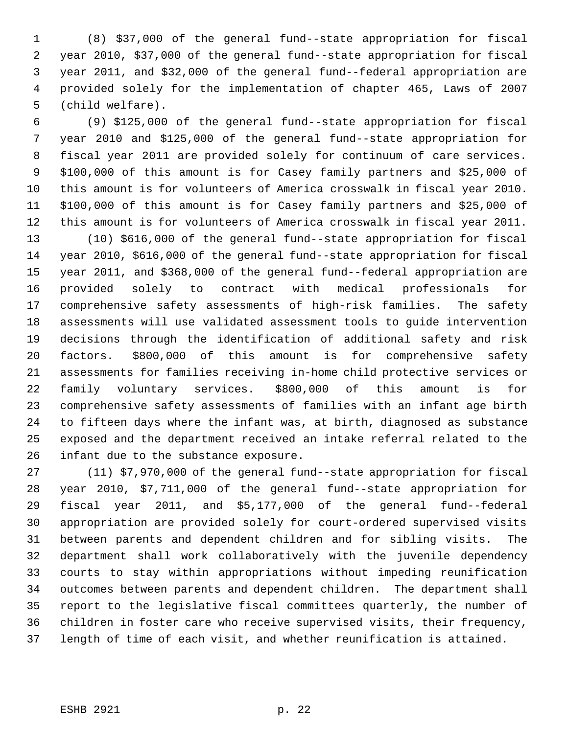(8) \$37,000 of the general fund--state appropriation for fiscal year 2010, \$37,000 of the general fund--state appropriation for fiscal year 2011, and \$32,000 of the general fund--federal appropriation are provided solely for the implementation of chapter 465, Laws of 2007 (child welfare).

 (9) \$125,000 of the general fund--state appropriation for fiscal year 2010 and \$125,000 of the general fund--state appropriation for fiscal year 2011 are provided solely for continuum of care services. \$100,000 of this amount is for Casey family partners and \$25,000 of this amount is for volunteers of America crosswalk in fiscal year 2010. \$100,000 of this amount is for Casey family partners and \$25,000 of this amount is for volunteers of America crosswalk in fiscal year 2011.

 (10) \$616,000 of the general fund--state appropriation for fiscal year 2010, \$616,000 of the general fund--state appropriation for fiscal year 2011, and \$368,000 of the general fund--federal appropriation are provided solely to contract with medical professionals for comprehensive safety assessments of high-risk families. The safety assessments will use validated assessment tools to guide intervention decisions through the identification of additional safety and risk factors. \$800,000 of this amount is for comprehensive safety assessments for families receiving in-home child protective services or family voluntary services. \$800,000 of this amount is for comprehensive safety assessments of families with an infant age birth to fifteen days where the infant was, at birth, diagnosed as substance exposed and the department received an intake referral related to the infant due to the substance exposure.

 (11) \$7,970,000 of the general fund--state appropriation for fiscal year 2010, \$7,711,000 of the general fund--state appropriation for fiscal year 2011, and \$5,177,000 of the general fund--federal appropriation are provided solely for court-ordered supervised visits between parents and dependent children and for sibling visits. The department shall work collaboratively with the juvenile dependency courts to stay within appropriations without impeding reunification outcomes between parents and dependent children. The department shall report to the legislative fiscal committees quarterly, the number of children in foster care who receive supervised visits, their frequency, length of time of each visit, and whether reunification is attained.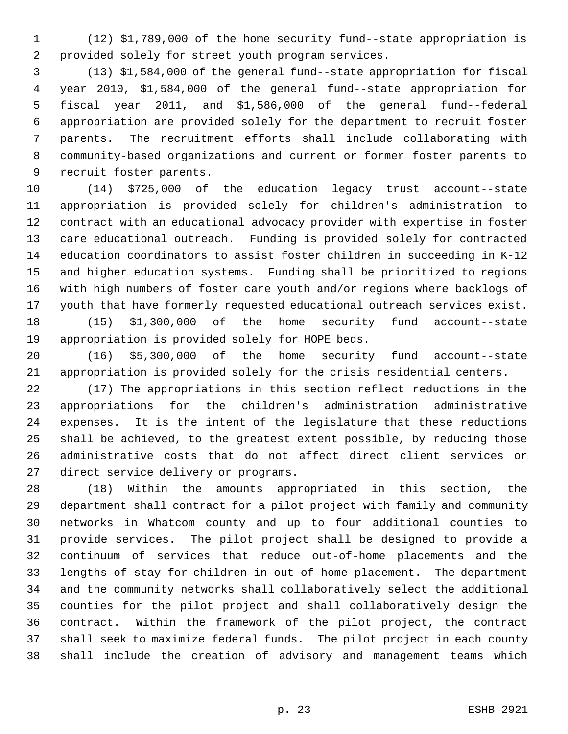(12) \$1,789,000 of the home security fund--state appropriation is provided solely for street youth program services.

 (13) \$1,584,000 of the general fund--state appropriation for fiscal year 2010, \$1,584,000 of the general fund--state appropriation for fiscal year 2011, and \$1,586,000 of the general fund--federal appropriation are provided solely for the department to recruit foster parents. The recruitment efforts shall include collaborating with community-based organizations and current or former foster parents to recruit foster parents.

 (14) \$725,000 of the education legacy trust account--state appropriation is provided solely for children's administration to contract with an educational advocacy provider with expertise in foster care educational outreach. Funding is provided solely for contracted education coordinators to assist foster children in succeeding in K-12 and higher education systems. Funding shall be prioritized to regions with high numbers of foster care youth and/or regions where backlogs of youth that have formerly requested educational outreach services exist. (15) \$1,300,000 of the home security fund account--state

appropriation is provided solely for HOPE beds.

 (16) \$5,300,000 of the home security fund account--state appropriation is provided solely for the crisis residential centers.

 (17) The appropriations in this section reflect reductions in the appropriations for the children's administration administrative expenses. It is the intent of the legislature that these reductions shall be achieved, to the greatest extent possible, by reducing those administrative costs that do not affect direct client services or direct service delivery or programs.

 (18) Within the amounts appropriated in this section, the department shall contract for a pilot project with family and community networks in Whatcom county and up to four additional counties to provide services. The pilot project shall be designed to provide a continuum of services that reduce out-of-home placements and the lengths of stay for children in out-of-home placement. The department and the community networks shall collaboratively select the additional counties for the pilot project and shall collaboratively design the contract. Within the framework of the pilot project, the contract shall seek to maximize federal funds. The pilot project in each county shall include the creation of advisory and management teams which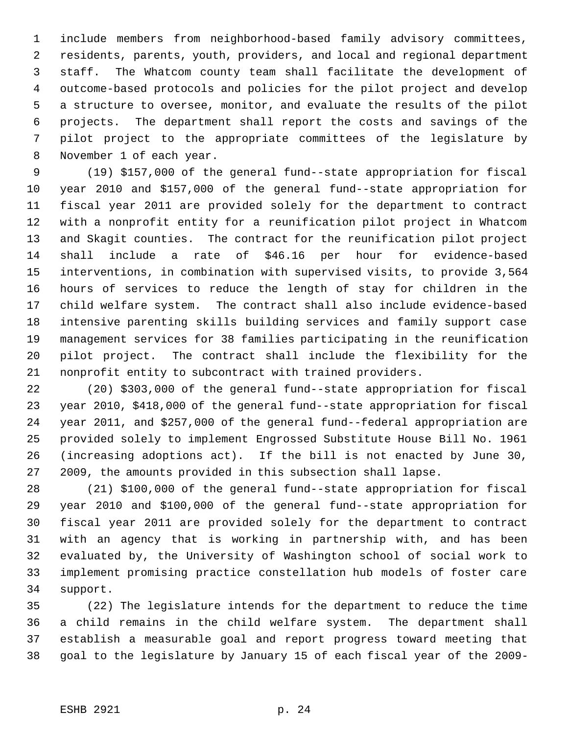include members from neighborhood-based family advisory committees, residents, parents, youth, providers, and local and regional department staff. The Whatcom county team shall facilitate the development of outcome-based protocols and policies for the pilot project and develop a structure to oversee, monitor, and evaluate the results of the pilot projects. The department shall report the costs and savings of the pilot project to the appropriate committees of the legislature by November 1 of each year.

 (19) \$157,000 of the general fund--state appropriation for fiscal year 2010 and \$157,000 of the general fund--state appropriation for fiscal year 2011 are provided solely for the department to contract with a nonprofit entity for a reunification pilot project in Whatcom and Skagit counties. The contract for the reunification pilot project shall include a rate of \$46.16 per hour for evidence-based interventions, in combination with supervised visits, to provide 3,564 hours of services to reduce the length of stay for children in the child welfare system. The contract shall also include evidence-based intensive parenting skills building services and family support case management services for 38 families participating in the reunification pilot project. The contract shall include the flexibility for the nonprofit entity to subcontract with trained providers.

 (20) \$303,000 of the general fund--state appropriation for fiscal year 2010, \$418,000 of the general fund--state appropriation for fiscal year 2011, and \$257,000 of the general fund--federal appropriation are provided solely to implement Engrossed Substitute House Bill No. 1961 (increasing adoptions act). If the bill is not enacted by June 30, 2009, the amounts provided in this subsection shall lapse.

 (21) \$100,000 of the general fund--state appropriation for fiscal year 2010 and \$100,000 of the general fund--state appropriation for fiscal year 2011 are provided solely for the department to contract with an agency that is working in partnership with, and has been evaluated by, the University of Washington school of social work to implement promising practice constellation hub models of foster care support.

 (22) The legislature intends for the department to reduce the time a child remains in the child welfare system. The department shall establish a measurable goal and report progress toward meeting that goal to the legislature by January 15 of each fiscal year of the 2009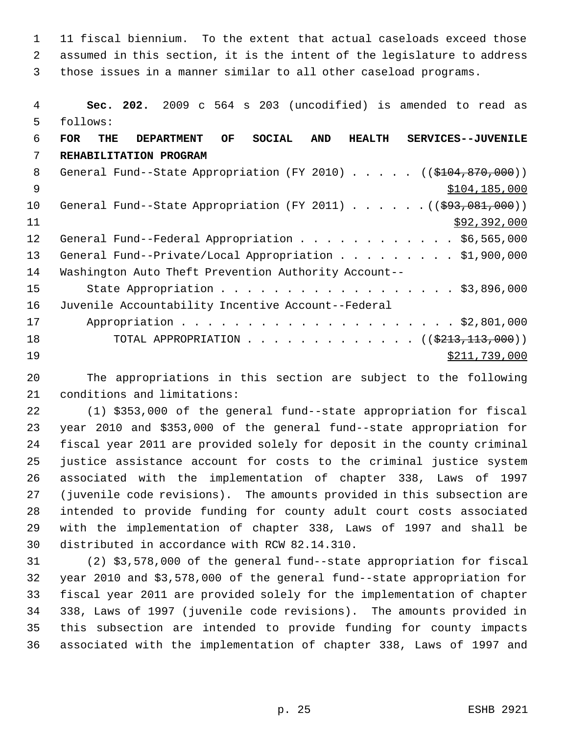11 fiscal biennium. To the extent that actual caseloads exceed those assumed in this section, it is the intent of the legislature to address those issues in a manner similar to all other caseload programs.

 **Sec. 202.** 2009 c 564 s 203 (uncodified) is amended to read as follows: **FOR THE DEPARTMENT OF SOCIAL AND HEALTH SERVICES--JUVENILE REHABILITATION PROGRAM** 8 General Fund--State Appropriation (FY 2010) . . . . . ((\$104,870,000)) \$104,185,000 10 General Fund--State Appropriation (FY 2011) . . . . . . ((\$93,081,000))  $\frac{11}{292,392,000}$ 12 General Fund--Federal Appropriation . . . . . . . . . . . \$6,565,000 13 General Fund--Private/Local Appropriation . . . . . . . . \$1,900,000 Washington Auto Theft Prevention Authority Account-- 15 State Appropriation . . . . . . . . . . . . . . . . . \$3,896,000 Juvenile Accountability Incentive Account--Federal Appropriation . . . . . . . . . . . . . . . . . . . . . \$2,801,000 18 TOTAL APPROPRIATION . . . . . . . . . . . . ((\$213,113,000))  $\frac{$211,739,000}{2}$ 

 The appropriations in this section are subject to the following conditions and limitations:

 (1) \$353,000 of the general fund--state appropriation for fiscal year 2010 and \$353,000 of the general fund--state appropriation for fiscal year 2011 are provided solely for deposit in the county criminal justice assistance account for costs to the criminal justice system associated with the implementation of chapter 338, Laws of 1997 (juvenile code revisions). The amounts provided in this subsection are intended to provide funding for county adult court costs associated with the implementation of chapter 338, Laws of 1997 and shall be distributed in accordance with RCW 82.14.310.

 (2) \$3,578,000 of the general fund--state appropriation for fiscal year 2010 and \$3,578,000 of the general fund--state appropriation for fiscal year 2011 are provided solely for the implementation of chapter 338, Laws of 1997 (juvenile code revisions). The amounts provided in this subsection are intended to provide funding for county impacts associated with the implementation of chapter 338, Laws of 1997 and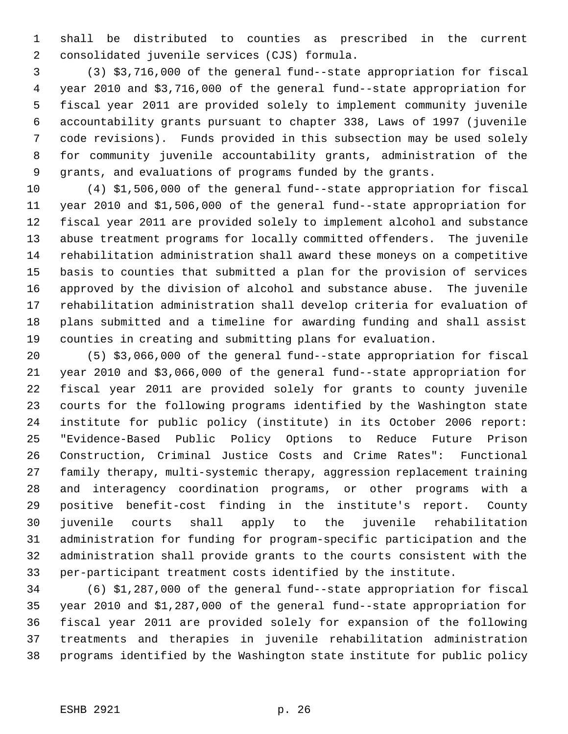shall be distributed to counties as prescribed in the current consolidated juvenile services (CJS) formula.

 (3) \$3,716,000 of the general fund--state appropriation for fiscal year 2010 and \$3,716,000 of the general fund--state appropriation for fiscal year 2011 are provided solely to implement community juvenile accountability grants pursuant to chapter 338, Laws of 1997 (juvenile code revisions). Funds provided in this subsection may be used solely for community juvenile accountability grants, administration of the grants, and evaluations of programs funded by the grants.

 (4) \$1,506,000 of the general fund--state appropriation for fiscal year 2010 and \$1,506,000 of the general fund--state appropriation for fiscal year 2011 are provided solely to implement alcohol and substance abuse treatment programs for locally committed offenders. The juvenile rehabilitation administration shall award these moneys on a competitive basis to counties that submitted a plan for the provision of services approved by the division of alcohol and substance abuse. The juvenile rehabilitation administration shall develop criteria for evaluation of plans submitted and a timeline for awarding funding and shall assist counties in creating and submitting plans for evaluation.

 (5) \$3,066,000 of the general fund--state appropriation for fiscal year 2010 and \$3,066,000 of the general fund--state appropriation for fiscal year 2011 are provided solely for grants to county juvenile courts for the following programs identified by the Washington state institute for public policy (institute) in its October 2006 report: "Evidence-Based Public Policy Options to Reduce Future Prison Construction, Criminal Justice Costs and Crime Rates": Functional family therapy, multi-systemic therapy, aggression replacement training and interagency coordination programs, or other programs with a positive benefit-cost finding in the institute's report. County juvenile courts shall apply to the juvenile rehabilitation administration for funding for program-specific participation and the administration shall provide grants to the courts consistent with the per-participant treatment costs identified by the institute.

 (6) \$1,287,000 of the general fund--state appropriation for fiscal year 2010 and \$1,287,000 of the general fund--state appropriation for fiscal year 2011 are provided solely for expansion of the following treatments and therapies in juvenile rehabilitation administration programs identified by the Washington state institute for public policy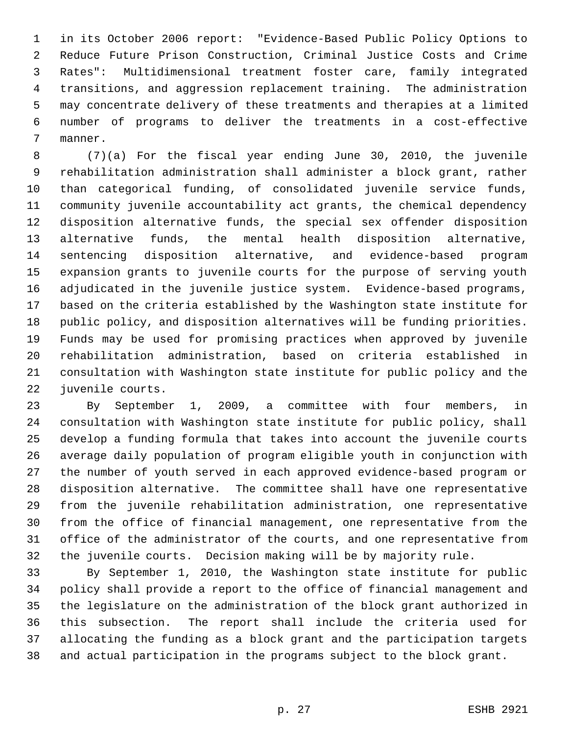in its October 2006 report: "Evidence-Based Public Policy Options to Reduce Future Prison Construction, Criminal Justice Costs and Crime Rates": Multidimensional treatment foster care, family integrated transitions, and aggression replacement training. The administration may concentrate delivery of these treatments and therapies at a limited number of programs to deliver the treatments in a cost-effective manner.

 (7)(a) For the fiscal year ending June 30, 2010, the juvenile rehabilitation administration shall administer a block grant, rather than categorical funding, of consolidated juvenile service funds, community juvenile accountability act grants, the chemical dependency disposition alternative funds, the special sex offender disposition alternative funds, the mental health disposition alternative, sentencing disposition alternative, and evidence-based program expansion grants to juvenile courts for the purpose of serving youth adjudicated in the juvenile justice system. Evidence-based programs, based on the criteria established by the Washington state institute for public policy, and disposition alternatives will be funding priorities. Funds may be used for promising practices when approved by juvenile rehabilitation administration, based on criteria established in consultation with Washington state institute for public policy and the juvenile courts.

 By September 1, 2009, a committee with four members, in consultation with Washington state institute for public policy, shall develop a funding formula that takes into account the juvenile courts average daily population of program eligible youth in conjunction with the number of youth served in each approved evidence-based program or disposition alternative. The committee shall have one representative from the juvenile rehabilitation administration, one representative from the office of financial management, one representative from the office of the administrator of the courts, and one representative from the juvenile courts. Decision making will be by majority rule.

 By September 1, 2010, the Washington state institute for public policy shall provide a report to the office of financial management and the legislature on the administration of the block grant authorized in this subsection. The report shall include the criteria used for allocating the funding as a block grant and the participation targets and actual participation in the programs subject to the block grant.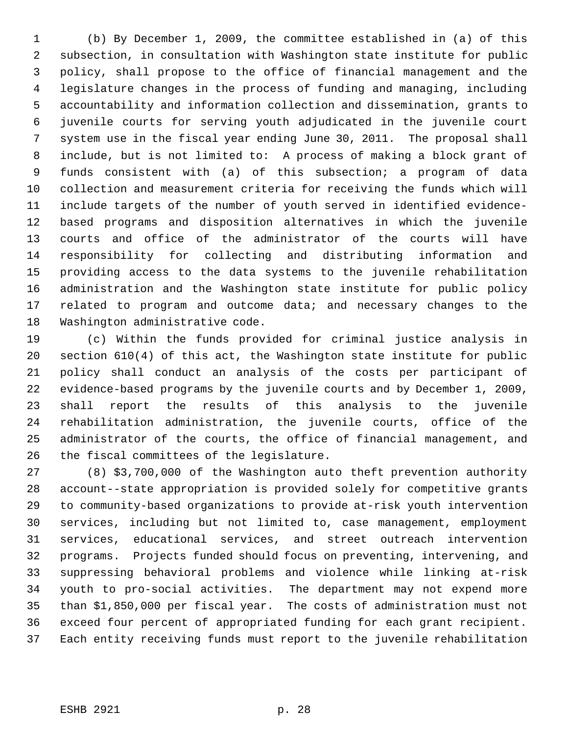(b) By December 1, 2009, the committee established in (a) of this subsection, in consultation with Washington state institute for public policy, shall propose to the office of financial management and the legislature changes in the process of funding and managing, including accountability and information collection and dissemination, grants to juvenile courts for serving youth adjudicated in the juvenile court system use in the fiscal year ending June 30, 2011. The proposal shall include, but is not limited to: A process of making a block grant of funds consistent with (a) of this subsection; a program of data collection and measurement criteria for receiving the funds which will include targets of the number of youth served in identified evidence- based programs and disposition alternatives in which the juvenile courts and office of the administrator of the courts will have responsibility for collecting and distributing information and providing access to the data systems to the juvenile rehabilitation administration and the Washington state institute for public policy 17 related to program and outcome data; and necessary changes to the Washington administrative code.

 (c) Within the funds provided for criminal justice analysis in section 610(4) of this act, the Washington state institute for public policy shall conduct an analysis of the costs per participant of evidence-based programs by the juvenile courts and by December 1, 2009, shall report the results of this analysis to the juvenile rehabilitation administration, the juvenile courts, office of the administrator of the courts, the office of financial management, and the fiscal committees of the legislature.

 (8) \$3,700,000 of the Washington auto theft prevention authority account--state appropriation is provided solely for competitive grants to community-based organizations to provide at-risk youth intervention services, including but not limited to, case management, employment services, educational services, and street outreach intervention programs. Projects funded should focus on preventing, intervening, and suppressing behavioral problems and violence while linking at-risk youth to pro-social activities. The department may not expend more than \$1,850,000 per fiscal year. The costs of administration must not exceed four percent of appropriated funding for each grant recipient. Each entity receiving funds must report to the juvenile rehabilitation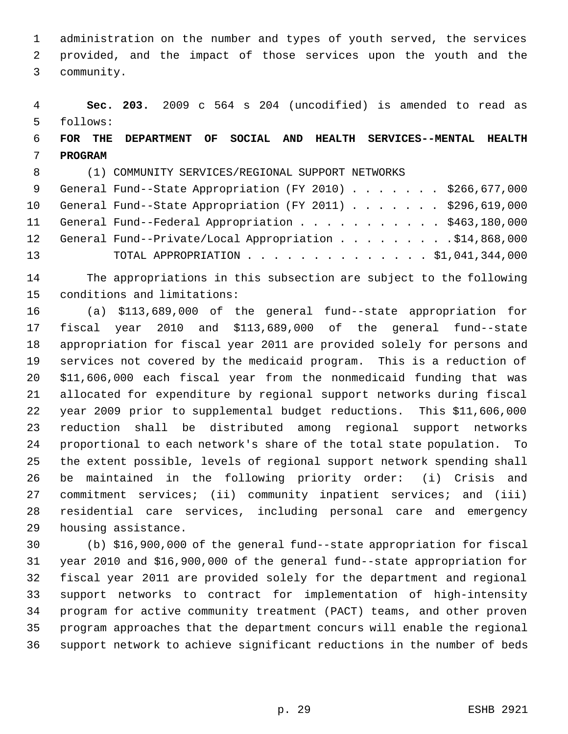administration on the number and types of youth served, the services provided, and the impact of those services upon the youth and the community.

 **Sec. 203.** 2009 c 564 s 204 (uncodified) is amended to read as follows:

# **FOR THE DEPARTMENT OF SOCIAL AND HEALTH SERVICES--MENTAL HEALTH PROGRAM**

(1) COMMUNITY SERVICES/REGIONAL SUPPORT NETWORKS

| 9 General Fund--State Appropriation (FY 2010) \$266,677,000  |
|--------------------------------------------------------------|
| 10 General Fund--State Appropriation (FY 2011) \$296,619,000 |
| 11 General Fund--Federal Appropriation \$463,180,000         |
| 12 General Fund--Private/Local Appropriation \$14,868,000    |
| TOTAL APPROPRIATION \$1,041,344,000                          |
|                                                              |

 The appropriations in this subsection are subject to the following conditions and limitations:

 (a) \$113,689,000 of the general fund--state appropriation for fiscal year 2010 and \$113,689,000 of the general fund--state appropriation for fiscal year 2011 are provided solely for persons and services not covered by the medicaid program. This is a reduction of \$11,606,000 each fiscal year from the nonmedicaid funding that was allocated for expenditure by regional support networks during fiscal year 2009 prior to supplemental budget reductions. This \$11,606,000 reduction shall be distributed among regional support networks proportional to each network's share of the total state population. To the extent possible, levels of regional support network spending shall be maintained in the following priority order: (i) Crisis and commitment services; (ii) community inpatient services; and (iii) residential care services, including personal care and emergency housing assistance.

 (b) \$16,900,000 of the general fund--state appropriation for fiscal year 2010 and \$16,900,000 of the general fund--state appropriation for fiscal year 2011 are provided solely for the department and regional support networks to contract for implementation of high-intensity program for active community treatment (PACT) teams, and other proven program approaches that the department concurs will enable the regional support network to achieve significant reductions in the number of beds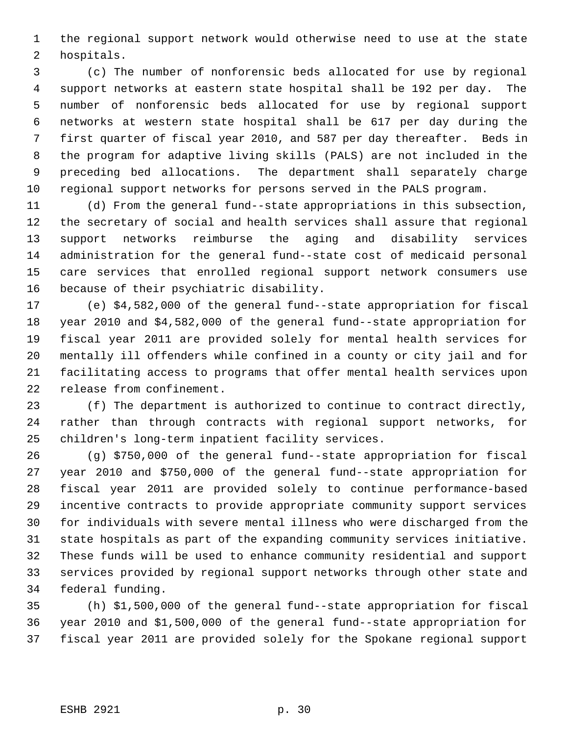the regional support network would otherwise need to use at the state hospitals.

 (c) The number of nonforensic beds allocated for use by regional support networks at eastern state hospital shall be 192 per day. The number of nonforensic beds allocated for use by regional support networks at western state hospital shall be 617 per day during the first quarter of fiscal year 2010, and 587 per day thereafter. Beds in the program for adaptive living skills (PALS) are not included in the preceding bed allocations. The department shall separately charge regional support networks for persons served in the PALS program.

 (d) From the general fund--state appropriations in this subsection, the secretary of social and health services shall assure that regional support networks reimburse the aging and disability services administration for the general fund--state cost of medicaid personal care services that enrolled regional support network consumers use because of their psychiatric disability.

 (e) \$4,582,000 of the general fund--state appropriation for fiscal year 2010 and \$4,582,000 of the general fund--state appropriation for fiscal year 2011 are provided solely for mental health services for mentally ill offenders while confined in a county or city jail and for facilitating access to programs that offer mental health services upon release from confinement.

 (f) The department is authorized to continue to contract directly, rather than through contracts with regional support networks, for children's long-term inpatient facility services.

 (g) \$750,000 of the general fund--state appropriation for fiscal year 2010 and \$750,000 of the general fund--state appropriation for fiscal year 2011 are provided solely to continue performance-based incentive contracts to provide appropriate community support services for individuals with severe mental illness who were discharged from the state hospitals as part of the expanding community services initiative. These funds will be used to enhance community residential and support services provided by regional support networks through other state and federal funding.

 (h) \$1,500,000 of the general fund--state appropriation for fiscal year 2010 and \$1,500,000 of the general fund--state appropriation for fiscal year 2011 are provided solely for the Spokane regional support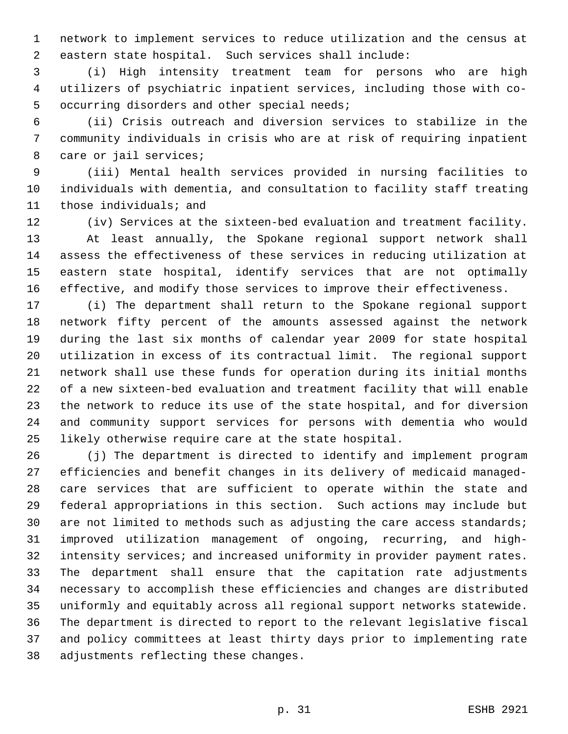network to implement services to reduce utilization and the census at eastern state hospital. Such services shall include:

 (i) High intensity treatment team for persons who are high utilizers of psychiatric inpatient services, including those with co- occurring disorders and other special needs;

 (ii) Crisis outreach and diversion services to stabilize in the community individuals in crisis who are at risk of requiring inpatient care or jail services;

 (iii) Mental health services provided in nursing facilities to individuals with dementia, and consultation to facility staff treating those individuals; and

 (iv) Services at the sixteen-bed evaluation and treatment facility. At least annually, the Spokane regional support network shall assess the effectiveness of these services in reducing utilization at eastern state hospital, identify services that are not optimally effective, and modify those services to improve their effectiveness.

 (i) The department shall return to the Spokane regional support network fifty percent of the amounts assessed against the network during the last six months of calendar year 2009 for state hospital utilization in excess of its contractual limit. The regional support network shall use these funds for operation during its initial months of a new sixteen-bed evaluation and treatment facility that will enable the network to reduce its use of the state hospital, and for diversion and community support services for persons with dementia who would likely otherwise require care at the state hospital.

 (j) The department is directed to identify and implement program efficiencies and benefit changes in its delivery of medicaid managed- care services that are sufficient to operate within the state and federal appropriations in this section. Such actions may include but 30 are not limited to methods such as adjusting the care access standards; improved utilization management of ongoing, recurring, and high- intensity services; and increased uniformity in provider payment rates. The department shall ensure that the capitation rate adjustments necessary to accomplish these efficiencies and changes are distributed uniformly and equitably across all regional support networks statewide. The department is directed to report to the relevant legislative fiscal and policy committees at least thirty days prior to implementing rate adjustments reflecting these changes.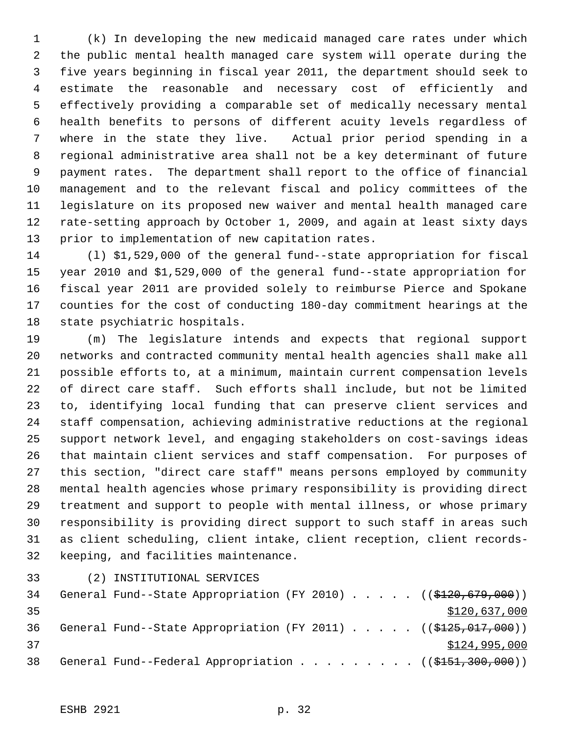(k) In developing the new medicaid managed care rates under which the public mental health managed care system will operate during the five years beginning in fiscal year 2011, the department should seek to estimate the reasonable and necessary cost of efficiently and effectively providing a comparable set of medically necessary mental health benefits to persons of different acuity levels regardless of where in the state they live. Actual prior period spending in a regional administrative area shall not be a key determinant of future payment rates. The department shall report to the office of financial management and to the relevant fiscal and policy committees of the legislature on its proposed new waiver and mental health managed care rate-setting approach by October 1, 2009, and again at least sixty days prior to implementation of new capitation rates.

 (l) \$1,529,000 of the general fund--state appropriation for fiscal year 2010 and \$1,529,000 of the general fund--state appropriation for fiscal year 2011 are provided solely to reimburse Pierce and Spokane counties for the cost of conducting 180-day commitment hearings at the state psychiatric hospitals.

 (m) The legislature intends and expects that regional support networks and contracted community mental health agencies shall make all possible efforts to, at a minimum, maintain current compensation levels of direct care staff. Such efforts shall include, but not be limited to, identifying local funding that can preserve client services and staff compensation, achieving administrative reductions at the regional support network level, and engaging stakeholders on cost-savings ideas that maintain client services and staff compensation. For purposes of this section, "direct care staff" means persons employed by community mental health agencies whose primary responsibility is providing direct treatment and support to people with mental illness, or whose primary responsibility is providing direct support to such staff in areas such as client scheduling, client intake, client reception, client records-keeping, and facilities maintenance.

(2) INSTITUTIONAL SERVICES

| 34 |  |  |  |  |  | General Fund--State Appropriation (FY 2010) $($ $($ \$120,679,000))              |
|----|--|--|--|--|--|----------------------------------------------------------------------------------|
| 35 |  |  |  |  |  | \$120,637,000                                                                    |
| 36 |  |  |  |  |  | General Fund--State Appropriation (FY 2011) $($ $($ \$125,017,000))              |
| 37 |  |  |  |  |  | \$124,995,000                                                                    |
| 38 |  |  |  |  |  | General Fund--Federal Appropriation ( $(\frac{15151}{1000}, \frac{300}{1000})$ ) |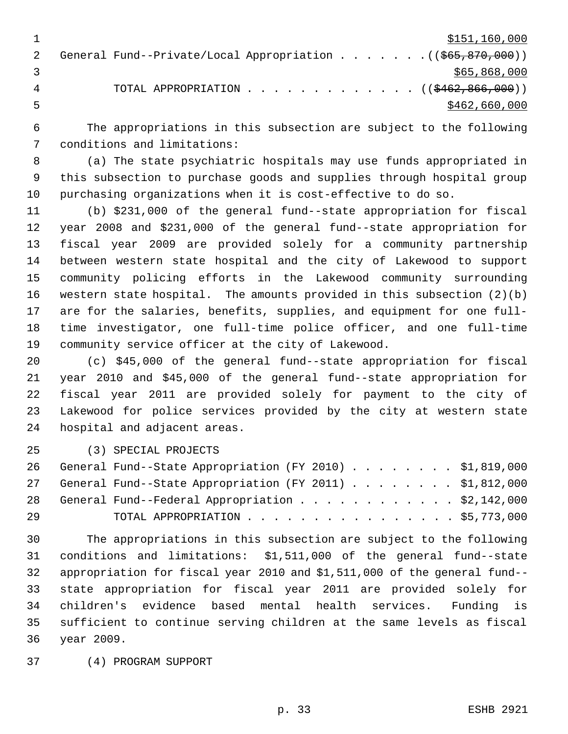$\frac{$151,160,000}{2}$ 2 General Fund--Private/Local Appropriation . . . . . . . ((\$65,870,000))  $3 \times 565,868,000$ 4 TOTAL APPROPRIATION . . . . . . . . . . . . . ((\$462,866,000))  $5 - 5$   $\frac{1}{2}$   $\frac{1}{2}$   $\frac{1}{2}$   $\frac{1}{2}$   $\frac{1}{2}$   $\frac{1}{2}$   $\frac{1}{2}$   $\frac{1}{2}$   $\frac{1}{2}$   $\frac{1}{2}$   $\frac{1}{2}$   $\frac{1}{2}$   $\frac{1}{2}$   $\frac{1}{2}$   $\frac{1}{2}$   $\frac{1}{2}$   $\frac{1}{2}$   $\frac{1}{2}$   $\frac{1}{2}$   $\frac{1}{2}$   $\frac{1}{2}$   $\frac{$ 

 The appropriations in this subsection are subject to the following conditions and limitations:

 (a) The state psychiatric hospitals may use funds appropriated in this subsection to purchase goods and supplies through hospital group purchasing organizations when it is cost-effective to do so.

 (b) \$231,000 of the general fund--state appropriation for fiscal year 2008 and \$231,000 of the general fund--state appropriation for fiscal year 2009 are provided solely for a community partnership between western state hospital and the city of Lakewood to support community policing efforts in the Lakewood community surrounding western state hospital. The amounts provided in this subsection (2)(b) are for the salaries, benefits, supplies, and equipment for one full- time investigator, one full-time police officer, and one full-time community service officer at the city of Lakewood.

 (c) \$45,000 of the general fund--state appropriation for fiscal year 2010 and \$45,000 of the general fund--state appropriation for fiscal year 2011 are provided solely for payment to the city of Lakewood for police services provided by the city at western state hospital and adjacent areas.

(3) SPECIAL PROJECTS

|    | 26 General Fund--State Appropriation (FY 2010) \$1,819,000 |  |
|----|------------------------------------------------------------|--|
|    | 27 General Fund--State Appropriation (FY 2011) \$1,812,000 |  |
|    | 28 General Fund--Federal Appropriation \$2,142,000         |  |
| 29 | TOTAL APPROPRIATION $\ldots$ \$5,773,000                   |  |

 The appropriations in this subsection are subject to the following conditions and limitations: \$1,511,000 of the general fund--state appropriation for fiscal year 2010 and \$1,511,000 of the general fund-- state appropriation for fiscal year 2011 are provided solely for children's evidence based mental health services. Funding is sufficient to continue serving children at the same levels as fiscal year 2009.

(4) PROGRAM SUPPORT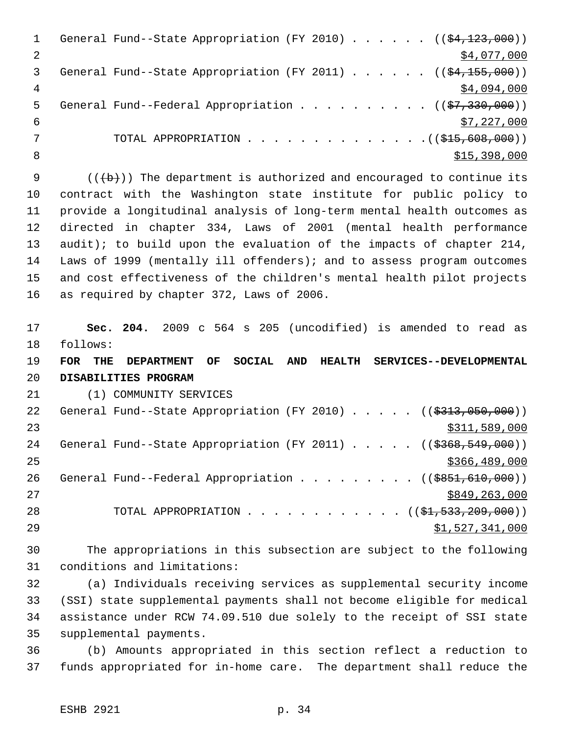|   | General Fund--State Appropriation (FY 2010) $($ $($ $\frac{23}{123},000)$ ) |
|---|-----------------------------------------------------------------------------|
|   | \$4,077,000                                                                 |
| 3 | General Fund--State Appropriation (FY 2011) ( $(\frac{24,155,000}{2})$      |
| 4 | \$4,094,000                                                                 |
| 5 | General Fund--Federal Appropriation ( $(\frac{27}{330}, 000)$ )             |
| 6 | \$7,227,000                                                                 |
|   | TOTAL APPROPRIATION $($ $($ $\frac{215,608,000)}{1000})$                    |
| 8 | \$15,398,000                                                                |
|   |                                                                             |

 $((+b))$  The department is authorized and encouraged to continue its contract with the Washington state institute for public policy to provide a longitudinal analysis of long-term mental health outcomes as directed in chapter 334, Laws of 2001 (mental health performance audit); to build upon the evaluation of the impacts of chapter 214, Laws of 1999 (mentally ill offenders); and to assess program outcomes and cost effectiveness of the children's mental health pilot projects as required by chapter 372, Laws of 2006.

 **Sec. 204.** 2009 c 564 s 205 (uncodified) is amended to read as follows:

 **FOR THE DEPARTMENT OF SOCIAL AND HEALTH SERVICES--DEVELOPMENTAL DISABILITIES PROGRAM**

(1) COMMUNITY SERVICES

| 22 | General Fund--State Appropriation (FY 2010) $($ $($ \$313,050,000)) |
|----|---------------------------------------------------------------------|
| 23 | \$311,589,000                                                       |
| 24 | General Fund--State Appropriation (FY 2011) $($ $($ \$368,549,000)) |
| 25 | \$366, 489, 000                                                     |
| 26 | General Fund--Federal Appropriation ( $(\frac{18851,610,000}{2})$ ) |
| 27 | \$849,263,000                                                       |
| 28 | TOTAL APPROPRIATION ( $(\frac{1}{2}, 533, 209, 000)$ )              |
| 29 | \$1,527,341,000                                                     |

 The appropriations in this subsection are subject to the following conditions and limitations:

 (a) Individuals receiving services as supplemental security income (SSI) state supplemental payments shall not become eligible for medical assistance under RCW 74.09.510 due solely to the receipt of SSI state supplemental payments.

 (b) Amounts appropriated in this section reflect a reduction to funds appropriated for in-home care. The department shall reduce the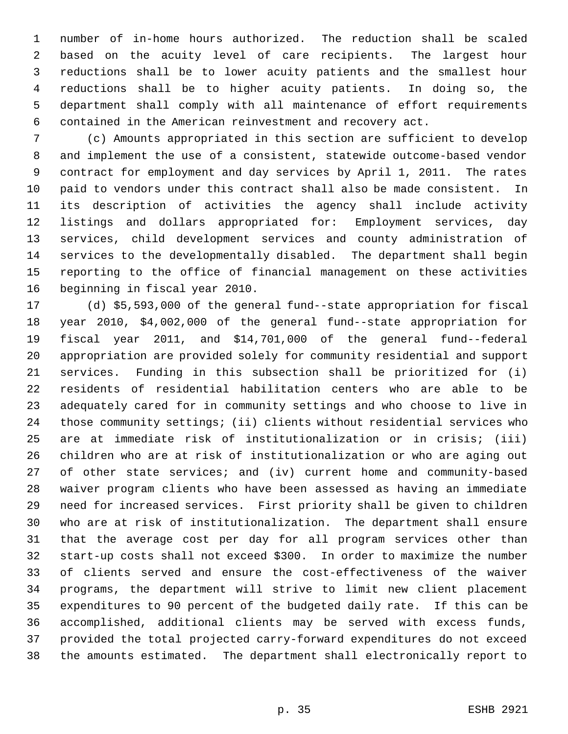number of in-home hours authorized. The reduction shall be scaled based on the acuity level of care recipients. The largest hour reductions shall be to lower acuity patients and the smallest hour reductions shall be to higher acuity patients. In doing so, the department shall comply with all maintenance of effort requirements contained in the American reinvestment and recovery act.

 (c) Amounts appropriated in this section are sufficient to develop and implement the use of a consistent, statewide outcome-based vendor contract for employment and day services by April 1, 2011. The rates paid to vendors under this contract shall also be made consistent. In its description of activities the agency shall include activity listings and dollars appropriated for: Employment services, day services, child development services and county administration of services to the developmentally disabled. The department shall begin reporting to the office of financial management on these activities beginning in fiscal year 2010.

 (d) \$5,593,000 of the general fund--state appropriation for fiscal year 2010, \$4,002,000 of the general fund--state appropriation for fiscal year 2011, and \$14,701,000 of the general fund--federal appropriation are provided solely for community residential and support services. Funding in this subsection shall be prioritized for (i) residents of residential habilitation centers who are able to be adequately cared for in community settings and who choose to live in those community settings; (ii) clients without residential services who are at immediate risk of institutionalization or in crisis; (iii) children who are at risk of institutionalization or who are aging out of other state services; and (iv) current home and community-based waiver program clients who have been assessed as having an immediate need for increased services. First priority shall be given to children who are at risk of institutionalization. The department shall ensure that the average cost per day for all program services other than start-up costs shall not exceed \$300. In order to maximize the number of clients served and ensure the cost-effectiveness of the waiver programs, the department will strive to limit new client placement expenditures to 90 percent of the budgeted daily rate. If this can be accomplished, additional clients may be served with excess funds, provided the total projected carry-forward expenditures do not exceed the amounts estimated. The department shall electronically report to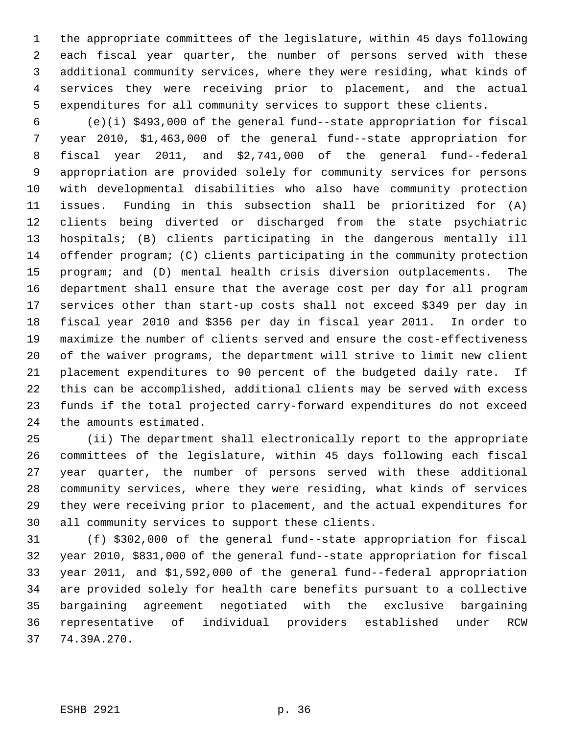the appropriate committees of the legislature, within 45 days following each fiscal year quarter, the number of persons served with these additional community services, where they were residing, what kinds of services they were receiving prior to placement, and the actual expenditures for all community services to support these clients.

 (e)(i) \$493,000 of the general fund--state appropriation for fiscal year 2010, \$1,463,000 of the general fund--state appropriation for fiscal year 2011, and \$2,741,000 of the general fund--federal appropriation are provided solely for community services for persons with developmental disabilities who also have community protection issues. Funding in this subsection shall be prioritized for (A) clients being diverted or discharged from the state psychiatric hospitals; (B) clients participating in the dangerous mentally ill offender program; (C) clients participating in the community protection program; and (D) mental health crisis diversion outplacements. The department shall ensure that the average cost per day for all program services other than start-up costs shall not exceed \$349 per day in fiscal year 2010 and \$356 per day in fiscal year 2011. In order to maximize the number of clients served and ensure the cost-effectiveness of the waiver programs, the department will strive to limit new client placement expenditures to 90 percent of the budgeted daily rate. If this can be accomplished, additional clients may be served with excess funds if the total projected carry-forward expenditures do not exceed the amounts estimated.

 (ii) The department shall electronically report to the appropriate committees of the legislature, within 45 days following each fiscal year quarter, the number of persons served with these additional community services, where they were residing, what kinds of services they were receiving prior to placement, and the actual expenditures for all community services to support these clients.

 (f) \$302,000 of the general fund--state appropriation for fiscal year 2010, \$831,000 of the general fund--state appropriation for fiscal year 2011, and \$1,592,000 of the general fund--federal appropriation are provided solely for health care benefits pursuant to a collective bargaining agreement negotiated with the exclusive bargaining representative of individual providers established under RCW 74.39A.270.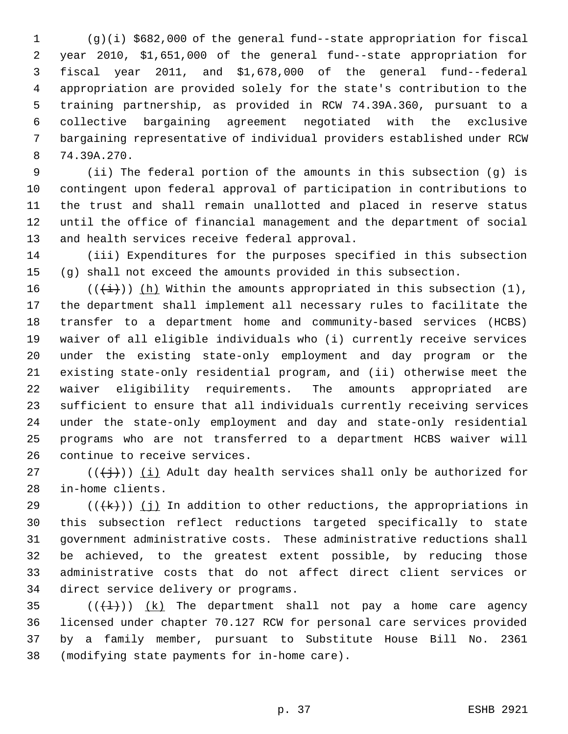(g)(i) \$682,000 of the general fund--state appropriation for fiscal year 2010, \$1,651,000 of the general fund--state appropriation for fiscal year 2011, and \$1,678,000 of the general fund--federal appropriation are provided solely for the state's contribution to the training partnership, as provided in RCW 74.39A.360, pursuant to a collective bargaining agreement negotiated with the exclusive bargaining representative of individual providers established under RCW 74.39A.270.

 (ii) The federal portion of the amounts in this subsection (g) is contingent upon federal approval of participation in contributions to the trust and shall remain unallotted and placed in reserve status until the office of financial management and the department of social and health services receive federal approval.

 (iii) Expenditures for the purposes specified in this subsection (g) shall not exceed the amounts provided in this subsection.

16 ( $(\frac{1}{i})$ ) (h) Within the amounts appropriated in this subsection (1), the department shall implement all necessary rules to facilitate the transfer to a department home and community-based services (HCBS) waiver of all eligible individuals who (i) currently receive services under the existing state-only employment and day program or the existing state-only residential program, and (ii) otherwise meet the waiver eligibility requirements. The amounts appropriated are sufficient to ensure that all individuals currently receiving services under the state-only employment and day and state-only residential programs who are not transferred to a department HCBS waiver will continue to receive services.

27 ( $(\{\dagger\})$ ) (i) Adult day health services shall only be authorized for in-home clients.

29 ( $(\overline{+k})$ ) (j) In addition to other reductions, the appropriations in this subsection reflect reductions targeted specifically to state government administrative costs. These administrative reductions shall be achieved, to the greatest extent possible, by reducing those administrative costs that do not affect direct client services or direct service delivery or programs.

 $((+1))$   $(k)$  The department shall not pay a home care agency licensed under chapter 70.127 RCW for personal care services provided by a family member, pursuant to Substitute House Bill No. 2361 (modifying state payments for in-home care).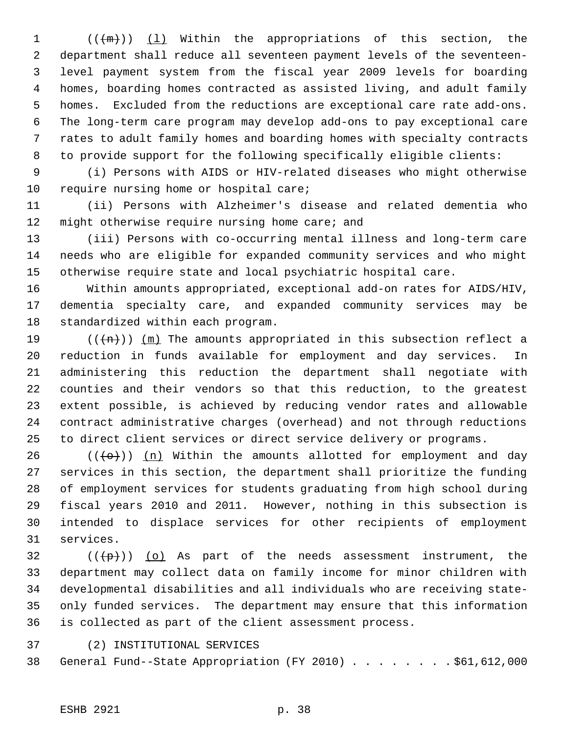$((+m))$   $(1)$  Within the appropriations of this section, the department shall reduce all seventeen payment levels of the seventeen- level payment system from the fiscal year 2009 levels for boarding homes, boarding homes contracted as assisted living, and adult family homes. Excluded from the reductions are exceptional care rate add-ons. The long-term care program may develop add-ons to pay exceptional care rates to adult family homes and boarding homes with specialty contracts to provide support for the following specifically eligible clients:

 (i) Persons with AIDS or HIV-related diseases who might otherwise 10 require nursing home or hospital care;

 (ii) Persons with Alzheimer's disease and related dementia who 12 might otherwise require nursing home care; and

 (iii) Persons with co-occurring mental illness and long-term care needs who are eligible for expanded community services and who might otherwise require state and local psychiatric hospital care.

 Within amounts appropriated, exceptional add-on rates for AIDS/HIV, dementia specialty care, and expanded community services may be standardized within each program.

19 ( $(\overline{+n})$ )  $(m)$  The amounts appropriated in this subsection reflect a reduction in funds available for employment and day services. In administering this reduction the department shall negotiate with counties and their vendors so that this reduction, to the greatest extent possible, is achieved by reducing vendor rates and allowable contract administrative charges (overhead) and not through reductions to direct client services or direct service delivery or programs.

26 ( $(\overline{\left\langle 0+\right\rangle})$ ) (n) Within the amounts allotted for employment and day services in this section, the department shall prioritize the funding of employment services for students graduating from high school during fiscal years 2010 and 2011. However, nothing in this subsection is intended to displace services for other recipients of employment services.

 ( $(\overline{\mathcal{P}})$ ) (o) As part of the needs assessment instrument, the department may collect data on family income for minor children with developmental disabilities and all individuals who are receiving state- only funded services. The department may ensure that this information is collected as part of the client assessment process.

(2) INSTITUTIONAL SERVICES

General Fund--State Appropriation (FY 2010) . . . . . . . . \$61,612,000

## ESHB 2921 p. 38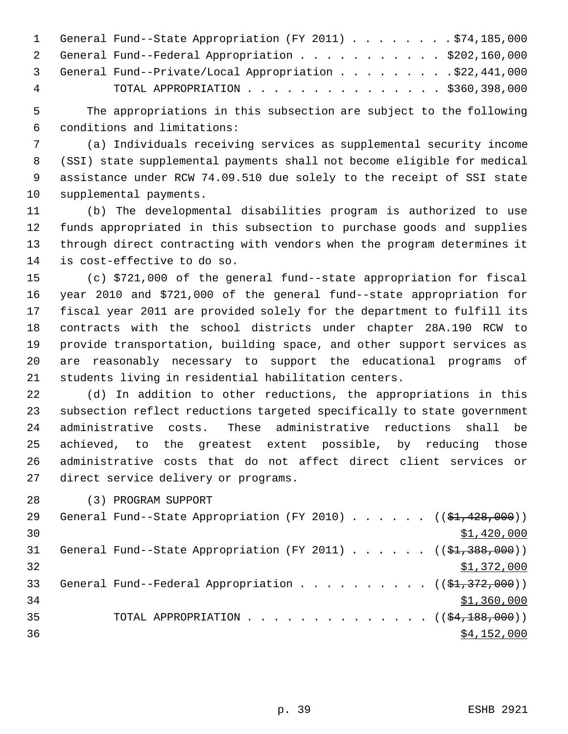|    | 1 General Fund--State Appropriation (FY 2011) \$74,185,000 |
|----|------------------------------------------------------------|
|    | 2 General Fund--Federal Appropriation \$202,160,000        |
|    | 3 General Fund--Private/Local Appropriation \$22,441,000   |
| -4 | TOTAL APPROPRIATION $\ldots$ , \$360,398,000               |

 The appropriations in this subsection are subject to the following conditions and limitations:

 (a) Individuals receiving services as supplemental security income (SSI) state supplemental payments shall not become eligible for medical assistance under RCW 74.09.510 due solely to the receipt of SSI state supplemental payments.

 (b) The developmental disabilities program is authorized to use funds appropriated in this subsection to purchase goods and supplies through direct contracting with vendors when the program determines it is cost-effective to do so.

 (c) \$721,000 of the general fund--state appropriation for fiscal year 2010 and \$721,000 of the general fund--state appropriation for fiscal year 2011 are provided solely for the department to fulfill its contracts with the school districts under chapter 28A.190 RCW to provide transportation, building space, and other support services as are reasonably necessary to support the educational programs of students living in residential habilitation centers.

 (d) In addition to other reductions, the appropriations in this subsection reflect reductions targeted specifically to state government administrative costs. These administrative reductions shall be achieved, to the greatest extent possible, by reducing those administrative costs that do not affect direct client services or direct service delivery or programs.

(3) PROGRAM SUPPORT

| 29 | General Fund--State Appropriation (FY 2010) $($ $($ \$1,428,000)) |
|----|-------------------------------------------------------------------|
| 30 | \$1,420,000                                                       |
| 31 | General Fund--State Appropriation (FY 2011) $($ $($ \$1,388,000)) |
| 32 | \$1,372,000                                                       |
| 33 | General Fund--Federal Appropriation $($ $($ \$1,372,000) $)$      |
| 34 | \$1,360,000                                                       |
| 35 | TOTAL APPROPRIATION $\ldots$ , ( $(\frac{64,188,000}{2})$ )       |
| 36 | \$4,152,000                                                       |
|    |                                                                   |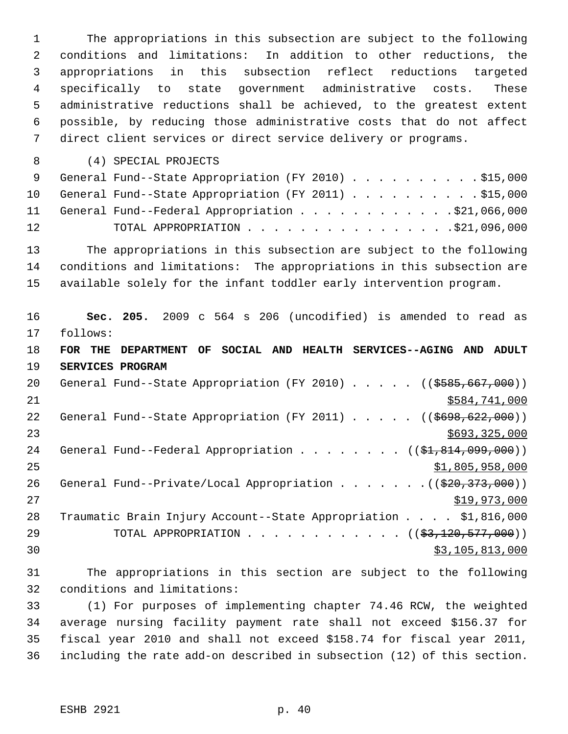The appropriations in this subsection are subject to the following conditions and limitations: In addition to other reductions, the appropriations in this subsection reflect reductions targeted specifically to state government administrative costs. These administrative reductions shall be achieved, to the greatest extent possible, by reducing those administrative costs that do not affect direct client services or direct service delivery or programs. (4) SPECIAL PROJECTS 9 General Fund--State Appropriation (FY 2010) . . . . . . . . . \$15,000 10 General Fund--State Appropriation (FY 2011) . . . . . . . . . . \$15,000 11 General Fund--Federal Appropriation . . . . . . . . . . . \$21,066,000 12 TOTAL APPROPRIATION . . . . . . . . . . . . . . . . \$21,096,000 The appropriations in this subsection are subject to the following conditions and limitations: The appropriations in this subsection are available solely for the infant toddler early intervention program. **Sec. 205.** 2009 c 564 s 206 (uncodified) is amended to read as follows: **FOR THE DEPARTMENT OF SOCIAL AND HEALTH SERVICES--AGING AND ADULT SERVICES PROGRAM** 20 General Fund--State Appropriation (FY 2010) . . . . . ((\$585,667,000)) \$584,741,000 22 General Fund--State Appropriation (FY 2011) . . . . . ((\$698,622,000))  $$693,325,000$ 24 General Fund--Federal Appropriation . . . . . . . ((\$1,814,099,000))  $\frac{$1,805,958,000}{25}$ 26 General Fund--Private/Local Appropriation . . . . . . . ((\$20,373,000)) \$19,973,000 Traumatic Brain Injury Account--State Appropriation . . . . \$1,816,000 29 TOTAL APPROPRIATION . . . . . . . . . . . . ((\$3,120,577,000)) 30 \$3,105,813,000 The appropriations in this section are subject to the following

conditions and limitations:

 (1) For purposes of implementing chapter 74.46 RCW, the weighted average nursing facility payment rate shall not exceed \$156.37 for fiscal year 2010 and shall not exceed \$158.74 for fiscal year 2011, including the rate add-on described in subsection (12) of this section.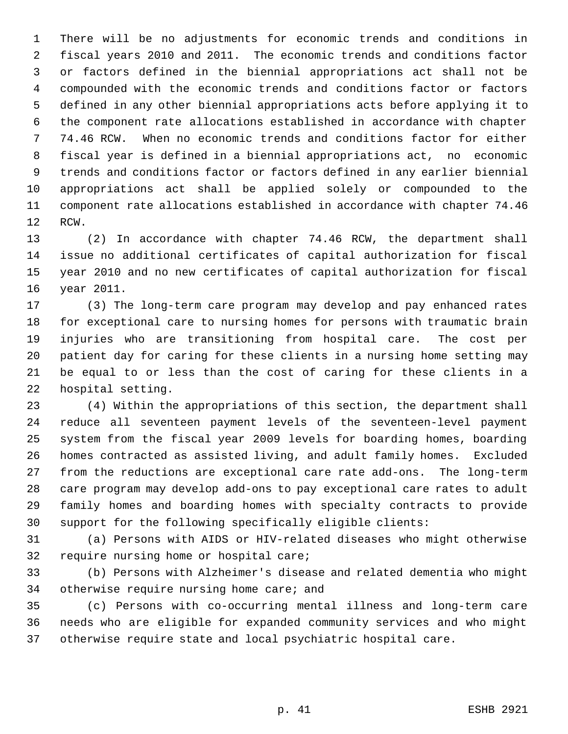There will be no adjustments for economic trends and conditions in fiscal years 2010 and 2011. The economic trends and conditions factor or factors defined in the biennial appropriations act shall not be compounded with the economic trends and conditions factor or factors defined in any other biennial appropriations acts before applying it to the component rate allocations established in accordance with chapter 74.46 RCW. When no economic trends and conditions factor for either fiscal year is defined in a biennial appropriations act, no economic trends and conditions factor or factors defined in any earlier biennial appropriations act shall be applied solely or compounded to the component rate allocations established in accordance with chapter 74.46 RCW.

 (2) In accordance with chapter 74.46 RCW, the department shall issue no additional certificates of capital authorization for fiscal year 2010 and no new certificates of capital authorization for fiscal year 2011.

 (3) The long-term care program may develop and pay enhanced rates for exceptional care to nursing homes for persons with traumatic brain injuries who are transitioning from hospital care. The cost per patient day for caring for these clients in a nursing home setting may be equal to or less than the cost of caring for these clients in a hospital setting.

 (4) Within the appropriations of this section, the department shall reduce all seventeen payment levels of the seventeen-level payment system from the fiscal year 2009 levels for boarding homes, boarding homes contracted as assisted living, and adult family homes. Excluded from the reductions are exceptional care rate add-ons. The long-term care program may develop add-ons to pay exceptional care rates to adult family homes and boarding homes with specialty contracts to provide support for the following specifically eligible clients:

 (a) Persons with AIDS or HIV-related diseases who might otherwise require nursing home or hospital care;

 (b) Persons with Alzheimer's disease and related dementia who might 34 otherwise require nursing home care; and

 (c) Persons with co-occurring mental illness and long-term care needs who are eligible for expanded community services and who might otherwise require state and local psychiatric hospital care.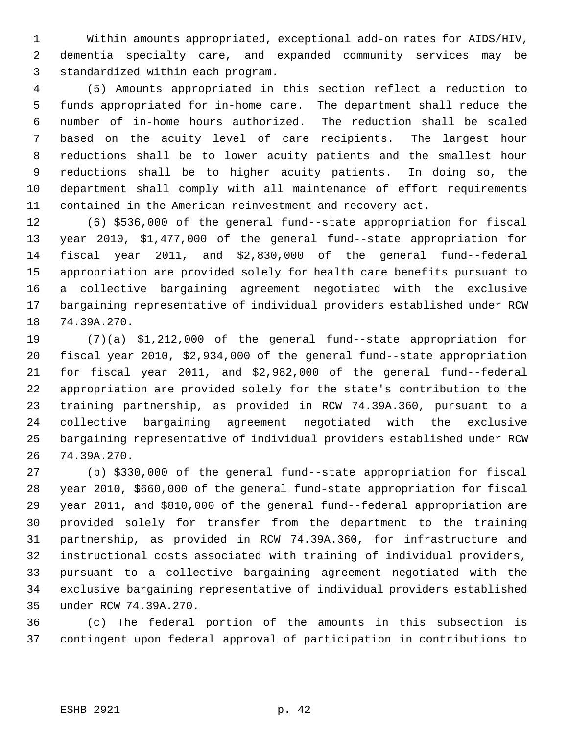Within amounts appropriated, exceptional add-on rates for AIDS/HIV, dementia specialty care, and expanded community services may be standardized within each program.

 (5) Amounts appropriated in this section reflect a reduction to funds appropriated for in-home care. The department shall reduce the number of in-home hours authorized. The reduction shall be scaled based on the acuity level of care recipients. The largest hour reductions shall be to lower acuity patients and the smallest hour reductions shall be to higher acuity patients. In doing so, the department shall comply with all maintenance of effort requirements contained in the American reinvestment and recovery act.

 (6) \$536,000 of the general fund--state appropriation for fiscal year 2010, \$1,477,000 of the general fund--state appropriation for fiscal year 2011, and \$2,830,000 of the general fund--federal appropriation are provided solely for health care benefits pursuant to a collective bargaining agreement negotiated with the exclusive bargaining representative of individual providers established under RCW 74.39A.270.

 (7)(a) \$1,212,000 of the general fund--state appropriation for fiscal year 2010, \$2,934,000 of the general fund--state appropriation for fiscal year 2011, and \$2,982,000 of the general fund--federal appropriation are provided solely for the state's contribution to the training partnership, as provided in RCW 74.39A.360, pursuant to a collective bargaining agreement negotiated with the exclusive bargaining representative of individual providers established under RCW 74.39A.270.

 (b) \$330,000 of the general fund--state appropriation for fiscal year 2010, \$660,000 of the general fund-state appropriation for fiscal year 2011, and \$810,000 of the general fund--federal appropriation are provided solely for transfer from the department to the training partnership, as provided in RCW 74.39A.360, for infrastructure and instructional costs associated with training of individual providers, pursuant to a collective bargaining agreement negotiated with the exclusive bargaining representative of individual providers established under RCW 74.39A.270.

 (c) The federal portion of the amounts in this subsection is contingent upon federal approval of participation in contributions to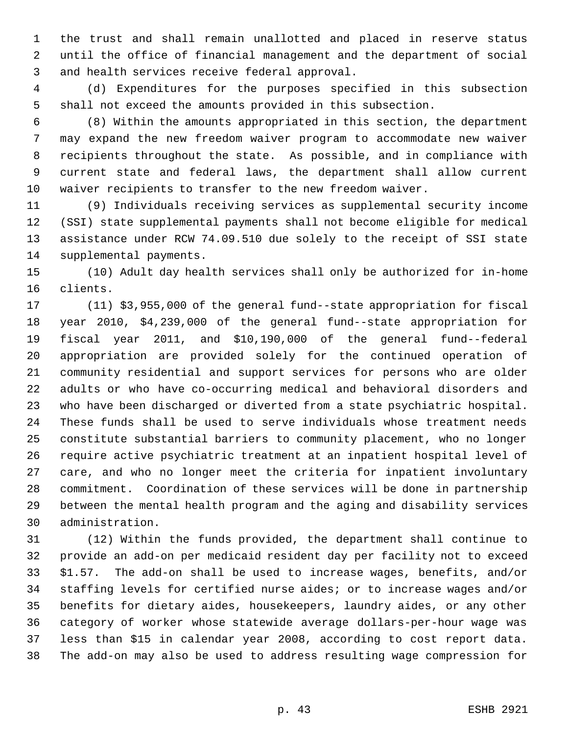the trust and shall remain unallotted and placed in reserve status until the office of financial management and the department of social and health services receive federal approval.

 (d) Expenditures for the purposes specified in this subsection shall not exceed the amounts provided in this subsection.

 (8) Within the amounts appropriated in this section, the department may expand the new freedom waiver program to accommodate new waiver recipients throughout the state. As possible, and in compliance with current state and federal laws, the department shall allow current waiver recipients to transfer to the new freedom waiver.

 (9) Individuals receiving services as supplemental security income (SSI) state supplemental payments shall not become eligible for medical assistance under RCW 74.09.510 due solely to the receipt of SSI state supplemental payments.

 (10) Adult day health services shall only be authorized for in-home clients.

 (11) \$3,955,000 of the general fund--state appropriation for fiscal year 2010, \$4,239,000 of the general fund--state appropriation for fiscal year 2011, and \$10,190,000 of the general fund--federal appropriation are provided solely for the continued operation of community residential and support services for persons who are older adults or who have co-occurring medical and behavioral disorders and who have been discharged or diverted from a state psychiatric hospital. These funds shall be used to serve individuals whose treatment needs constitute substantial barriers to community placement, who no longer require active psychiatric treatment at an inpatient hospital level of care, and who no longer meet the criteria for inpatient involuntary commitment. Coordination of these services will be done in partnership between the mental health program and the aging and disability services administration.

 (12) Within the funds provided, the department shall continue to provide an add-on per medicaid resident day per facility not to exceed \$1.57. The add-on shall be used to increase wages, benefits, and/or staffing levels for certified nurse aides; or to increase wages and/or benefits for dietary aides, housekeepers, laundry aides, or any other category of worker whose statewide average dollars-per-hour wage was less than \$15 in calendar year 2008, according to cost report data. The add-on may also be used to address resulting wage compression for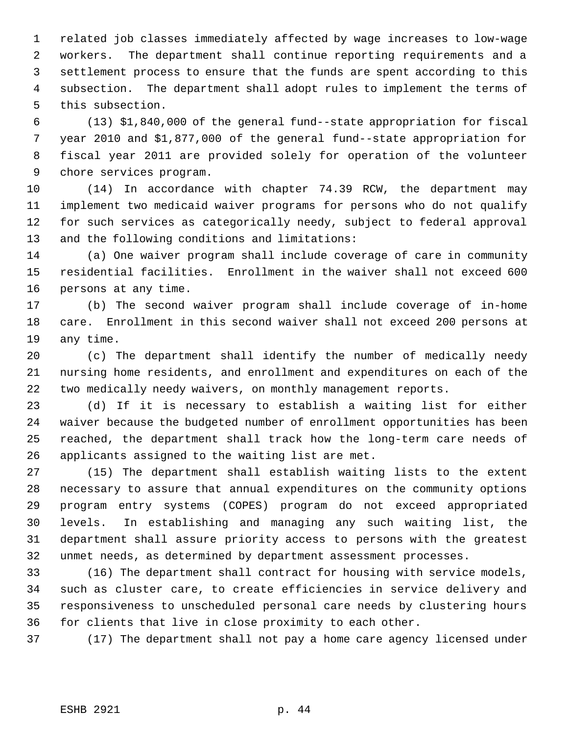related job classes immediately affected by wage increases to low-wage workers. The department shall continue reporting requirements and a settlement process to ensure that the funds are spent according to this subsection. The department shall adopt rules to implement the terms of this subsection.

 (13) \$1,840,000 of the general fund--state appropriation for fiscal year 2010 and \$1,877,000 of the general fund--state appropriation for fiscal year 2011 are provided solely for operation of the volunteer chore services program.

 (14) In accordance with chapter 74.39 RCW, the department may implement two medicaid waiver programs for persons who do not qualify for such services as categorically needy, subject to federal approval and the following conditions and limitations:

 (a) One waiver program shall include coverage of care in community residential facilities. Enrollment in the waiver shall not exceed 600 persons at any time.

 (b) The second waiver program shall include coverage of in-home care. Enrollment in this second waiver shall not exceed 200 persons at any time.

 (c) The department shall identify the number of medically needy nursing home residents, and enrollment and expenditures on each of the two medically needy waivers, on monthly management reports.

 (d) If it is necessary to establish a waiting list for either waiver because the budgeted number of enrollment opportunities has been reached, the department shall track how the long-term care needs of applicants assigned to the waiting list are met.

 (15) The department shall establish waiting lists to the extent necessary to assure that annual expenditures on the community options program entry systems (COPES) program do not exceed appropriated levels. In establishing and managing any such waiting list, the department shall assure priority access to persons with the greatest unmet needs, as determined by department assessment processes.

 (16) The department shall contract for housing with service models, such as cluster care, to create efficiencies in service delivery and responsiveness to unscheduled personal care needs by clustering hours for clients that live in close proximity to each other.

(17) The department shall not pay a home care agency licensed under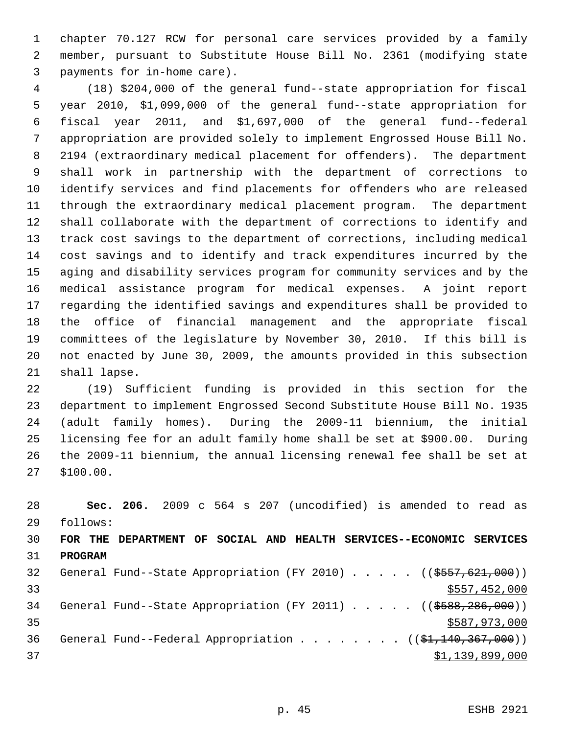chapter 70.127 RCW for personal care services provided by a family member, pursuant to Substitute House Bill No. 2361 (modifying state payments for in-home care).

 (18) \$204,000 of the general fund--state appropriation for fiscal year 2010, \$1,099,000 of the general fund--state appropriation for fiscal year 2011, and \$1,697,000 of the general fund--federal appropriation are provided solely to implement Engrossed House Bill No. 2194 (extraordinary medical placement for offenders). The department shall work in partnership with the department of corrections to identify services and find placements for offenders who are released through the extraordinary medical placement program. The department shall collaborate with the department of corrections to identify and track cost savings to the department of corrections, including medical cost savings and to identify and track expenditures incurred by the aging and disability services program for community services and by the medical assistance program for medical expenses. A joint report regarding the identified savings and expenditures shall be provided to the office of financial management and the appropriate fiscal committees of the legislature by November 30, 2010. If this bill is not enacted by June 30, 2009, the amounts provided in this subsection shall lapse.

 (19) Sufficient funding is provided in this section for the department to implement Engrossed Second Substitute House Bill No. 1935 (adult family homes). During the 2009-11 biennium, the initial licensing fee for an adult family home shall be set at \$900.00. During the 2009-11 biennium, the annual licensing renewal fee shall be set at \$100.00.

 **Sec. 206.** 2009 c 564 s 207 (uncodified) is amended to read as follows: **FOR THE DEPARTMENT OF SOCIAL AND HEALTH SERVICES--ECONOMIC SERVICES PROGRAM** 32 General Fund--State Appropriation (FY 2010) . . . . . ((\$557,621,000))  $\frac{1}{2}$  33  $\frac{1}{2}$  33 34 General Fund--State Appropriation (FY 2011) . . . . . ((\$588,286,000))  $35 \times 587,973,000$ 36 General Fund--Federal Appropriation . . . . . . . ((\$1,140,367,000))  $\frac{1}{2}$   $\frac{1}{39}$ , 899, 000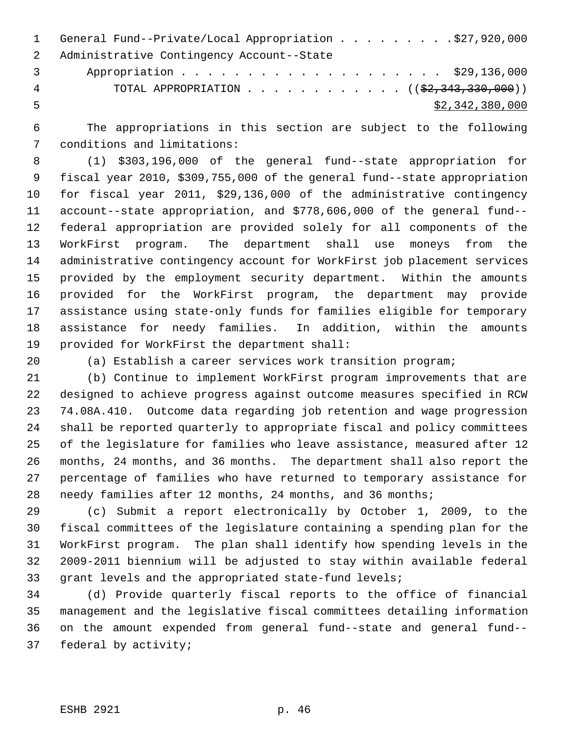|                | 1 General Fund--Private/Local Appropriation \$27,920,000                 |
|----------------|--------------------------------------------------------------------------|
|                | 2 Administrative Contingency Account--State                              |
| $\overline{3}$ | Appropriation \$29,136,000                                               |
| 4              | TOTAL APPROPRIATION ( $(\frac{2}{2}, \frac{343}{330}, \frac{300}{90})$ ) |
| - 5            | \$2,342,380,000                                                          |

 The appropriations in this section are subject to the following conditions and limitations:

 (1) \$303,196,000 of the general fund--state appropriation for fiscal year 2010, \$309,755,000 of the general fund--state appropriation for fiscal year 2011, \$29,136,000 of the administrative contingency account--state appropriation, and \$778,606,000 of the general fund-- federal appropriation are provided solely for all components of the WorkFirst program. The department shall use moneys from the administrative contingency account for WorkFirst job placement services provided by the employment security department. Within the amounts provided for the WorkFirst program, the department may provide assistance using state-only funds for families eligible for temporary assistance for needy families. In addition, within the amounts provided for WorkFirst the department shall:

(a) Establish a career services work transition program;

 (b) Continue to implement WorkFirst program improvements that are designed to achieve progress against outcome measures specified in RCW 74.08A.410. Outcome data regarding job retention and wage progression shall be reported quarterly to appropriate fiscal and policy committees of the legislature for families who leave assistance, measured after 12 months, 24 months, and 36 months. The department shall also report the percentage of families who have returned to temporary assistance for needy families after 12 months, 24 months, and 36 months;

 (c) Submit a report electronically by October 1, 2009, to the fiscal committees of the legislature containing a spending plan for the WorkFirst program. The plan shall identify how spending levels in the 2009-2011 biennium will be adjusted to stay within available federal grant levels and the appropriated state-fund levels;

 (d) Provide quarterly fiscal reports to the office of financial management and the legislative fiscal committees detailing information on the amount expended from general fund--state and general fund-- federal by activity;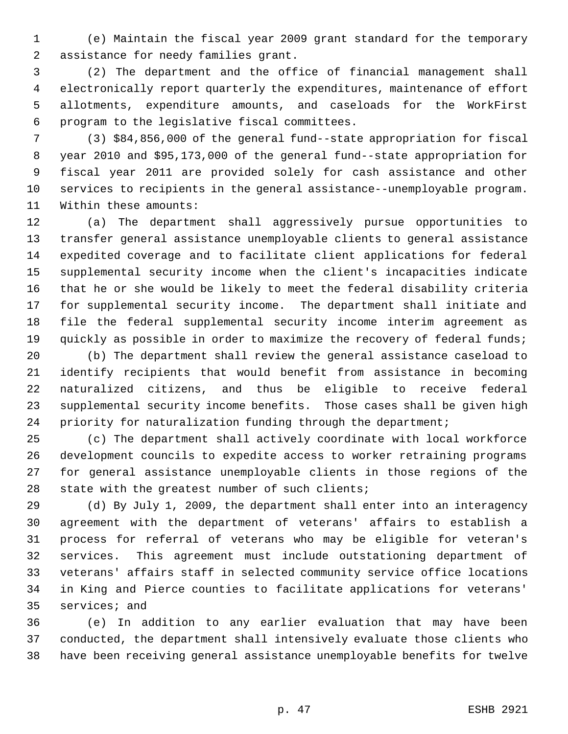(e) Maintain the fiscal year 2009 grant standard for the temporary assistance for needy families grant.

 (2) The department and the office of financial management shall electronically report quarterly the expenditures, maintenance of effort allotments, expenditure amounts, and caseloads for the WorkFirst program to the legislative fiscal committees.

 (3) \$84,856,000 of the general fund--state appropriation for fiscal year 2010 and \$95,173,000 of the general fund--state appropriation for fiscal year 2011 are provided solely for cash assistance and other services to recipients in the general assistance--unemployable program. Within these amounts:

 (a) The department shall aggressively pursue opportunities to transfer general assistance unemployable clients to general assistance expedited coverage and to facilitate client applications for federal supplemental security income when the client's incapacities indicate that he or she would be likely to meet the federal disability criteria for supplemental security income. The department shall initiate and file the federal supplemental security income interim agreement as 19 quickly as possible in order to maximize the recovery of federal funds;

 (b) The department shall review the general assistance caseload to identify recipients that would benefit from assistance in becoming naturalized citizens, and thus be eligible to receive federal supplemental security income benefits. Those cases shall be given high priority for naturalization funding through the department;

 (c) The department shall actively coordinate with local workforce development councils to expedite access to worker retraining programs for general assistance unemployable clients in those regions of the state with the greatest number of such clients;

 (d) By July 1, 2009, the department shall enter into an interagency agreement with the department of veterans' affairs to establish a process for referral of veterans who may be eligible for veteran's services. This agreement must include outstationing department of veterans' affairs staff in selected community service office locations in King and Pierce counties to facilitate applications for veterans' services; and

 (e) In addition to any earlier evaluation that may have been conducted, the department shall intensively evaluate those clients who have been receiving general assistance unemployable benefits for twelve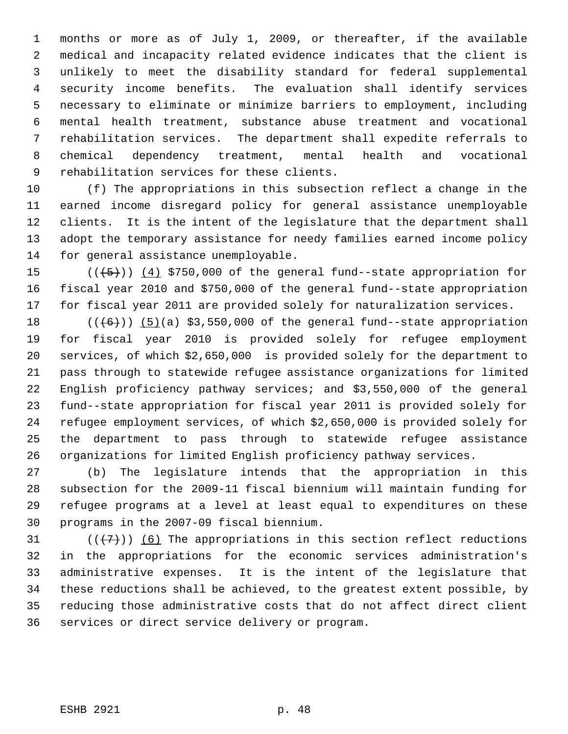months or more as of July 1, 2009, or thereafter, if the available medical and incapacity related evidence indicates that the client is unlikely to meet the disability standard for federal supplemental security income benefits. The evaluation shall identify services necessary to eliminate or minimize barriers to employment, including mental health treatment, substance abuse treatment and vocational rehabilitation services. The department shall expedite referrals to chemical dependency treatment, mental health and vocational rehabilitation services for these clients.

 (f) The appropriations in this subsection reflect a change in the earned income disregard policy for general assistance unemployable clients. It is the intent of the legislature that the department shall adopt the temporary assistance for needy families earned income policy for general assistance unemployable.

15  $((+5))$   $(4)$  \$750,000 of the general fund--state appropriation for fiscal year 2010 and \$750,000 of the general fund--state appropriation for fiscal year 2011 are provided solely for naturalization services.

 $((\text{(+6)}))$  (5)(a) \$3,550,000 of the general fund--state appropriation for fiscal year 2010 is provided solely for refugee employment services, of which \$2,650,000 is provided solely for the department to pass through to statewide refugee assistance organizations for limited English proficiency pathway services; and \$3,550,000 of the general fund--state appropriation for fiscal year 2011 is provided solely for refugee employment services, of which \$2,650,000 is provided solely for the department to pass through to statewide refugee assistance organizations for limited English proficiency pathway services.

 (b) The legislature intends that the appropriation in this subsection for the 2009-11 fiscal biennium will maintain funding for refugee programs at a level at least equal to expenditures on these programs in the 2007-09 fiscal biennium.

 $((+7))$  (6) The appropriations in this section reflect reductions in the appropriations for the economic services administration's administrative expenses. It is the intent of the legislature that these reductions shall be achieved, to the greatest extent possible, by reducing those administrative costs that do not affect direct client services or direct service delivery or program.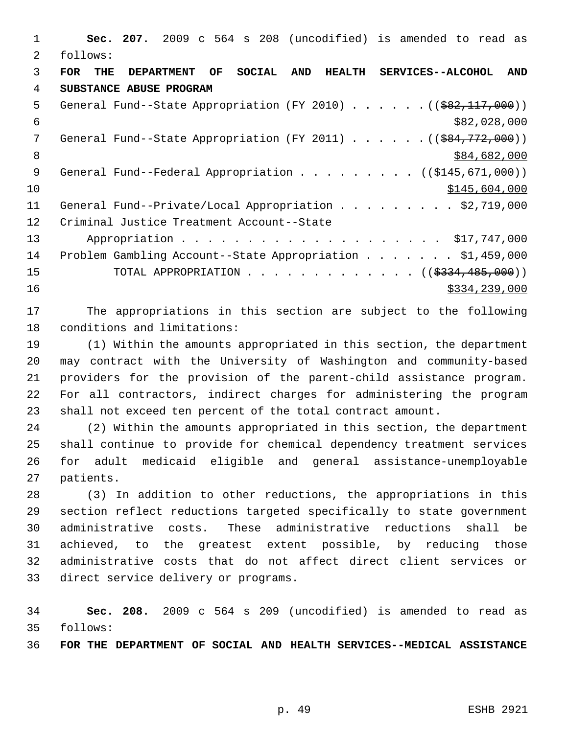**Sec. 207.** 2009 c 564 s 208 (uncodified) is amended to read as follows: **FOR THE DEPARTMENT OF SOCIAL AND HEALTH SERVICES--ALCOHOL AND SUBSTANCE ABUSE PROGRAM** 5 General Fund--State Appropriation (FY 2010) . . . . . . ((\$82,117,000))  $\frac{$82,028,000}{ }$ 7 General Fund--State Appropriation (FY 2011) . . . . . . ((\$84,772,000)) 8 \$84,682,000 \$84,682,000 9 General Fund--Federal Appropriation . . . . . . . . ((\$145,671,000)) \$145,604,000 11 General Fund--Private/Local Appropriation . . . . . . . . \$2,719,000 Criminal Justice Treatment Account--State 13 Appropriation . . . . . . . . . . . . . . . . . . \$17,747,000 Problem Gambling Account--State Appropriation . . . . . . . \$1,459,000 15 TOTAL APPROPRIATION . . . . . . . . . . . . ((\$<del>334,485,000</del>)) 16 \$334,239,000

 The appropriations in this section are subject to the following conditions and limitations:

 (1) Within the amounts appropriated in this section, the department may contract with the University of Washington and community-based providers for the provision of the parent-child assistance program. For all contractors, indirect charges for administering the program shall not exceed ten percent of the total contract amount.

 (2) Within the amounts appropriated in this section, the department shall continue to provide for chemical dependency treatment services for adult medicaid eligible and general assistance-unemployable patients.

 (3) In addition to other reductions, the appropriations in this section reflect reductions targeted specifically to state government administrative costs. These administrative reductions shall be achieved, to the greatest extent possible, by reducing those administrative costs that do not affect direct client services or direct service delivery or programs.

 **Sec. 208.** 2009 c 564 s 209 (uncodified) is amended to read as follows:

**FOR THE DEPARTMENT OF SOCIAL AND HEALTH SERVICES--MEDICAL ASSISTANCE**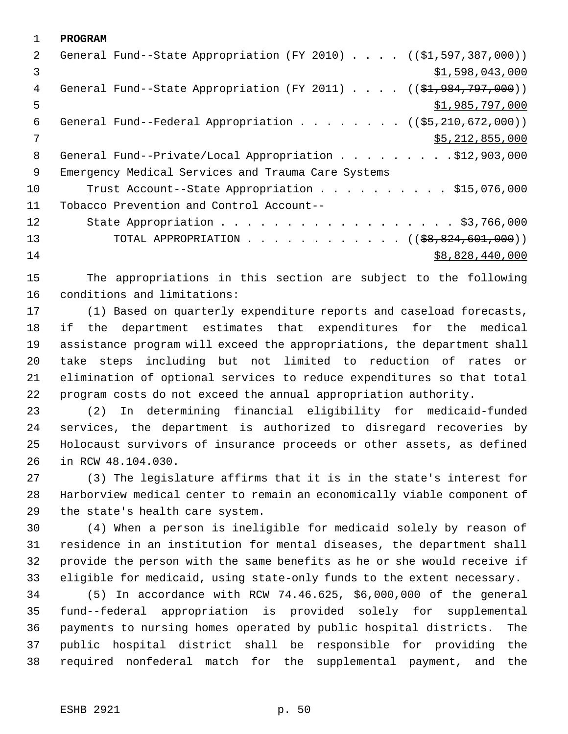**PROGRAM** 2 General Fund--State Appropriation (FY 2010) . . . . ((\$1,597,387,000))  $3 \hspace{2.5cm}$   $\frac{1}{3}$ ,598,043,000 4 General Fund--State Appropriation (FY 2011) . . . . ((\$1,984,797,000))  $5 - 5$   $\frac{1}{2}$ ,985,797,000 6 General Fund--Federal Appropriation . . . . . . .  $($   $($ \$5,210,672,000)) \$5,212,855,000 8 General Fund--Private/Local Appropriation . . . . . . . . . \$12,903,000 Emergency Medical Services and Trauma Care Systems 10 Trust Account--State Appropriation . . . . . . . . . \$15,076,000 Tobacco Prevention and Control Account-- 12 State Appropriation . . . . . . . . . . . . . . . . . \$3,766,000 13 TOTAL APPROPRIATION . . . . . . . . . . . . ((\$8,824,601,000)) \$8,828,440,000

 The appropriations in this section are subject to the following conditions and limitations:

 (1) Based on quarterly expenditure reports and caseload forecasts, if the department estimates that expenditures for the medical assistance program will exceed the appropriations, the department shall take steps including but not limited to reduction of rates or elimination of optional services to reduce expenditures so that total program costs do not exceed the annual appropriation authority.

 (2) In determining financial eligibility for medicaid-funded services, the department is authorized to disregard recoveries by Holocaust survivors of insurance proceeds or other assets, as defined in RCW 48.104.030.

 (3) The legislature affirms that it is in the state's interest for Harborview medical center to remain an economically viable component of the state's health care system.

 (4) When a person is ineligible for medicaid solely by reason of residence in an institution for mental diseases, the department shall provide the person with the same benefits as he or she would receive if eligible for medicaid, using state-only funds to the extent necessary.

 (5) In accordance with RCW 74.46.625, \$6,000,000 of the general fund--federal appropriation is provided solely for supplemental payments to nursing homes operated by public hospital districts. The public hospital district shall be responsible for providing the required nonfederal match for the supplemental payment, and the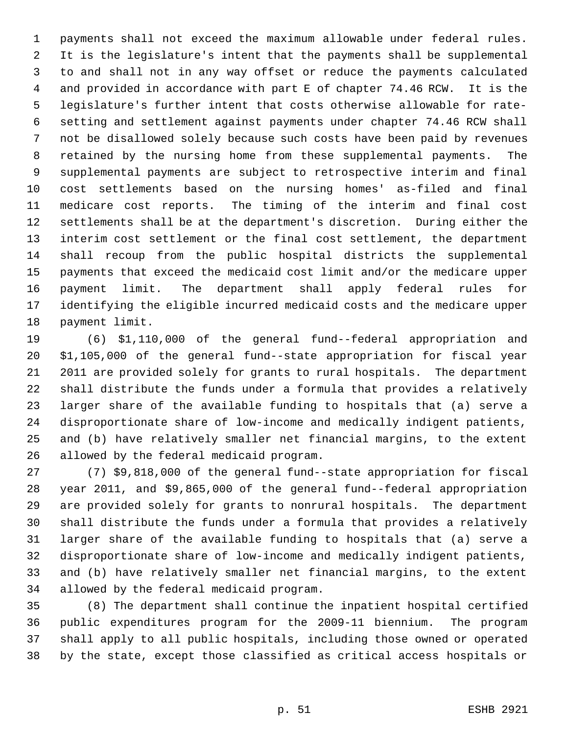payments shall not exceed the maximum allowable under federal rules. It is the legislature's intent that the payments shall be supplemental to and shall not in any way offset or reduce the payments calculated and provided in accordance with part E of chapter 74.46 RCW. It is the legislature's further intent that costs otherwise allowable for rate- setting and settlement against payments under chapter 74.46 RCW shall not be disallowed solely because such costs have been paid by revenues retained by the nursing home from these supplemental payments. The supplemental payments are subject to retrospective interim and final cost settlements based on the nursing homes' as-filed and final medicare cost reports. The timing of the interim and final cost settlements shall be at the department's discretion. During either the interim cost settlement or the final cost settlement, the department shall recoup from the public hospital districts the supplemental payments that exceed the medicaid cost limit and/or the medicare upper payment limit. The department shall apply federal rules for identifying the eligible incurred medicaid costs and the medicare upper payment limit.

 (6) \$1,110,000 of the general fund--federal appropriation and \$1,105,000 of the general fund--state appropriation for fiscal year 2011 are provided solely for grants to rural hospitals. The department shall distribute the funds under a formula that provides a relatively larger share of the available funding to hospitals that (a) serve a disproportionate share of low-income and medically indigent patients, and (b) have relatively smaller net financial margins, to the extent allowed by the federal medicaid program.

 (7) \$9,818,000 of the general fund--state appropriation for fiscal year 2011, and \$9,865,000 of the general fund--federal appropriation are provided solely for grants to nonrural hospitals. The department shall distribute the funds under a formula that provides a relatively larger share of the available funding to hospitals that (a) serve a disproportionate share of low-income and medically indigent patients, and (b) have relatively smaller net financial margins, to the extent allowed by the federal medicaid program.

 (8) The department shall continue the inpatient hospital certified public expenditures program for the 2009-11 biennium. The program shall apply to all public hospitals, including those owned or operated by the state, except those classified as critical access hospitals or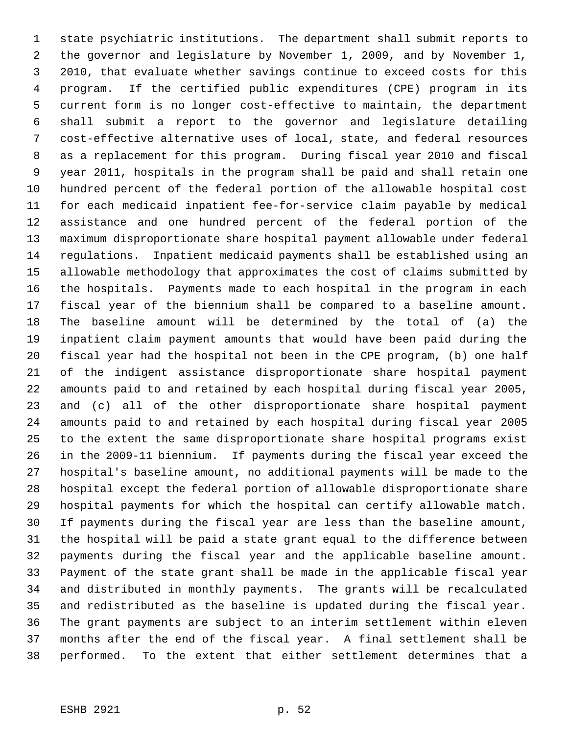state psychiatric institutions. The department shall submit reports to the governor and legislature by November 1, 2009, and by November 1, 2010, that evaluate whether savings continue to exceed costs for this program. If the certified public expenditures (CPE) program in its current form is no longer cost-effective to maintain, the department shall submit a report to the governor and legislature detailing cost-effective alternative uses of local, state, and federal resources as a replacement for this program. During fiscal year 2010 and fiscal year 2011, hospitals in the program shall be paid and shall retain one hundred percent of the federal portion of the allowable hospital cost for each medicaid inpatient fee-for-service claim payable by medical assistance and one hundred percent of the federal portion of the maximum disproportionate share hospital payment allowable under federal regulations. Inpatient medicaid payments shall be established using an allowable methodology that approximates the cost of claims submitted by the hospitals. Payments made to each hospital in the program in each fiscal year of the biennium shall be compared to a baseline amount. The baseline amount will be determined by the total of (a) the inpatient claim payment amounts that would have been paid during the fiscal year had the hospital not been in the CPE program, (b) one half of the indigent assistance disproportionate share hospital payment amounts paid to and retained by each hospital during fiscal year 2005, and (c) all of the other disproportionate share hospital payment amounts paid to and retained by each hospital during fiscal year 2005 to the extent the same disproportionate share hospital programs exist in the 2009-11 biennium. If payments during the fiscal year exceed the hospital's baseline amount, no additional payments will be made to the hospital except the federal portion of allowable disproportionate share hospital payments for which the hospital can certify allowable match. If payments during the fiscal year are less than the baseline amount, the hospital will be paid a state grant equal to the difference between payments during the fiscal year and the applicable baseline amount. Payment of the state grant shall be made in the applicable fiscal year and distributed in monthly payments. The grants will be recalculated and redistributed as the baseline is updated during the fiscal year. The grant payments are subject to an interim settlement within eleven months after the end of the fiscal year. A final settlement shall be performed. To the extent that either settlement determines that a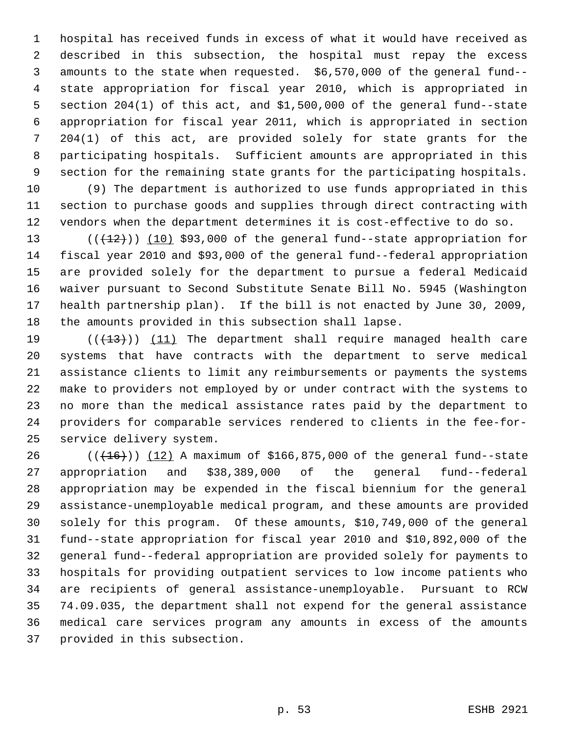hospital has received funds in excess of what it would have received as described in this subsection, the hospital must repay the excess amounts to the state when requested. \$6,570,000 of the general fund-- state appropriation for fiscal year 2010, which is appropriated in section 204(1) of this act, and \$1,500,000 of the general fund--state appropriation for fiscal year 2011, which is appropriated in section 204(1) of this act, are provided solely for state grants for the participating hospitals. Sufficient amounts are appropriated in this section for the remaining state grants for the participating hospitals.

 (9) The department is authorized to use funds appropriated in this section to purchase goods and supplies through direct contracting with vendors when the department determines it is cost-effective to do so.

13 (( $(12)$ )) (10) \$93,000 of the general fund--state appropriation for fiscal year 2010 and \$93,000 of the general fund--federal appropriation are provided solely for the department to pursue a federal Medicaid waiver pursuant to Second Substitute Senate Bill No. 5945 (Washington health partnership plan). If the bill is not enacted by June 30, 2009, the amounts provided in this subsection shall lapse.

19 (((13))) (11) The department shall require managed health care systems that have contracts with the department to serve medical assistance clients to limit any reimbursements or payments the systems make to providers not employed by or under contract with the systems to no more than the medical assistance rates paid by the department to providers for comparable services rendered to clients in the fee-for-service delivery system.

26 (( $(16)$ )) (12) A maximum of \$166,875,000 of the general fund--state appropriation and \$38,389,000 of the general fund--federal appropriation may be expended in the fiscal biennium for the general assistance-unemployable medical program, and these amounts are provided solely for this program. Of these amounts, \$10,749,000 of the general fund--state appropriation for fiscal year 2010 and \$10,892,000 of the general fund--federal appropriation are provided solely for payments to hospitals for providing outpatient services to low income patients who are recipients of general assistance-unemployable. Pursuant to RCW 74.09.035, the department shall not expend for the general assistance medical care services program any amounts in excess of the amounts provided in this subsection.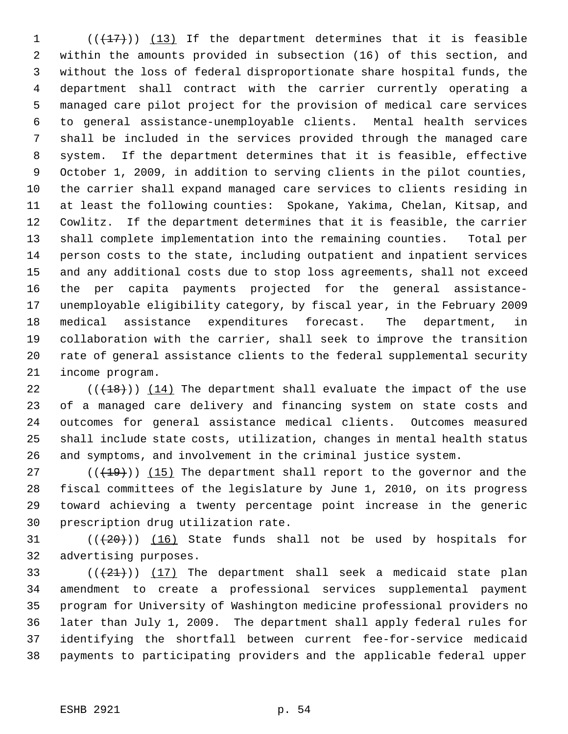(( $\left(\frac{17}{17}\right)$ ) (13) If the department determines that it is feasible within the amounts provided in subsection (16) of this section, and without the loss of federal disproportionate share hospital funds, the department shall contract with the carrier currently operating a managed care pilot project for the provision of medical care services to general assistance-unemployable clients. Mental health services shall be included in the services provided through the managed care system. If the department determines that it is feasible, effective October 1, 2009, in addition to serving clients in the pilot counties, the carrier shall expand managed care services to clients residing in at least the following counties: Spokane, Yakima, Chelan, Kitsap, and Cowlitz. If the department determines that it is feasible, the carrier shall complete implementation into the remaining counties. Total per person costs to the state, including outpatient and inpatient services and any additional costs due to stop loss agreements, shall not exceed the per capita payments projected for the general assistance- unemployable eligibility category, by fiscal year, in the February 2009 medical assistance expenditures forecast. The department, in collaboration with the carrier, shall seek to improve the transition rate of general assistance clients to the federal supplemental security income program.

 $((+18))$   $(14)$  The department shall evaluate the impact of the use of a managed care delivery and financing system on state costs and outcomes for general assistance medical clients. Outcomes measured shall include state costs, utilization, changes in mental health status and symptoms, and involvement in the criminal justice system.

 $((+19))$   $(15)$  The department shall report to the governor and the fiscal committees of the legislature by June 1, 2010, on its progress toward achieving a twenty percentage point increase in the generic prescription drug utilization rate.

31  $((+20))$   $(16)$  State funds shall not be used by hospitals for advertising purposes.

 $((+21))$   $(17)$  The department shall seek a medicaid state plan amendment to create a professional services supplemental payment program for University of Washington medicine professional providers no later than July 1, 2009. The department shall apply federal rules for identifying the shortfall between current fee-for-service medicaid payments to participating providers and the applicable federal upper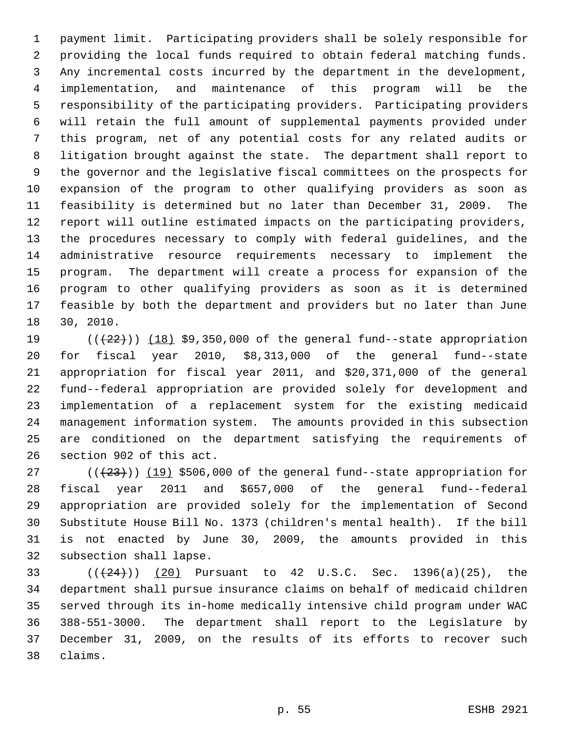payment limit. Participating providers shall be solely responsible for providing the local funds required to obtain federal matching funds. Any incremental costs incurred by the department in the development, implementation, and maintenance of this program will be the responsibility of the participating providers. Participating providers will retain the full amount of supplemental payments provided under this program, net of any potential costs for any related audits or litigation brought against the state. The department shall report to the governor and the legislative fiscal committees on the prospects for expansion of the program to other qualifying providers as soon as feasibility is determined but no later than December 31, 2009. The report will outline estimated impacts on the participating providers, the procedures necessary to comply with federal guidelines, and the administrative resource requirements necessary to implement the program. The department will create a process for expansion of the program to other qualifying providers as soon as it is determined feasible by both the department and providers but no later than June 30, 2010.

 $((+22))$   $(18)$  \$9,350,000 of the general fund--state appropriation for fiscal year 2010, \$8,313,000 of the general fund--state appropriation for fiscal year 2011, and \$20,371,000 of the general fund--federal appropriation are provided solely for development and implementation of a replacement system for the existing medicaid management information system. The amounts provided in this subsection are conditioned on the department satisfying the requirements of section 902 of this act.

 $((+23))$   $(19)$  \$506,000 of the general fund--state appropriation for fiscal year 2011 and \$657,000 of the general fund--federal appropriation are provided solely for the implementation of Second Substitute House Bill No. 1373 (children's mental health). If the bill is not enacted by June 30, 2009, the amounts provided in this subsection shall lapse.

33 ( $(\frac{24}{2})$ ) (20) Pursuant to 42 U.S.C. Sec. 1396(a)(25), the department shall pursue insurance claims on behalf of medicaid children served through its in-home medically intensive child program under WAC 388-551-3000. The department shall report to the Legislature by December 31, 2009, on the results of its efforts to recover such claims.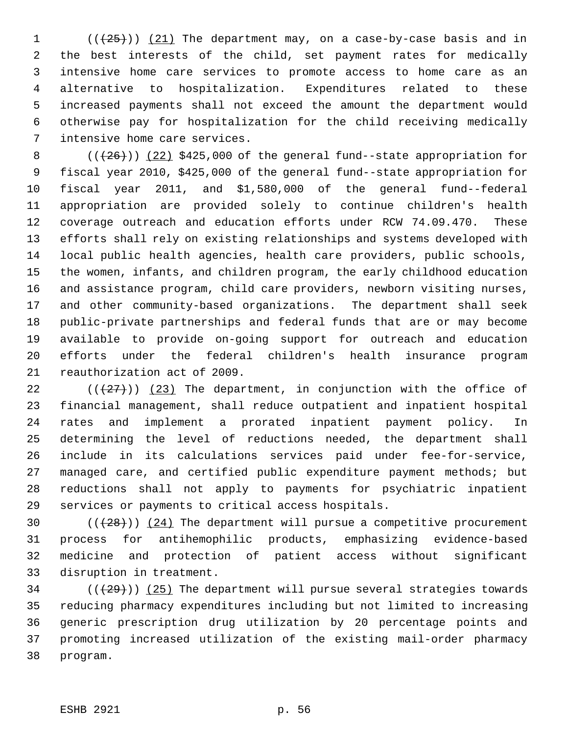( $(\frac{25}{1})$ ) (21) The department may, on a case-by-case basis and in the best interests of the child, set payment rates for medically intensive home care services to promote access to home care as an alternative to hospitalization. Expenditures related to these increased payments shall not exceed the amount the department would otherwise pay for hospitalization for the child receiving medically intensive home care services.

 $((+26))$   $(22)$  \$425,000 of the general fund--state appropriation for fiscal year 2010, \$425,000 of the general fund--state appropriation for fiscal year 2011, and \$1,580,000 of the general fund--federal appropriation are provided solely to continue children's health coverage outreach and education efforts under RCW 74.09.470. These efforts shall rely on existing relationships and systems developed with local public health agencies, health care providers, public schools, the women, infants, and children program, the early childhood education and assistance program, child care providers, newborn visiting nurses, and other community-based organizations. The department shall seek public-private partnerships and federal funds that are or may become available to provide on-going support for outreach and education efforts under the federal children's health insurance program reauthorization act of 2009.

 $((+27))$  (23) The department, in conjunction with the office of financial management, shall reduce outpatient and inpatient hospital rates and implement a prorated inpatient payment policy. In determining the level of reductions needed, the department shall include in its calculations services paid under fee-for-service, managed care, and certified public expenditure payment methods; but reductions shall not apply to payments for psychiatric inpatient services or payments to critical access hospitals.

 $((+28))$   $(24)$  The department will pursue a competitive procurement process for antihemophilic products, emphasizing evidence-based medicine and protection of patient access without significant disruption in treatment.

 (( $(29)$ )) (25) The department will pursue several strategies towards reducing pharmacy expenditures including but not limited to increasing generic prescription drug utilization by 20 percentage points and promoting increased utilization of the existing mail-order pharmacy program.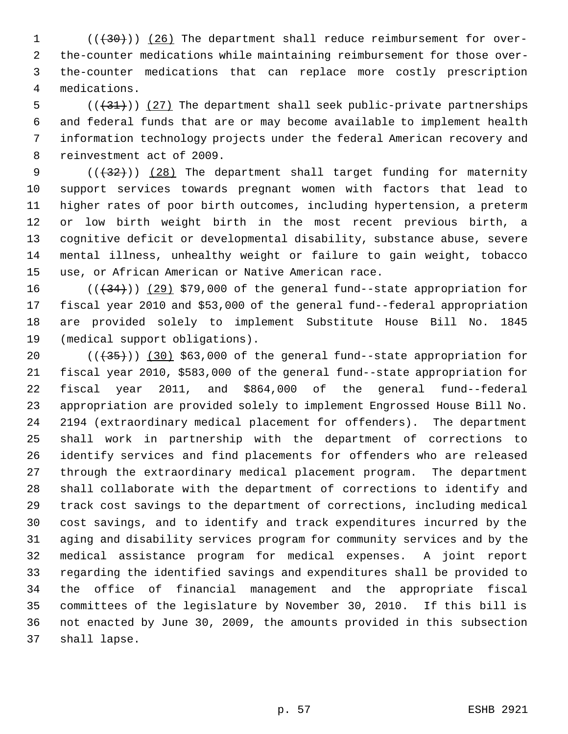1 (( $(30)$ )) (26) The department shall reduce reimbursement for over- the-counter medications while maintaining reimbursement for those over- the-counter medications that can replace more costly prescription medications.

 $((+31))$   $(27)$  The department shall seek public-private partnerships and federal funds that are or may become available to implement health information technology projects under the federal American recovery and reinvestment act of 2009.

9 (( $\left(\frac{1}{32}\right)$ ) (28) The department shall target funding for maternity support services towards pregnant women with factors that lead to higher rates of poor birth outcomes, including hypertension, a preterm or low birth weight birth in the most recent previous birth, a cognitive deficit or developmental disability, substance abuse, severe mental illness, unhealthy weight or failure to gain weight, tobacco use, or African American or Native American race.

 $((+34))$   $(29)$  \$79,000 of the general fund--state appropriation for fiscal year 2010 and \$53,000 of the general fund--federal appropriation are provided solely to implement Substitute House Bill No. 1845 (medical support obligations).

 $((+35))$   $(30)$  \$63,000 of the general fund--state appropriation for fiscal year 2010, \$583,000 of the general fund--state appropriation for fiscal year 2011, and \$864,000 of the general fund--federal appropriation are provided solely to implement Engrossed House Bill No. 2194 (extraordinary medical placement for offenders). The department shall work in partnership with the department of corrections to identify services and find placements for offenders who are released through the extraordinary medical placement program. The department shall collaborate with the department of corrections to identify and track cost savings to the department of corrections, including medical cost savings, and to identify and track expenditures incurred by the aging and disability services program for community services and by the medical assistance program for medical expenses. A joint report regarding the identified savings and expenditures shall be provided to the office of financial management and the appropriate fiscal committees of the legislature by November 30, 2010. If this bill is not enacted by June 30, 2009, the amounts provided in this subsection shall lapse.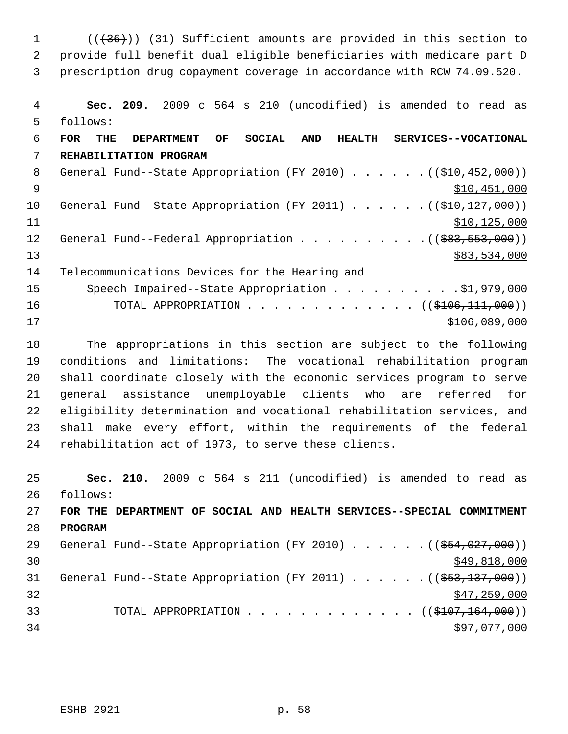1 (( $(36)$ )) (31) Sufficient amounts are provided in this section to provide full benefit dual eligible beneficiaries with medicare part D prescription drug copayment coverage in accordance with RCW 74.09.520.

 **Sec. 209.** 2009 c 564 s 210 (uncodified) is amended to read as follows: **FOR THE DEPARTMENT OF SOCIAL AND HEALTH SERVICES--VOCATIONAL REHABILITATION PROGRAM** 8 General Fund--State Appropriation (FY 2010) . . . . . . ((\$10,452,000)) \$10,451,000 10 General Fund--State Appropriation (FY 2011) . . . . . . ((\$10,127,000))  $$10,125,000$ 12 General Fund--Federal Appropriation . . . . . . . . . . ((\$83,553,000)) \$83,534,000 Telecommunications Devices for the Hearing and 15 Speech Impaired--State Appropriation . . . . . . . . . \$1,979,000 16 TOTAL APPROPRIATION . . . . . . . . . . . . ((\$<del>106,111,000</del>)) \$106,089,000

 The appropriations in this section are subject to the following conditions and limitations: The vocational rehabilitation program shall coordinate closely with the economic services program to serve general assistance unemployable clients who are referred for eligibility determination and vocational rehabilitation services, and shall make every effort, within the requirements of the federal rehabilitation act of 1973, to serve these clients.

 **Sec. 210.** 2009 c 564 s 211 (uncodified) is amended to read as follows: **FOR THE DEPARTMENT OF SOCIAL AND HEALTH SERVICES--SPECIAL COMMITMENT PROGRAM** 29 General Fund--State Appropriation (FY 2010) . . . . . . ((\$54,027,000))  $\frac{1}{20}$  \$49,818,000 31 General Fund--State Appropriation (FY 2011) . . . . . . ((\$53,137,000)) \$47,259,000 33 TOTAL APPROPRIATION . . . . . . . . . . . . . ((\$107,164,000)) \$97,077,000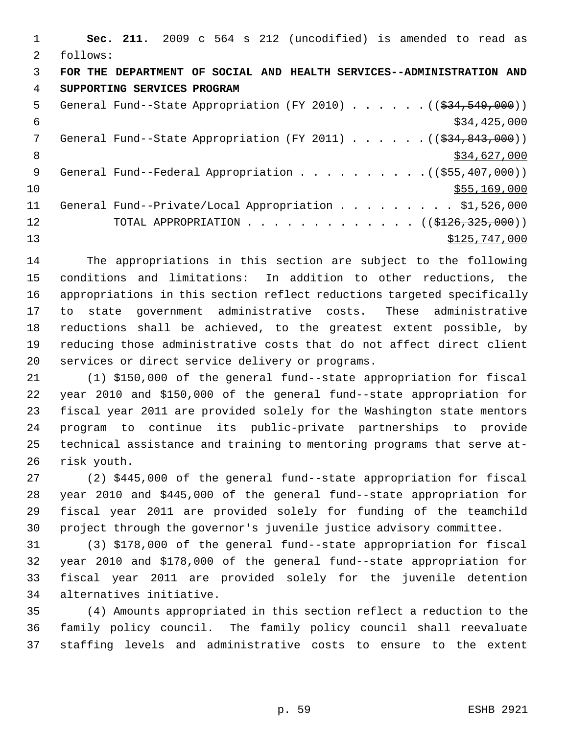|               | Sec. 211. 2009 c 564 s 212 (uncodified) is amended to read as                     |
|---------------|-----------------------------------------------------------------------------------|
| $\mathcal{L}$ | follows:                                                                          |
| 3             | FOR THE DEPARTMENT OF SOCIAL AND HEALTH SERVICES--ADMINISTRATION AND              |
| 4             | SUPPORTING SERVICES PROGRAM                                                       |
| 5             | General Fund--State Appropriation (FY 2010) $($ $($ $\frac{24}{534}, 549, 000)$ ) |
| 6             | \$34,425,000                                                                      |
| 7             | General Fund--State Appropriation (FY 2011) $($ $($ \$34,843,000))                |
| 8             | \$34,627,000                                                                      |
| 9             |                                                                                   |
| 10            | \$55,169,000                                                                      |
| 11            | General Fund--Private/Local Appropriation \$1,526,000                             |
| 12            | TOTAL APPROPRIATION ( $(\frac{$126}{,325},000)$ )                                 |
| 13            | \$125,747,000                                                                     |

 The appropriations in this section are subject to the following conditions and limitations: In addition to other reductions, the appropriations in this section reflect reductions targeted specifically to state government administrative costs. These administrative reductions shall be achieved, to the greatest extent possible, by reducing those administrative costs that do not affect direct client services or direct service delivery or programs.

 (1) \$150,000 of the general fund--state appropriation for fiscal year 2010 and \$150,000 of the general fund--state appropriation for fiscal year 2011 are provided solely for the Washington state mentors program to continue its public-private partnerships to provide technical assistance and training to mentoring programs that serve at-risk youth.

 (2) \$445,000 of the general fund--state appropriation for fiscal year 2010 and \$445,000 of the general fund--state appropriation for fiscal year 2011 are provided solely for funding of the teamchild project through the governor's juvenile justice advisory committee.

 (3) \$178,000 of the general fund--state appropriation for fiscal year 2010 and \$178,000 of the general fund--state appropriation for fiscal year 2011 are provided solely for the juvenile detention alternatives initiative.

 (4) Amounts appropriated in this section reflect a reduction to the family policy council. The family policy council shall reevaluate staffing levels and administrative costs to ensure to the extent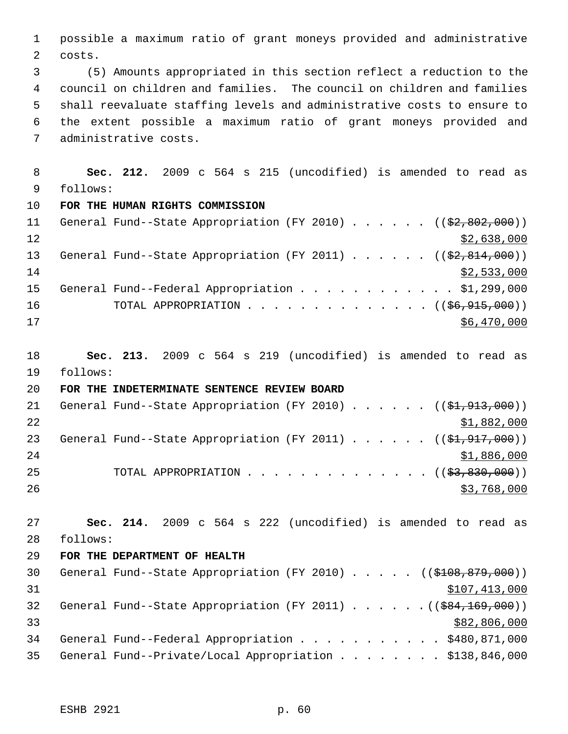possible a maximum ratio of grant moneys provided and administrative costs.

 (5) Amounts appropriated in this section reflect a reduction to the council on children and families. The council on children and families shall reevaluate staffing levels and administrative costs to ensure to the extent possible a maximum ratio of grant moneys provided and administrative costs.

 **Sec. 212.** 2009 c 564 s 215 (uncodified) is amended to read as follows: **FOR THE HUMAN RIGHTS COMMISSION** 11 General Fund--State Appropriation (FY 2010) . . . . . ((\$2,802,000))  $\frac{12}{2}$   $\frac{12}{2}$   $\frac{12}{2}$   $\frac{12}{2}$   $\frac{12}{2}$   $\frac{12}{2}$   $\frac{12}{2}$   $\frac{12}{2}$   $\frac{12}{2}$   $\frac{12}{2}$   $\frac{12}{2}$   $\frac{12}{2}$   $\frac{12}{2}$   $\frac{12}{2}$   $\frac{12}{2}$   $\frac{12}{2}$   $\frac{12}{2}$   $\frac{12}{2}$   $\frac{12}{2}$   $\frac{12}{2}$  13 General Fund--State Appropriation (FY 2011) . . . . . . ((\$2,814,000))

 \$2,533,000 15 General Fund--Federal Appropriation . . . . . . . . . . . \$1,299,000 16 TOTAL APPROPRIATION . . . . . . . . . . . . . ((<del>\$6,915,000</del>)) \$6,470,000

 **Sec. 213.** 2009 c 564 s 219 (uncodified) is amended to read as follows:

**FOR THE INDETERMINATE SENTENCE REVIEW BOARD**

| 21 |  |  |  |  |  | General Fund--State Appropriation (FY 2010) $($ $($ \$1,913,000)) |
|----|--|--|--|--|--|-------------------------------------------------------------------|
| 22 |  |  |  |  |  | \$1,882,000                                                       |
| 23 |  |  |  |  |  | General Fund--State Appropriation (FY 2011) $($ $($ \$1,917,000)) |
| 24 |  |  |  |  |  | \$1,886,000                                                       |
| 25 |  |  |  |  |  | TOTAL APPROPRIATION $($ $(\frac{27}{2}, \frac{830}{100})$         |
| 26 |  |  |  |  |  | \$3,768,000                                                       |

 **Sec. 214.** 2009 c 564 s 222 (uncodified) is amended to read as follows:

**FOR THE DEPARTMENT OF HEALTH**

30 General Fund--State Appropriation (FY 2010) . . . . . ((\$108,879,000)) \$107,413,000 32 General Fund--State Appropriation (FY 2011) . . . . . . ((\$84,169,000)) \$82,806,000 General Fund--Federal Appropriation . . . . . . . . . . . \$480,871,000 General Fund--Private/Local Appropriation . . . . . . . . \$138,846,000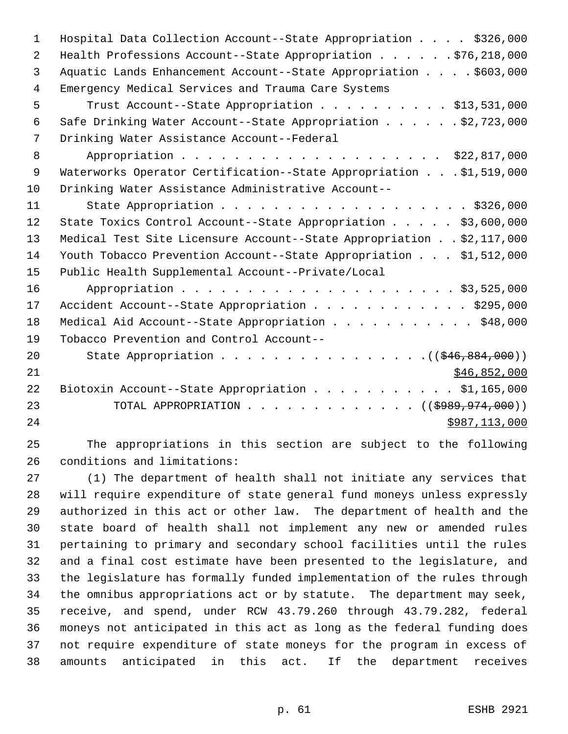| $\mathbf{1}$   | Hospital Data Collection Account--State Appropriation \$326,000      |
|----------------|----------------------------------------------------------------------|
| 2              | Health Professions Account--State Appropriation \$76,218,000         |
| $\mathbf{3}$   | Aquatic Lands Enhancement Account--State Appropriation \$603,000     |
| $\overline{4}$ | Emergency Medical Services and Trauma Care Systems                   |
| 5              | Trust Account--State Appropriation \$13,531,000                      |
| 6              | Safe Drinking Water Account--State Appropriation \$2,723,000         |
| 7              | Drinking Water Assistance Account--Federal                           |
| 8              | Appropriation \$22,817,000                                           |
| $\overline{9}$ | Waterworks Operator Certification--State Appropriation \$1,519,000   |
| 10             | Drinking Water Assistance Administrative Account--                   |
| 11             |                                                                      |
| 12             | State Toxics Control Account--State Appropriation \$3,600,000        |
| 13             | Medical Test Site Licensure Account--State Appropriation \$2,117,000 |
| 14             | Youth Tobacco Prevention Account--State Appropriation \$1,512,000    |
| 15             | Public Health Supplemental Account--Private/Local                    |
| 16             |                                                                      |
| 17             | Accident Account--State Appropriation \$295,000                      |
| 18             | Medical Aid Account--State Appropriation \$48,000                    |
| 19             | Tobacco Prevention and Control Account--                             |
| 20             | State Appropriation $($ $($ $$46, 884, 000)$ $)$                     |
| 21             | \$46,852,000                                                         |
| 22             | Biotoxin Account--State Appropriation \$1,165,000                    |
| 23             | TOTAL APPROPRIATION ( $(\frac{1989}{1000}, \frac{974}{1000})$ )      |
| 24             | \$987,113,000                                                        |
|                |                                                                      |

 The appropriations in this section are subject to the following conditions and limitations:

 (1) The department of health shall not initiate any services that will require expenditure of state general fund moneys unless expressly authorized in this act or other law. The department of health and the state board of health shall not implement any new or amended rules pertaining to primary and secondary school facilities until the rules and a final cost estimate have been presented to the legislature, and the legislature has formally funded implementation of the rules through the omnibus appropriations act or by statute. The department may seek, receive, and spend, under RCW 43.79.260 through 43.79.282, federal moneys not anticipated in this act as long as the federal funding does not require expenditure of state moneys for the program in excess of amounts anticipated in this act. If the department receives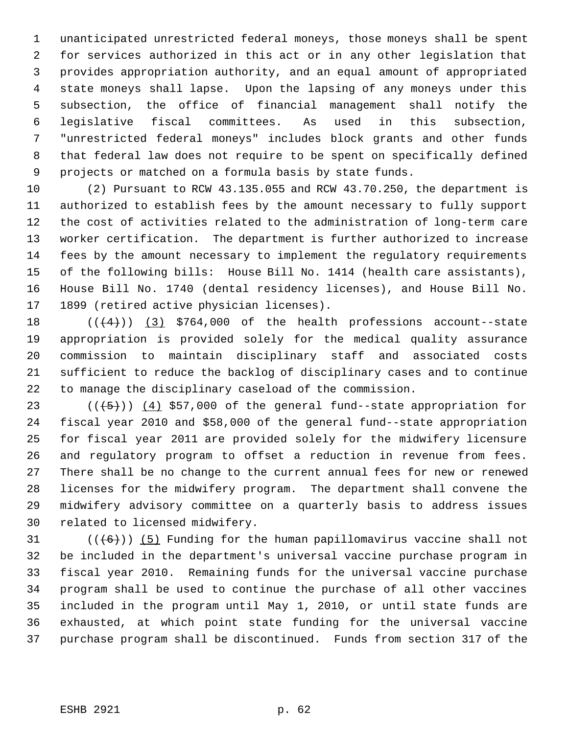unanticipated unrestricted federal moneys, those moneys shall be spent for services authorized in this act or in any other legislation that provides appropriation authority, and an equal amount of appropriated state moneys shall lapse. Upon the lapsing of any moneys under this subsection, the office of financial management shall notify the legislative fiscal committees. As used in this subsection, "unrestricted federal moneys" includes block grants and other funds that federal law does not require to be spent on specifically defined projects or matched on a formula basis by state funds.

 (2) Pursuant to RCW 43.135.055 and RCW 43.70.250, the department is authorized to establish fees by the amount necessary to fully support the cost of activities related to the administration of long-term care worker certification. The department is further authorized to increase fees by the amount necessary to implement the regulatory requirements of the following bills: House Bill No. 1414 (health care assistants), House Bill No. 1740 (dental residency licenses), and House Bill No. 1899 (retired active physician licenses).

 $((+4))$   $(3)$  \$764,000 of the health professions account--state appropriation is provided solely for the medical quality assurance commission to maintain disciplinary staff and associated costs sufficient to reduce the backlog of disciplinary cases and to continue to manage the disciplinary caseload of the commission.

 $((+5))$   $(4)$  \$57,000 of the general fund--state appropriation for fiscal year 2010 and \$58,000 of the general fund--state appropriation for fiscal year 2011 are provided solely for the midwifery licensure and regulatory program to offset a reduction in revenue from fees. There shall be no change to the current annual fees for new or renewed licenses for the midwifery program. The department shall convene the midwifery advisory committee on a quarterly basis to address issues related to licensed midwifery.

 $((+6))$  (5) Funding for the human papillomavirus vaccine shall not be included in the department's universal vaccine purchase program in fiscal year 2010. Remaining funds for the universal vaccine purchase program shall be used to continue the purchase of all other vaccines included in the program until May 1, 2010, or until state funds are exhausted, at which point state funding for the universal vaccine purchase program shall be discontinued. Funds from section 317 of the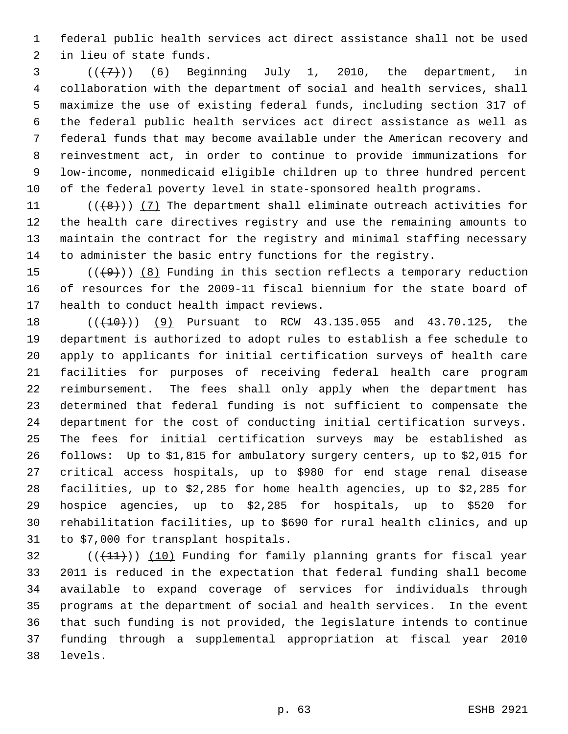federal public health services act direct assistance shall not be used in lieu of state funds.

  $((\overline{7})$  (6) Beginning July 1, 2010, the department, in collaboration with the department of social and health services, shall maximize the use of existing federal funds, including section 317 of the federal public health services act direct assistance as well as federal funds that may become available under the American recovery and reinvestment act, in order to continue to provide immunizations for low-income, nonmedicaid eligible children up to three hundred percent of the federal poverty level in state-sponsored health programs.

 $((\{8\})$  (7) The department shall eliminate outreach activities for the health care directives registry and use the remaining amounts to maintain the contract for the registry and minimal staffing necessary to administer the basic entry functions for the registry.

15  $((+9))$   $(8)$  Funding in this section reflects a temporary reduction of resources for the 2009-11 fiscal biennium for the state board of health to conduct health impact reviews.

18 (( $(410)$ ) (9) Pursuant to RCW 43.135.055 and 43.70.125, the department is authorized to adopt rules to establish a fee schedule to apply to applicants for initial certification surveys of health care facilities for purposes of receiving federal health care program reimbursement. The fees shall only apply when the department has determined that federal funding is not sufficient to compensate the department for the cost of conducting initial certification surveys. The fees for initial certification surveys may be established as follows: Up to \$1,815 for ambulatory surgery centers, up to \$2,015 for critical access hospitals, up to \$980 for end stage renal disease facilities, up to \$2,285 for home health agencies, up to \$2,285 for hospice agencies, up to \$2,285 for hospitals, up to \$520 for rehabilitation facilities, up to \$690 for rural health clinics, and up to \$7,000 for transplant hospitals.

 (( $(11)$ )) (10) Funding for family planning grants for fiscal year 2011 is reduced in the expectation that federal funding shall become available to expand coverage of services for individuals through programs at the department of social and health services. In the event that such funding is not provided, the legislature intends to continue funding through a supplemental appropriation at fiscal year 2010 levels.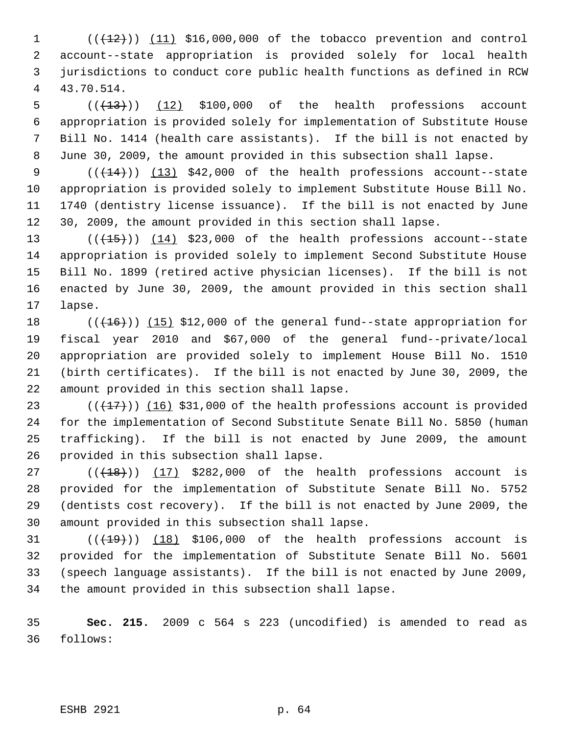$((+12))$   $(11)$  \$16,000,000 of the tobacco prevention and control account--state appropriation is provided solely for local health jurisdictions to conduct core public health functions as defined in RCW 43.70.514.

 $((+13))$   $(12)$  \$100,000 of the health professions account appropriation is provided solely for implementation of Substitute House Bill No. 1414 (health care assistants). If the bill is not enacted by June 30, 2009, the amount provided in this subsection shall lapse.

 $((+14))$   $(13)$  \$42,000 of the health professions account--state appropriation is provided solely to implement Substitute House Bill No. 1740 (dentistry license issuance). If the bill is not enacted by June 30, 2009, the amount provided in this section shall lapse.

 $((+15))$   $(14)$  \$23,000 of the health professions account--state appropriation is provided solely to implement Second Substitute House Bill No. 1899 (retired active physician licenses). If the bill is not enacted by June 30, 2009, the amount provided in this section shall lapse.

18 (( $(16)$ )) (15) \$12,000 of the general fund--state appropriation for fiscal year 2010 and \$67,000 of the general fund--private/local appropriation are provided solely to implement House Bill No. 1510 (birth certificates). If the bill is not enacted by June 30, 2009, the amount provided in this section shall lapse.

 $((+17))$   $(16)$  \$31,000 of the health professions account is provided for the implementation of Second Substitute Senate Bill No. 5850 (human trafficking). If the bill is not enacted by June 2009, the amount provided in this subsection shall lapse.

 ( $(\overline{+18})$ )  $(17)$  \$282,000 of the health professions account is provided for the implementation of Substitute Senate Bill No. 5752 (dentists cost recovery). If the bill is not enacted by June 2009, the amount provided in this subsection shall lapse.

 $((+19))$   $(18)$  \$106,000 of the health professions account is provided for the implementation of Substitute Senate Bill No. 5601 (speech language assistants). If the bill is not enacted by June 2009, the amount provided in this subsection shall lapse.

 **Sec. 215.** 2009 c 564 s 223 (uncodified) is amended to read as follows:

ESHB 2921 p. 64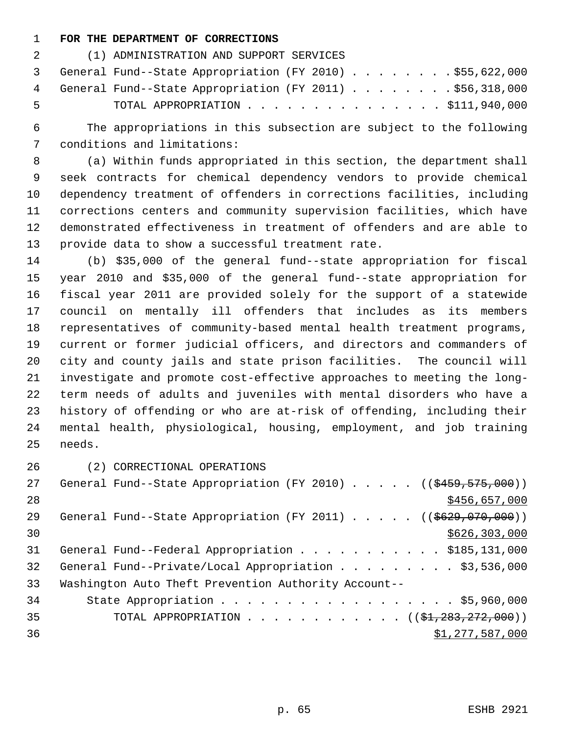## **FOR THE DEPARTMENT OF CORRECTIONS**

| $\overline{2}$ and $\overline{2}$ | (1) ADMINISTRATION AND SUPPORT SERVICES                    |
|-----------------------------------|------------------------------------------------------------|
|                                   | 3 General Fund--State Appropriation (FY 2010) \$55,622,000 |
|                                   | 4 General Fund--State Appropriation (FY 2011) \$56,318,000 |
| - 5                               | TOTAL APPROPRIATION $\ldots$ , \$111,940,000               |

 The appropriations in this subsection are subject to the following conditions and limitations:

 (a) Within funds appropriated in this section, the department shall seek contracts for chemical dependency vendors to provide chemical dependency treatment of offenders in corrections facilities, including corrections centers and community supervision facilities, which have demonstrated effectiveness in treatment of offenders and are able to provide data to show a successful treatment rate.

 (b) \$35,000 of the general fund--state appropriation for fiscal year 2010 and \$35,000 of the general fund--state appropriation for fiscal year 2011 are provided solely for the support of a statewide council on mentally ill offenders that includes as its members representatives of community-based mental health treatment programs, current or former judicial officers, and directors and commanders of city and county jails and state prison facilities. The council will investigate and promote cost-effective approaches to meeting the long- term needs of adults and juveniles with mental disorders who have a history of offending or who are at-risk of offending, including their mental health, physiological, housing, employment, and job training needs.

(2) CORRECTIONAL OPERATIONS

| 27 | General Fund--State Appropriation (FY 2010) ((\$459,575,000))              |                                                             |  |  |                 |
|----|----------------------------------------------------------------------------|-------------------------------------------------------------|--|--|-----------------|
| 28 |                                                                            |                                                             |  |  | \$456,657,000   |
| 29 | General Fund--State Appropriation (FY 2011) ( $(\frac{2629}{1000}, 000)$ ) |                                                             |  |  |                 |
| 30 |                                                                            |                                                             |  |  | \$626, 303, 000 |
| 31 | General Fund--Federal Appropriation \$185,131,000                          |                                                             |  |  |                 |
| 32 | General Fund--Private/Local Appropriation \$3,536,000                      |                                                             |  |  |                 |
| 33 | Washington Auto Theft Prevention Authority Account--                       |                                                             |  |  |                 |
| 34 |                                                                            | State Appropriation \$5,960,000                             |  |  |                 |
| 35 |                                                                            | TOTAL APPROPRIATION ( $(\frac{21}{223}, \frac{272}{200})$ ) |  |  |                 |
| 36 |                                                                            |                                                             |  |  | \$1,277,587,000 |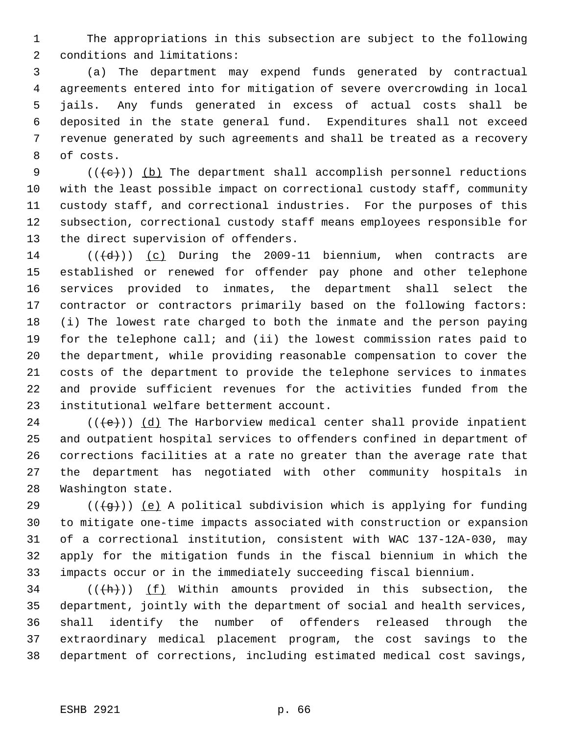The appropriations in this subsection are subject to the following conditions and limitations:

 (a) The department may expend funds generated by contractual agreements entered into for mitigation of severe overcrowding in local jails. Any funds generated in excess of actual costs shall be deposited in the state general fund. Expenditures shall not exceed revenue generated by such agreements and shall be treated as a recovery of costs.

 $((+e))$  (b) The department shall accomplish personnel reductions with the least possible impact on correctional custody staff, community custody staff, and correctional industries. For the purposes of this subsection, correctional custody staff means employees responsible for the direct supervision of offenders.

 $((\{d\})$  (c) During the 2009-11 biennium, when contracts are established or renewed for offender pay phone and other telephone services provided to inmates, the department shall select the contractor or contractors primarily based on the following factors: (i) The lowest rate charged to both the inmate and the person paying for the telephone call; and (ii) the lowest commission rates paid to the department, while providing reasonable compensation to cover the costs of the department to provide the telephone services to inmates and provide sufficient revenues for the activities funded from the institutional welfare betterment account.

24 ( $(\langle e \rangle)$ ) (d) The Harborview medical center shall provide inpatient and outpatient hospital services to offenders confined in department of corrections facilities at a rate no greater than the average rate that the department has negotiated with other community hospitals in Washington state.

29 ( $(\overline{+q})$ ) (e) A political subdivision which is applying for funding to mitigate one-time impacts associated with construction or expansion of a correctional institution, consistent with WAC 137-12A-030, may apply for the mitigation funds in the fiscal biennium in which the impacts occur or in the immediately succeeding fiscal biennium.

34 ( $(\overline{(h)})$  (f) Within amounts provided in this subsection, the department, jointly with the department of social and health services, shall identify the number of offenders released through the extraordinary medical placement program, the cost savings to the department of corrections, including estimated medical cost savings,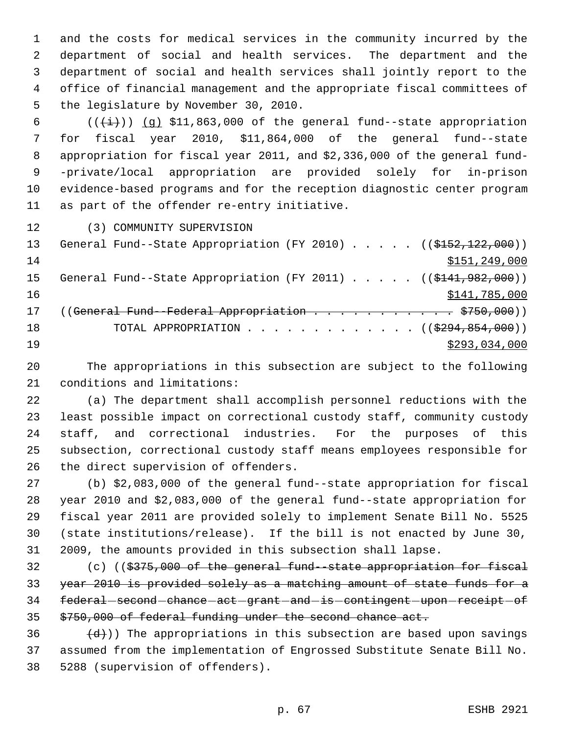and the costs for medical services in the community incurred by the department of social and health services. The department and the department of social and health services shall jointly report to the office of financial management and the appropriate fiscal committees of the legislature by November 30, 2010.

 $((\overleftrightarrow{t}))$  (g) \$11,863,000 of the general fund--state appropriation for fiscal year 2010, \$11,864,000 of the general fund--state appropriation for fiscal year 2011, and \$2,336,000 of the general fund- -private/local appropriation are provided solely for in-prison evidence-based programs and for the reception diagnostic center program as part of the offender re-entry initiative.

(3) COMMUNITY SUPERVISION

| 13 | General Fund--State Appropriation (FY 2010) ( $(\frac{2152}{122}, 000)$ ) |
|----|---------------------------------------------------------------------------|
| 14 | \$151, 249, 000                                                           |
| 15 | General Fund--State Appropriation (FY 2011) ( $(\frac{141.982}{000})$     |
| 16 | \$141,785,000                                                             |
| 17 | (( <del>General Fund - Federal Appropriation \$750,000</del> ))           |
| 18 | TOTAL APPROPRIATION $\ldots$ , ( $(\frac{2994,854,000}{$ )                |
| 19 | \$293,034,000                                                             |

 The appropriations in this subsection are subject to the following conditions and limitations:

 (a) The department shall accomplish personnel reductions with the least possible impact on correctional custody staff, community custody staff, and correctional industries. For the purposes of this subsection, correctional custody staff means employees responsible for the direct supervision of offenders.

 (b) \$2,083,000 of the general fund--state appropriation for fiscal year 2010 and \$2,083,000 of the general fund--state appropriation for fiscal year 2011 are provided solely to implement Senate Bill No. 5525 (state institutions/release). If the bill is not enacted by June 30, 2009, the amounts provided in this subsection shall lapse.

 (c) ((\$375,000 of the general fund--state appropriation for fiscal 33 year 2010 is provided solely as a matching amount of state funds for a 34 federal second chance act grant and is contingent upon receipt of \$750,000 of federal funding under the second chance act.

36  $(d)$ )) The appropriations in this subsection are based upon savings assumed from the implementation of Engrossed Substitute Senate Bill No. 5288 (supervision of offenders).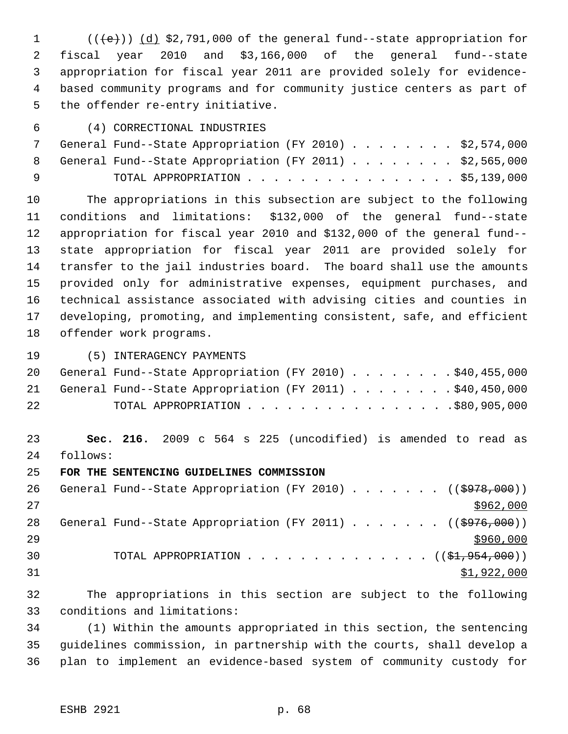$((\{e\}) \cap (\{d\})$  \$2,791,000 of the general fund--state appropriation for fiscal year 2010 and \$3,166,000 of the general fund--state appropriation for fiscal year 2011 are provided solely for evidence- based community programs and for community justice centers as part of the offender re-entry initiative.

(4) CORRECTIONAL INDUSTRIES

|     | 7 General Fund--State Appropriation (FY 2010) \$2,574,000 |  |
|-----|-----------------------------------------------------------|--|
|     | 8 General Fund--State Appropriation (FY 2011) \$2,565,000 |  |
| ∣ q | TOTAL APPROPRIATION \$5,139,000                           |  |

 The appropriations in this subsection are subject to the following conditions and limitations: \$132,000 of the general fund--state appropriation for fiscal year 2010 and \$132,000 of the general fund-- state appropriation for fiscal year 2011 are provided solely for transfer to the jail industries board. The board shall use the amounts provided only for administrative expenses, equipment purchases, and technical assistance associated with advising cities and counties in developing, promoting, and implementing consistent, safe, and efficient offender work programs.

(5) INTERAGENCY PAYMENTS

|    |  | 20 General Fund--State Appropriation (FY 2010) \$40,455,000 |  |  |  |  |  |  |  |  |
|----|--|-------------------------------------------------------------|--|--|--|--|--|--|--|--|
|    |  | 21 General Fund--State Appropriation (FY 2011) \$40,450,000 |  |  |  |  |  |  |  |  |
| 22 |  | TOTAL APPROPRIATION \$80,905,000                            |  |  |  |  |  |  |  |  |

 **Sec. 216.** 2009 c 564 s 225 (uncodified) is amended to read as follows:

**FOR THE SENTENCING GUIDELINES COMMISSION**

26 General Fund--State Appropriation (FY 2010) . . . . . . ((\$978,000)) 28 General Fund--State Appropriation (FY 2011) . . . . . . ((\$976,000)) 30 TOTAL APPROPRIATION  $\cdots$ ,  $\cdots$ ,  $\cdots$ ,  $\cdots$ ,  $\cdots$ ,  $\cdots$ ,  $\cdots$ ,  $\cdots$ \$1,922,000

 The appropriations in this section are subject to the following conditions and limitations:

 (1) Within the amounts appropriated in this section, the sentencing guidelines commission, in partnership with the courts, shall develop a plan to implement an evidence-based system of community custody for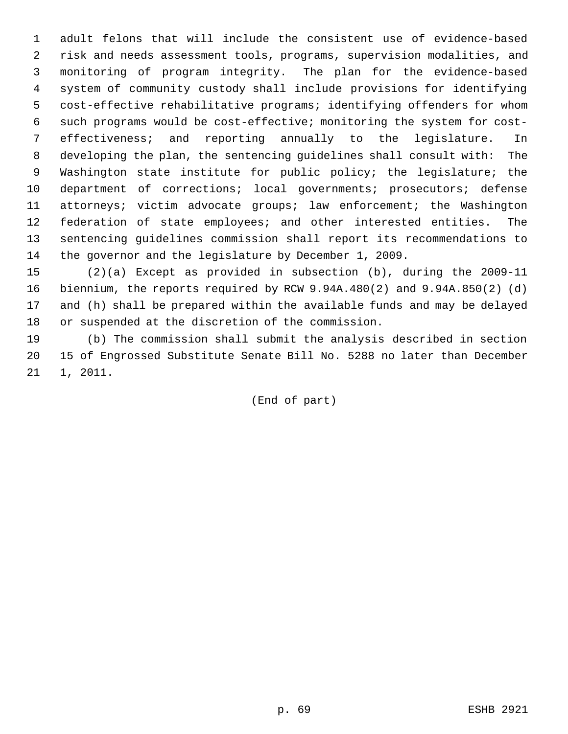adult felons that will include the consistent use of evidence-based risk and needs assessment tools, programs, supervision modalities, and monitoring of program integrity. The plan for the evidence-based system of community custody shall include provisions for identifying cost-effective rehabilitative programs; identifying offenders for whom such programs would be cost-effective; monitoring the system for cost- effectiveness; and reporting annually to the legislature. In developing the plan, the sentencing guidelines shall consult with: The Washington state institute for public policy; the legislature; the department of corrections; local governments; prosecutors; defense attorneys; victim advocate groups; law enforcement; the Washington federation of state employees; and other interested entities. The sentencing guidelines commission shall report its recommendations to the governor and the legislature by December 1, 2009.

 (2)(a) Except as provided in subsection (b), during the 2009-11 biennium, the reports required by RCW 9.94A.480(2) and 9.94A.850(2) (d) and (h) shall be prepared within the available funds and may be delayed or suspended at the discretion of the commission.

 (b) The commission shall submit the analysis described in section 15 of Engrossed Substitute Senate Bill No. 5288 no later than December 1, 2011.

(End of part)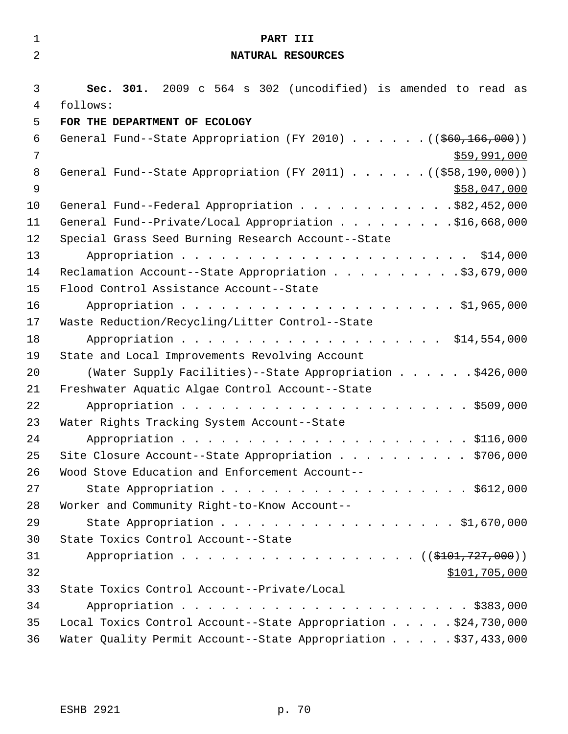| $\mathbf{1}$   | PART III                                                                      |
|----------------|-------------------------------------------------------------------------------|
| $\overline{2}$ | NATURAL RESOURCES                                                             |
|                |                                                                               |
| $\mathfrak{Z}$ | Sec. 301. 2009 c 564 s 302 (uncodified) is amended to read as                 |
| 4              | follows:                                                                      |
| 5              | FOR THE DEPARTMENT OF ECOLOGY                                                 |
| 6              | General Fund--State Appropriation (FY 2010) ( $(\frac{260}{166}, 000)$ )      |
| 7              | \$59,991,000                                                                  |
| 8              | General Fund--State Appropriation (FY 2011) $($ $($ $\frac{558}{190}$ , 000)) |
| $\mathsf 9$    | \$58,047,000                                                                  |
| 10             | General Fund--Federal Appropriation \$82,452,000                              |
| 11             | General Fund--Private/Local Appropriation \$16,668,000                        |
| 12<br>13       | Special Grass Seed Burning Research Account--State                            |
| 14             | Reclamation Account--State Appropriation \$3,679,000                          |
| 15             | Flood Control Assistance Account--State                                       |
| 16             |                                                                               |
| 17             | Waste Reduction/Recycling/Litter Control--State                               |
| 18             | Appropriation \$14,554,000                                                    |
| 19             | State and Local Improvements Revolving Account                                |
| 20             | (Water Supply Facilities) -- State Appropriation \$426,000                    |
| 21             | Freshwater Aquatic Algae Control Account--State                               |
| 22             |                                                                               |
| 23             | Water Rights Tracking System Account--State                                   |
| 24             |                                                                               |
| 25             | Site Closure Account--State Appropriation \$706,000                           |
| 26             | Wood Stove Education and Enforcement Account--                                |
| 27             | State Appropriation \$612,000                                                 |
| 28             | Worker and Community Right-to-Know Account--                                  |
| 29             | State Appropriation \$1,670,000                                               |
| 30             | State Toxics Control Account--State                                           |
| 31             | Appropriation ((\$101,727,000))                                               |
| 32             | \$101,705,000                                                                 |
| 33             | State Toxics Control Account--Private/Local                                   |
| 34             |                                                                               |
| 35             | Local Toxics Control Account--State Appropriation \$24,730,000                |
| 36             | Water Quality Permit Account--State Appropriation \$37,433,000                |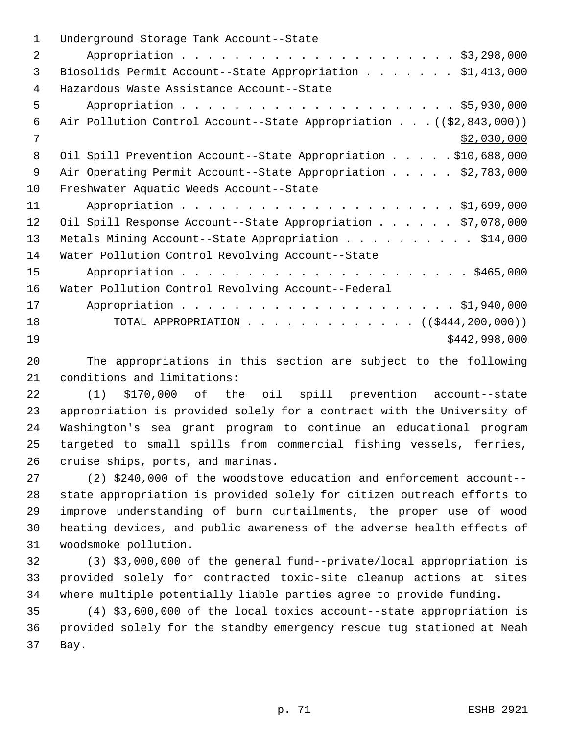| $\mathbf 1$    | Underground Storage Tank Account--State                                          |
|----------------|----------------------------------------------------------------------------------|
| $\overline{2}$ |                                                                                  |
| 3              | Biosolids Permit Account--State Appropriation \$1,413,000                        |
| 4              | Hazardous Waste Assistance Account--State                                        |
| 5              |                                                                                  |
| 6              | Air Pollution Control Account--State Appropriation ( $(\frac{2}{2}, 843, 000)$ ) |
| 7              | \$2,030,000                                                                      |
| 8              | Oil Spill Prevention Account--State Appropriation \$10,688,000                   |
| 9              | Air Operating Permit Account--State Appropriation \$2,783,000                    |
| 10             | Freshwater Aquatic Weeds Account--State                                          |
| 11             |                                                                                  |
| 12             | Oil Spill Response Account--State Appropriation \$7,078,000                      |
| 13             | Metals Mining Account--State Appropriation \$14,000                              |
| 14             | Water Pollution Control Revolving Account--State                                 |
| 15             |                                                                                  |
| 16             | Water Pollution Control Revolving Account--Federal                               |
| 17             |                                                                                  |
| 18             | TOTAL APPROPRIATION ( $(\frac{12444}{200},000)$ )                                |
| 19             | \$442,998,000                                                                    |
|                |                                                                                  |

 The appropriations in this section are subject to the following conditions and limitations:

 (1) \$170,000 of the oil spill prevention account--state appropriation is provided solely for a contract with the University of Washington's sea grant program to continue an educational program targeted to small spills from commercial fishing vessels, ferries, cruise ships, ports, and marinas.

 (2) \$240,000 of the woodstove education and enforcement account-- state appropriation is provided solely for citizen outreach efforts to improve understanding of burn curtailments, the proper use of wood heating devices, and public awareness of the adverse health effects of woodsmoke pollution.

 (3) \$3,000,000 of the general fund--private/local appropriation is provided solely for contracted toxic-site cleanup actions at sites where multiple potentially liable parties agree to provide funding.

 (4) \$3,600,000 of the local toxics account--state appropriation is provided solely for the standby emergency rescue tug stationed at Neah Bay.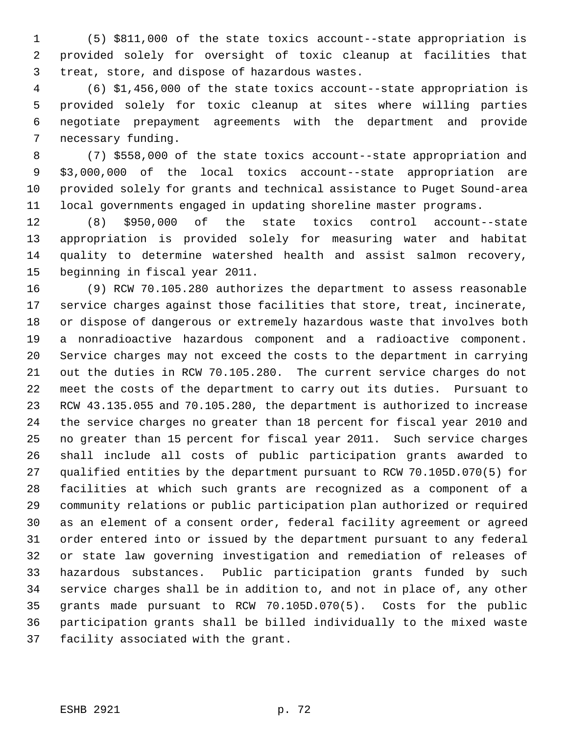(5) \$811,000 of the state toxics account--state appropriation is provided solely for oversight of toxic cleanup at facilities that treat, store, and dispose of hazardous wastes.

 (6) \$1,456,000 of the state toxics account--state appropriation is provided solely for toxic cleanup at sites where willing parties negotiate prepayment agreements with the department and provide necessary funding.

 (7) \$558,000 of the state toxics account--state appropriation and \$3,000,000 of the local toxics account--state appropriation are provided solely for grants and technical assistance to Puget Sound-area local governments engaged in updating shoreline master programs.

 (8) \$950,000 of the state toxics control account--state appropriation is provided solely for measuring water and habitat quality to determine watershed health and assist salmon recovery, beginning in fiscal year 2011.

 (9) RCW 70.105.280 authorizes the department to assess reasonable service charges against those facilities that store, treat, incinerate, or dispose of dangerous or extremely hazardous waste that involves both a nonradioactive hazardous component and a radioactive component. Service charges may not exceed the costs to the department in carrying out the duties in RCW 70.105.280. The current service charges do not meet the costs of the department to carry out its duties. Pursuant to RCW 43.135.055 and 70.105.280, the department is authorized to increase the service charges no greater than 18 percent for fiscal year 2010 and no greater than 15 percent for fiscal year 2011. Such service charges shall include all costs of public participation grants awarded to qualified entities by the department pursuant to RCW 70.105D.070(5) for facilities at which such grants are recognized as a component of a community relations or public participation plan authorized or required as an element of a consent order, federal facility agreement or agreed order entered into or issued by the department pursuant to any federal or state law governing investigation and remediation of releases of hazardous substances. Public participation grants funded by such service charges shall be in addition to, and not in place of, any other grants made pursuant to RCW 70.105D.070(5). Costs for the public participation grants shall be billed individually to the mixed waste facility associated with the grant.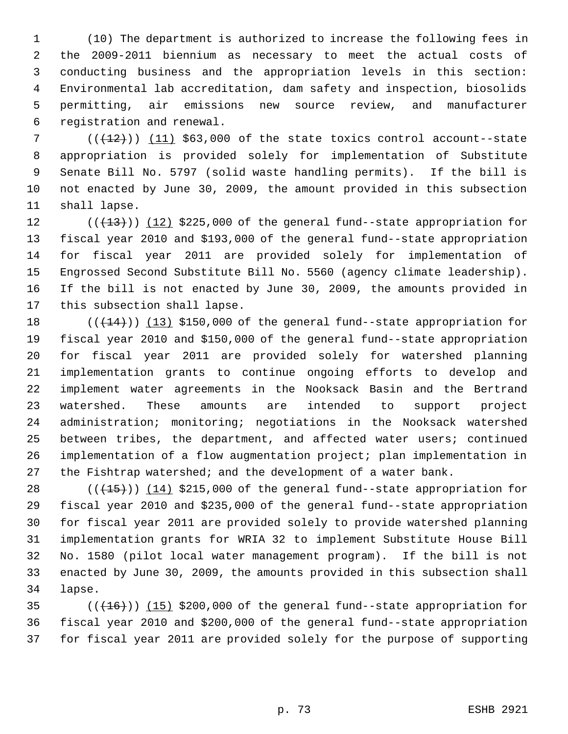(10) The department is authorized to increase the following fees in the 2009-2011 biennium as necessary to meet the actual costs of conducting business and the appropriation levels in this section: Environmental lab accreditation, dam safety and inspection, biosolids permitting, air emissions new source review, and manufacturer registration and renewal.

 $((+12))$   $(11)$  \$63,000 of the state toxics control account--state appropriation is provided solely for implementation of Substitute Senate Bill No. 5797 (solid waste handling permits). If the bill is not enacted by June 30, 2009, the amount provided in this subsection shall lapse.

 $((+13))$   $(12)$  \$225,000 of the general fund--state appropriation for fiscal year 2010 and \$193,000 of the general fund--state appropriation for fiscal year 2011 are provided solely for implementation of Engrossed Second Substitute Bill No. 5560 (agency climate leadership). If the bill is not enacted by June 30, 2009, the amounts provided in this subsection shall lapse.

 $((+14))$  (13) \$150,000 of the general fund--state appropriation for fiscal year 2010 and \$150,000 of the general fund--state appropriation for fiscal year 2011 are provided solely for watershed planning implementation grants to continue ongoing efforts to develop and implement water agreements in the Nooksack Basin and the Bertrand watershed. These amounts are intended to support project administration; monitoring; negotiations in the Nooksack watershed between tribes, the department, and affected water users; continued implementation of a flow augmentation project; plan implementation in the Fishtrap watershed; and the development of a water bank.

 $((+15))$   $(14)$  \$215,000 of the general fund--state appropriation for fiscal year 2010 and \$235,000 of the general fund--state appropriation for fiscal year 2011 are provided solely to provide watershed planning implementation grants for WRIA 32 to implement Substitute House Bill No. 1580 (pilot local water management program). If the bill is not enacted by June 30, 2009, the amounts provided in this subsection shall lapse.

 ( $(\overline{+16})$ )  $(15)$  \$200,000 of the general fund--state appropriation for fiscal year 2010 and \$200,000 of the general fund--state appropriation for fiscal year 2011 are provided solely for the purpose of supporting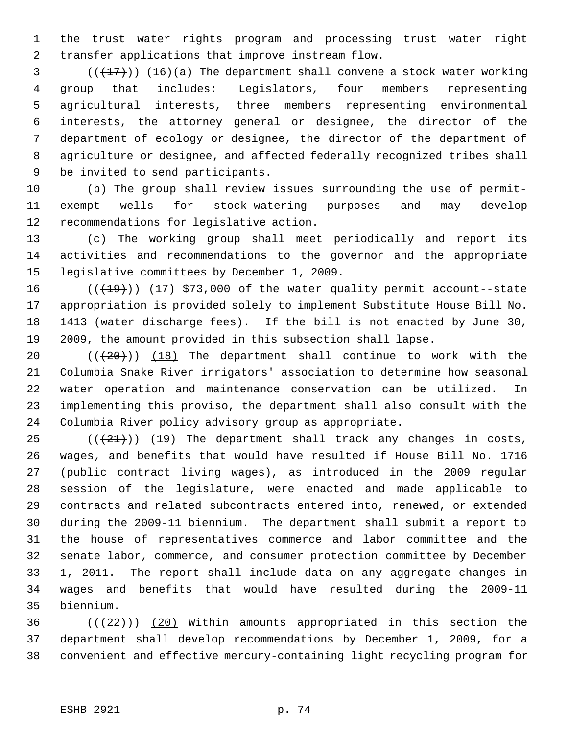the trust water rights program and processing trust water right transfer applications that improve instream flow.

 $\left(\frac{1}{27}\right)$  (16)(a) The department shall convene a stock water working group that includes: Legislators, four members representing agricultural interests, three members representing environmental interests, the attorney general or designee, the director of the department of ecology or designee, the director of the department of agriculture or designee, and affected federally recognized tribes shall be invited to send participants.

 (b) The group shall review issues surrounding the use of permit- exempt wells for stock-watering purposes and may develop recommendations for legislative action.

 (c) The working group shall meet periodically and report its activities and recommendations to the governor and the appropriate legislative committees by December 1, 2009.

 $((+19))$   $(17)$  \$73,000 of the water quality permit account--state appropriation is provided solely to implement Substitute House Bill No. 1413 (water discharge fees). If the bill is not enacted by June 30, 2009, the amount provided in this subsection shall lapse.

 $((+20))$   $(18)$  The department shall continue to work with the Columbia Snake River irrigators' association to determine how seasonal water operation and maintenance conservation can be utilized. In implementing this proviso, the department shall also consult with the Columbia River policy advisory group as appropriate.

 $((21))$  (19) The department shall track any changes in costs, wages, and benefits that would have resulted if House Bill No. 1716 (public contract living wages), as introduced in the 2009 regular session of the legislature, were enacted and made applicable to contracts and related subcontracts entered into, renewed, or extended during the 2009-11 biennium. The department shall submit a report to the house of representatives commerce and labor committee and the senate labor, commerce, and consumer protection committee by December 1, 2011. The report shall include data on any aggregate changes in wages and benefits that would have resulted during the 2009-11 biennium.

36 ( $(\frac{22}{2})$ ) (20) Within amounts appropriated in this section the department shall develop recommendations by December 1, 2009, for a convenient and effective mercury-containing light recycling program for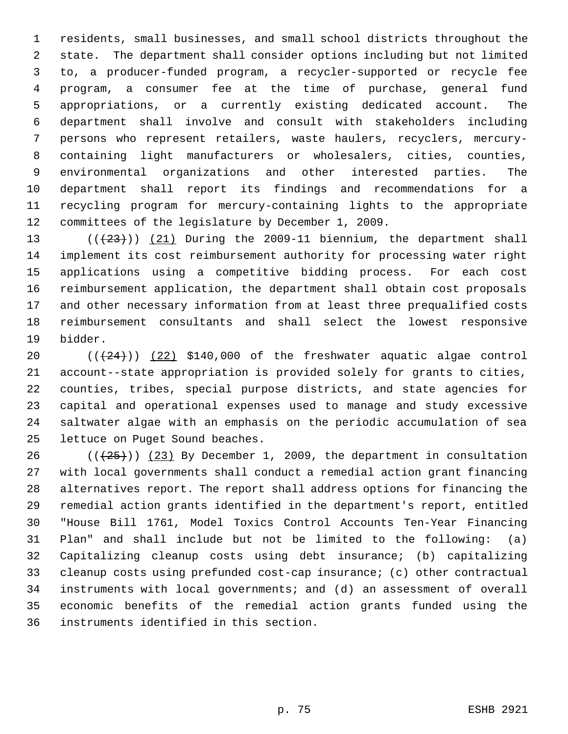residents, small businesses, and small school districts throughout the state. The department shall consider options including but not limited to, a producer-funded program, a recycler-supported or recycle fee program, a consumer fee at the time of purchase, general fund appropriations, or a currently existing dedicated account. The department shall involve and consult with stakeholders including persons who represent retailers, waste haulers, recyclers, mercury- containing light manufacturers or wholesalers, cities, counties, environmental organizations and other interested parties. The department shall report its findings and recommendations for a recycling program for mercury-containing lights to the appropriate committees of the legislature by December 1, 2009.

 $((+23))$   $(21)$  During the 2009-11 biennium, the department shall implement its cost reimbursement authority for processing water right applications using a competitive bidding process. For each cost reimbursement application, the department shall obtain cost proposals and other necessary information from at least three prequalified costs reimbursement consultants and shall select the lowest responsive bidder.

 $((+24))$   $(22)$  \$140,000 of the freshwater aquatic algae control account--state appropriation is provided solely for grants to cities, counties, tribes, special purpose districts, and state agencies for capital and operational expenses used to manage and study excessive saltwater algae with an emphasis on the periodic accumulation of sea lettuce on Puget Sound beaches.

26 ( $(\frac{25}{1})$ ) (23) By December 1, 2009, the department in consultation with local governments shall conduct a remedial action grant financing alternatives report. The report shall address options for financing the remedial action grants identified in the department's report, entitled "House Bill 1761, Model Toxics Control Accounts Ten-Year Financing Plan" and shall include but not be limited to the following: (a) Capitalizing cleanup costs using debt insurance; (b) capitalizing cleanup costs using prefunded cost-cap insurance; (c) other contractual instruments with local governments; and (d) an assessment of overall economic benefits of the remedial action grants funded using the instruments identified in this section.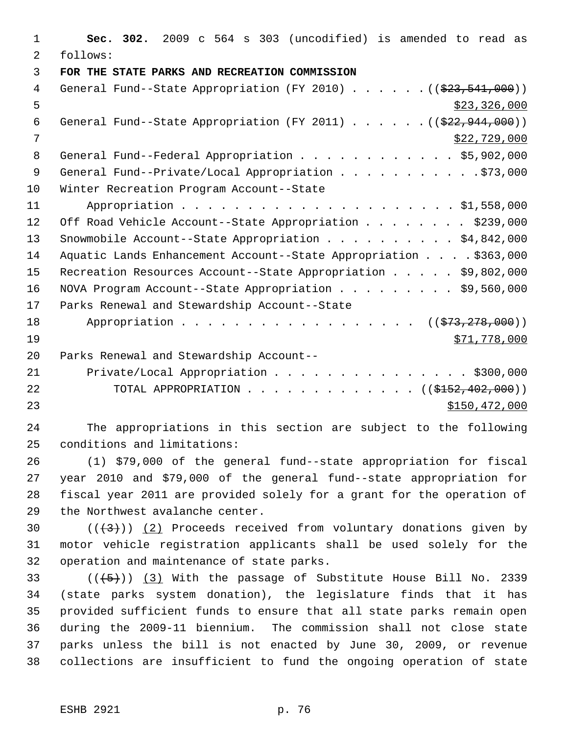1 **Sec. 302.** 2009 c 564 s 303 (uncodified) is amended to read as 2 follows: 3 **FOR THE STATE PARKS AND RECREATION COMMISSION**  4 General Fund--State Appropriation (FY 2010) . . . . . . ((\$23,541,000))  $\frac{1}{2}$  5 6 General Fund--State Appropriation (FY 2011) . . . . . .  $($   $($ \$22,944,000))  $7 \times 22,729,000$ 8 General Fund--Federal Appropriation . . . . . . . . . . . \$5,902,000 9 General Fund--Private/Local Appropriation . . . . . . . . . . \$73,000 10 Winter Recreation Program Account--State 11 Appropriation . . . . . . . . . . . . . . . . . . . . . \$1,558,000 12 Off Road Vehicle Account--State Appropriation . . . . . . . \$239,000 13 Snowmobile Account--State Appropriation . . . . . . . . . . \$4,842,000 14 Aquatic Lands Enhancement Account--State Appropriation . . . . \$363,000 15 Recreation Resources Account--State Appropriation . . . . . \$9,802,000 16 NOVA Program Account--State Appropriation . . . . . . . . \$9,560,000 17 Parks Renewal and Stewardship Account--State 18 Appropriation . . . . . . . . . . . . . . . . ((\$73,278,000))  $19$  \$71,778,000 20 Parks Renewal and Stewardship Account-- 21 Private/Local Appropriation . . . . . . . . . . . . . . \$300,000 22 TOTAL APPROPRIATION . . . . . . . . . . . . ((\$<del>152,402,000</del>)) 23 \$150,472,000

24 The appropriations in this section are subject to the following 25 conditions and limitations:

 (1) \$79,000 of the general fund--state appropriation for fiscal year 2010 and \$79,000 of the general fund--state appropriation for fiscal year 2011 are provided solely for a grant for the operation of the Northwest avalanche center.

30  $((+3))$   $(2)$  Proceeds received from voluntary donations given by 31 motor vehicle registration applicants shall be used solely for the 32 operation and maintenance of state parks.

 $((+5))$   $(3)$  With the passage of Substitute House Bill No. 2339 (state parks system donation), the legislature finds that it has provided sufficient funds to ensure that all state parks remain open during the 2009-11 biennium. The commission shall not close state parks unless the bill is not enacted by June 30, 2009, or revenue collections are insufficient to fund the ongoing operation of state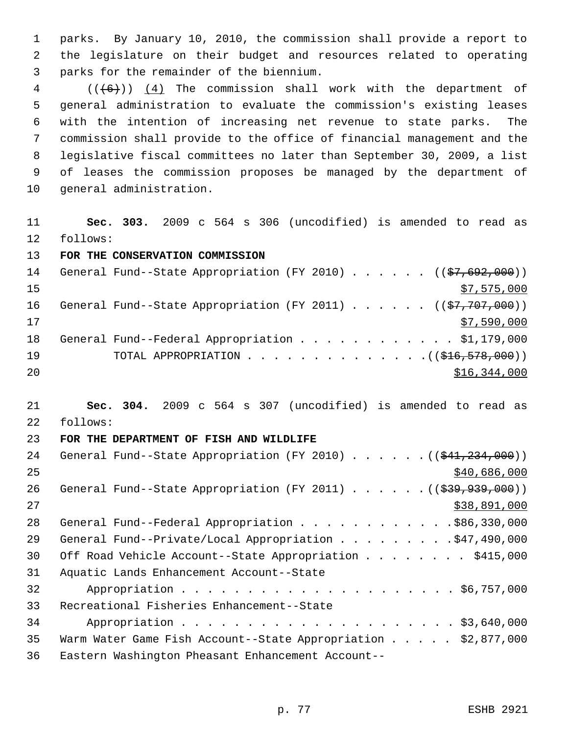parks. By January 10, 2010, the commission shall provide a report to the legislature on their budget and resources related to operating parks for the remainder of the biennium.

 (( $(6+)$ ))  $(4)$  The commission shall work with the department of general administration to evaluate the commission's existing leases with the intention of increasing net revenue to state parks. The commission shall provide to the office of financial management and the legislative fiscal committees no later than September 30, 2009, a list of leases the commission proposes be managed by the department of general administration.

 **Sec. 303.** 2009 c 564 s 306 (uncodified) is amended to read as follows:

**FOR THE CONSERVATION COMMISSION** 

| 14 | General Fund--State Appropriation (FY 2010) ( $(\frac{27}{67}, 692, 000)$ ) |
|----|-----------------------------------------------------------------------------|
| 15 | \$7,575,000                                                                 |
| 16 | General Fund--State Appropriation (FY 2011) ( $(\frac{27}{77}, 707, 000)$ ) |
| 17 | \$7,590,000                                                                 |
| 18 | General Fund--Federal Appropriation \$1,179,000                             |
| 19 |                                                                             |
| 20 | \$16,344,000                                                                |

 **Sec. 304.** 2009 c 564 s 307 (uncodified) is amended to read as follows:

## **FOR THE DEPARTMENT OF FISH AND WILDLIFE**

| 24 | General Fund--State Appropriation (FY 2010) $($ $($ $\frac{234}{7234}, 000)$ )     |
|----|------------------------------------------------------------------------------------|
| 25 | \$40,686,000                                                                       |
| 26 | General Fund--State Appropriation (FY 2011) $($ $($ $\frac{299}{799}, 939, 000)$ ) |
| 27 | \$38,891,000                                                                       |
| 28 | General Fund--Federal Appropriation \$86,330,000                                   |
| 29 | General Fund--Private/Local Appropriation \$47,490,000                             |
| 30 | Off Road Vehicle Account--State Appropriation \$415,000                            |
| 31 | Aquatic Lands Enhancement Account--State                                           |
| 32 |                                                                                    |
| 33 | Recreational Fisheries Enhancement--State                                          |
| 34 |                                                                                    |
| 35 | Warm Water Game Fish Account--State Appropriation \$2,877,000                      |
| 36 | Eastern Washington Pheasant Enhancement Account--                                  |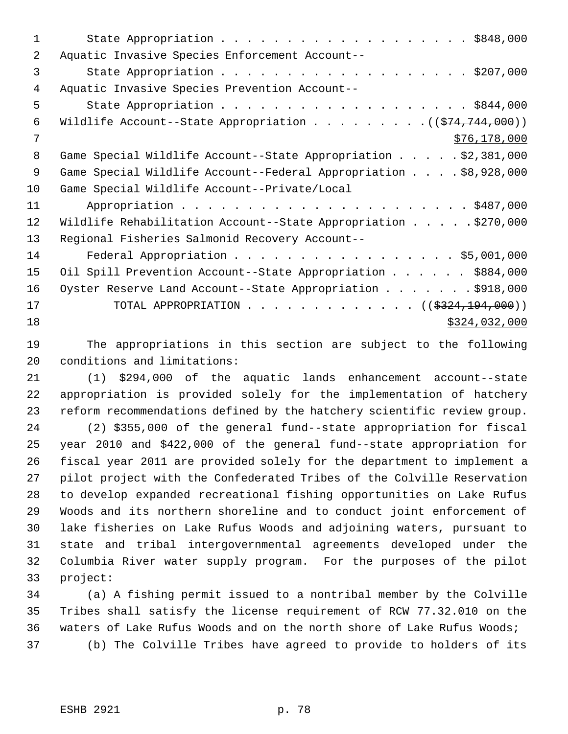| Aquatic Invasive Species Enforcement Account--                   |
|------------------------------------------------------------------|
| State Appropriation \$207,000                                    |
| Aquatic Invasive Species Prevention Account--                    |
|                                                                  |
| Wildlife Account--State Appropriation $($ $($ \$74,744,000) $)$  |
| \$76,178,000                                                     |
| Game Special Wildlife Account--State Appropriation \$2,381,000   |
| Game Special Wildlife Account--Federal Appropriation \$8,928,000 |
| Game Special Wildlife Account--Private/Local                     |
|                                                                  |
| Wildlife Rehabilitation Account--State Appropriation \$270,000   |
| Regional Fisheries Salmonid Recovery Account--                   |
| Federal Appropriation \$5,001,000                                |
| Oil Spill Prevention Account--State Appropriation \$884,000      |
| Oyster Reserve Land Account--State Appropriation \$918,000       |
| TOTAL APPROPRIATION ( $(\frac{2324,194,000}{s})$ )               |
| \$324,032,000                                                    |
|                                                                  |

 The appropriations in this section are subject to the following conditions and limitations:

 (1) \$294,000 of the aquatic lands enhancement account--state appropriation is provided solely for the implementation of hatchery reform recommendations defined by the hatchery scientific review group.

 (2) \$355,000 of the general fund--state appropriation for fiscal year 2010 and \$422,000 of the general fund--state appropriation for fiscal year 2011 are provided solely for the department to implement a pilot project with the Confederated Tribes of the Colville Reservation to develop expanded recreational fishing opportunities on Lake Rufus Woods and its northern shoreline and to conduct joint enforcement of lake fisheries on Lake Rufus Woods and adjoining waters, pursuant to state and tribal intergovernmental agreements developed under the Columbia River water supply program. For the purposes of the pilot project:

 (a) A fishing permit issued to a nontribal member by the Colville Tribes shall satisfy the license requirement of RCW 77.32.010 on the waters of Lake Rufus Woods and on the north shore of Lake Rufus Woods; (b) The Colville Tribes have agreed to provide to holders of its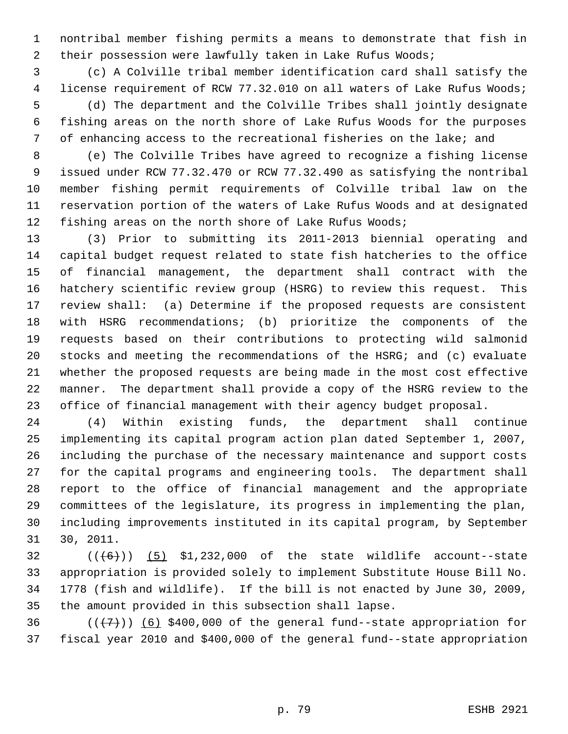nontribal member fishing permits a means to demonstrate that fish in 2 their possession were lawfully taken in Lake Rufus Woods;

 (c) A Colville tribal member identification card shall satisfy the 4 license requirement of RCW 77.32.010 on all waters of Lake Rufus Woods; (d) The department and the Colville Tribes shall jointly designate fishing areas on the north shore of Lake Rufus Woods for the purposes of enhancing access to the recreational fisheries on the lake; and

 (e) The Colville Tribes have agreed to recognize a fishing license issued under RCW 77.32.470 or RCW 77.32.490 as satisfying the nontribal member fishing permit requirements of Colville tribal law on the reservation portion of the waters of Lake Rufus Woods and at designated fishing areas on the north shore of Lake Rufus Woods;

 (3) Prior to submitting its 2011-2013 biennial operating and capital budget request related to state fish hatcheries to the office of financial management, the department shall contract with the hatchery scientific review group (HSRG) to review this request. This review shall: (a) Determine if the proposed requests are consistent with HSRG recommendations; (b) prioritize the components of the requests based on their contributions to protecting wild salmonid stocks and meeting the recommendations of the HSRG; and (c) evaluate whether the proposed requests are being made in the most cost effective manner. The department shall provide a copy of the HSRG review to the office of financial management with their agency budget proposal.

 (4) Within existing funds, the department shall continue implementing its capital program action plan dated September 1, 2007, including the purchase of the necessary maintenance and support costs for the capital programs and engineering tools. The department shall report to the office of financial management and the appropriate committees of the legislature, its progress in implementing the plan, including improvements instituted in its capital program, by September 30, 2011.

 $((+6))$  (5) \$1,232,000 of the state wildlife account--state appropriation is provided solely to implement Substitute House Bill No. 1778 (fish and wildlife). If the bill is not enacted by June 30, 2009, the amount provided in this subsection shall lapse.

36  $((+7)$ ) (6) \$400,000 of the general fund--state appropriation for fiscal year 2010 and \$400,000 of the general fund--state appropriation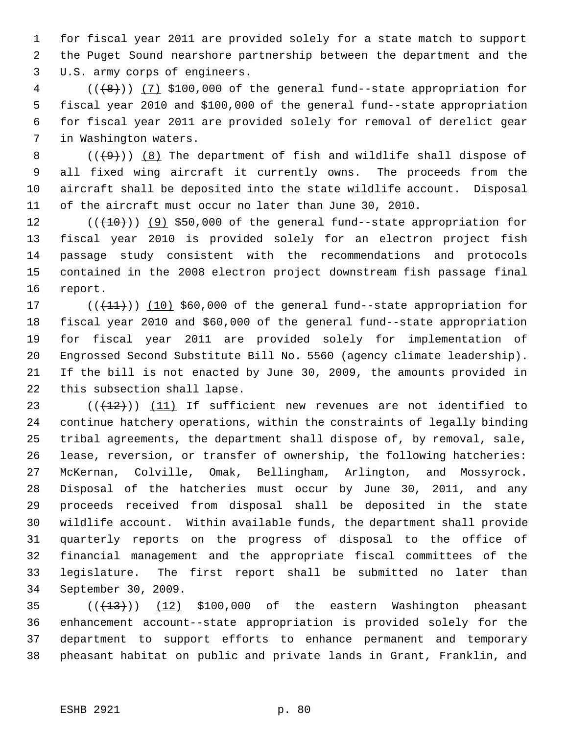for fiscal year 2011 are provided solely for a state match to support the Puget Sound nearshore partnership between the department and the U.S. army corps of engineers.

 ( $(\frac{1}{8})$ ) (7) \$100,000 of the general fund--state appropriation for fiscal year 2010 and \$100,000 of the general fund--state appropriation for fiscal year 2011 are provided solely for removal of derelict gear in Washington waters.

 $((+9))$   $(8)$  The department of fish and wildlife shall dispose of all fixed wing aircraft it currently owns. The proceeds from the aircraft shall be deposited into the state wildlife account. Disposal of the aircraft must occur no later than June 30, 2010.

 $((+10))$  (9) \$50,000 of the general fund--state appropriation for fiscal year 2010 is provided solely for an electron project fish passage study consistent with the recommendations and protocols contained in the 2008 electron project downstream fish passage final report.

17 (( $(11)$ )) (10) \$60,000 of the general fund--state appropriation for fiscal year 2010 and \$60,000 of the general fund--state appropriation for fiscal year 2011 are provided solely for implementation of Engrossed Second Substitute Bill No. 5560 (agency climate leadership). If the bill is not enacted by June 30, 2009, the amounts provided in this subsection shall lapse.

 $((+12))$  (11) If sufficient new revenues are not identified to continue hatchery operations, within the constraints of legally binding tribal agreements, the department shall dispose of, by removal, sale, lease, reversion, or transfer of ownership, the following hatcheries: McKernan, Colville, Omak, Bellingham, Arlington, and Mossyrock. Disposal of the hatcheries must occur by June 30, 2011, and any proceeds received from disposal shall be deposited in the state wildlife account. Within available funds, the department shall provide quarterly reports on the progress of disposal to the office of financial management and the appropriate fiscal committees of the legislature. The first report shall be submitted no later than September 30, 2009.

  $((+13))$   $(12)$  \$100,000 of the eastern Washington pheasant enhancement account--state appropriation is provided solely for the department to support efforts to enhance permanent and temporary pheasant habitat on public and private lands in Grant, Franklin, and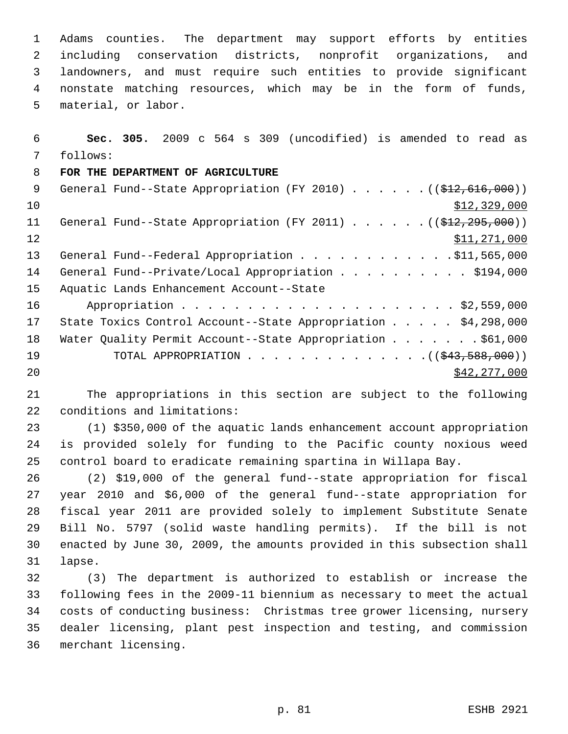Adams counties. The department may support efforts by entities including conservation districts, nonprofit organizations, and landowners, and must require such entities to provide significant nonstate matching resources, which may be in the form of funds, material, or labor.

 **Sec. 305.** 2009 c 564 s 309 (uncodified) is amended to read as follows:

## **FOR THE DEPARTMENT OF AGRICULTURE**

| - 9 | General Fund--State Appropriation (FY 2010) $($ $($ \$12,616,000))       |
|-----|--------------------------------------------------------------------------|
| 10  | \$12,329,000                                                             |
| 11  | General Fund--State Appropriation (FY 2011) $($ $($ $\frac{2912}{7272})$ |
| 12  | \$11,271,000                                                             |
| 13  | General Fund--Federal Appropriation \$11,565,000                         |
| 14  | General Fund--Private/Local Appropriation \$194,000                      |
| 15  | Aquatic Lands Enhancement Account--State                                 |
| 16  |                                                                          |
| 17  | State Toxics Control Account--State Appropriation \$4,298,000            |
| 18  | Water Quality Permit Account--State Appropriation \$61,000               |
| 19  | TOTAL APPROPRIATION $($ $($ $\frac{243,588,000)}{100,000}$ $)$           |
| 20  | \$42, 277, 000                                                           |

 The appropriations in this section are subject to the following conditions and limitations:

 (1) \$350,000 of the aquatic lands enhancement account appropriation is provided solely for funding to the Pacific county noxious weed control board to eradicate remaining spartina in Willapa Bay.

 (2) \$19,000 of the general fund--state appropriation for fiscal year 2010 and \$6,000 of the general fund--state appropriation for fiscal year 2011 are provided solely to implement Substitute Senate Bill No. 5797 (solid waste handling permits). If the bill is not enacted by June 30, 2009, the amounts provided in this subsection shall lapse.

 (3) The department is authorized to establish or increase the following fees in the 2009-11 biennium as necessary to meet the actual costs of conducting business: Christmas tree grower licensing, nursery dealer licensing, plant pest inspection and testing, and commission merchant licensing.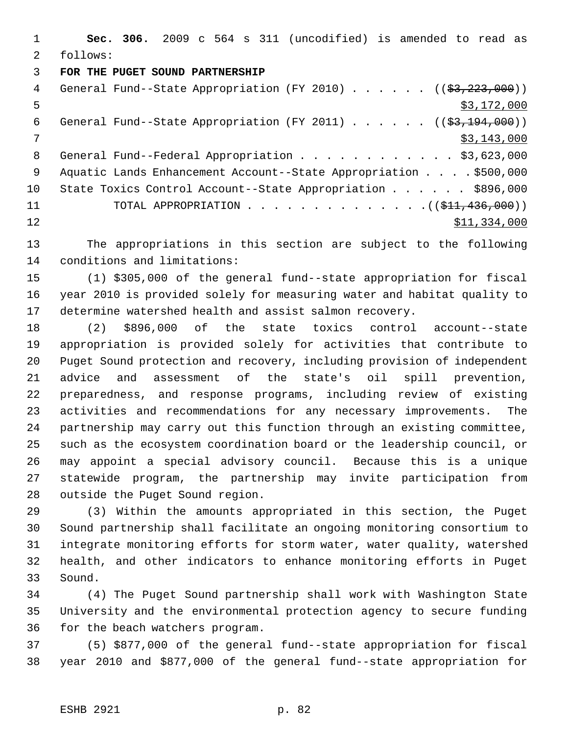**Sec. 306.** 2009 c 564 s 311 (uncodified) is amended to read as follows:

## **FOR THE PUGET SOUND PARTNERSHIP**

| 4               | General Fund--State Appropriation (FY 2010) $($ $($ \$3,223,000)) |
|-----------------|-------------------------------------------------------------------|
| 5               | \$3,172,000                                                       |
| 6               | General Fund--State Appropriation (FY 2011) $($ $($ \$3,194,000)) |
| 7               | \$3,143,000                                                       |
| 8               | General Fund--Federal Appropriation \$3,623,000                   |
| 9               | Aquatic Lands Enhancement Account--State Appropriation \$500,000  |
| 10 <sub>1</sub> | State Toxics Control Account--State Appropriation \$896,000       |
| 11              |                                                                   |
| 12              | \$11,334,000                                                      |
|                 |                                                                   |

 The appropriations in this section are subject to the following conditions and limitations:

 (1) \$305,000 of the general fund--state appropriation for fiscal year 2010 is provided solely for measuring water and habitat quality to determine watershed health and assist salmon recovery.

 (2) \$896,000 of the state toxics control account--state appropriation is provided solely for activities that contribute to Puget Sound protection and recovery, including provision of independent advice and assessment of the state's oil spill prevention, preparedness, and response programs, including review of existing activities and recommendations for any necessary improvements. The partnership may carry out this function through an existing committee, such as the ecosystem coordination board or the leadership council, or may appoint a special advisory council. Because this is a unique statewide program, the partnership may invite participation from outside the Puget Sound region.

 (3) Within the amounts appropriated in this section, the Puget Sound partnership shall facilitate an ongoing monitoring consortium to integrate monitoring efforts for storm water, water quality, watershed health, and other indicators to enhance monitoring efforts in Puget Sound.

 (4) The Puget Sound partnership shall work with Washington State University and the environmental protection agency to secure funding for the beach watchers program.

 (5) \$877,000 of the general fund--state appropriation for fiscal year 2010 and \$877,000 of the general fund--state appropriation for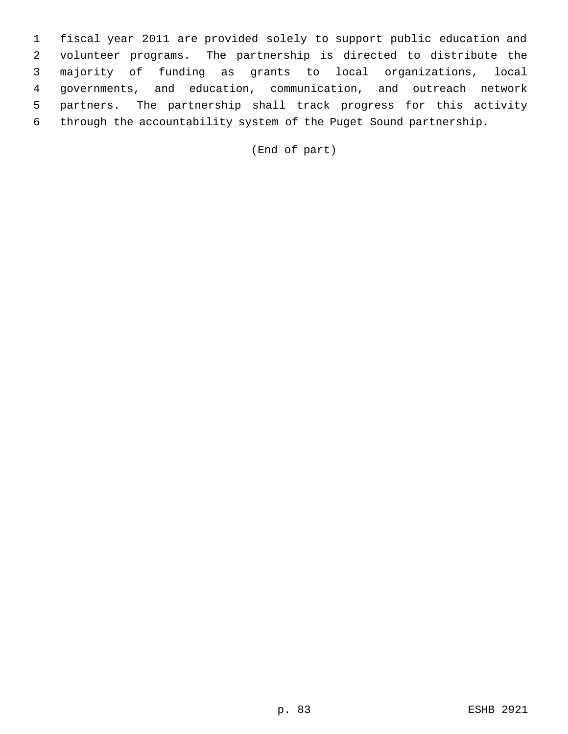fiscal year 2011 are provided solely to support public education and volunteer programs. The partnership is directed to distribute the majority of funding as grants to local organizations, local governments, and education, communication, and outreach network partners. The partnership shall track progress for this activity through the accountability system of the Puget Sound partnership.

(End of part)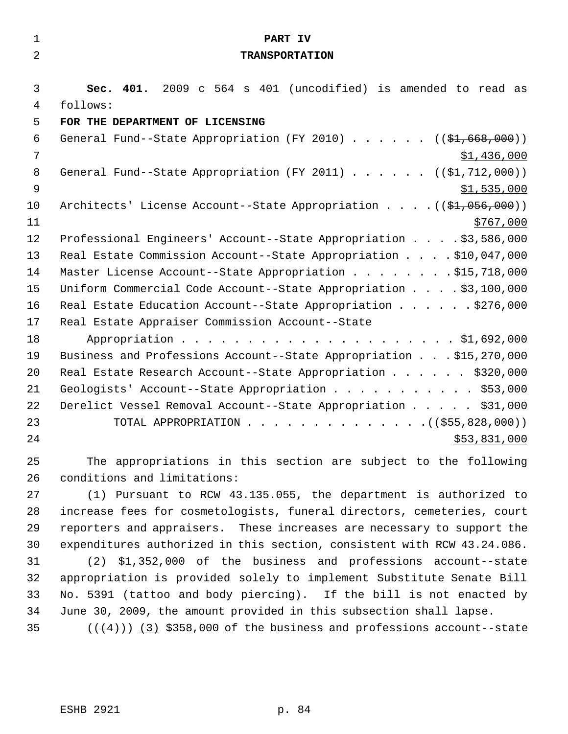| $\mathbf 1$    | PART IV                                                                           |
|----------------|-----------------------------------------------------------------------------------|
| $\overline{2}$ | <b>TRANSPORTATION</b>                                                             |
|                |                                                                                   |
| 3              | Sec. 401. 2009 c 564 s 401 (uncodified) is amended to read as                     |
| 4              | follows:                                                                          |
| 5              | FOR THE DEPARTMENT OF LICENSING                                                   |
| 6              | General Fund--State Appropriation (FY 2010) $($ $(\frac{21.668}{100})$            |
| $\overline{7}$ | \$1,436,000                                                                       |
| 8              | General Fund--State Appropriation (FY 2011) $($ $(\frac{1}{2}, 712, 000) )$       |
| $\overline{9}$ | \$1,535,000                                                                       |
| 10             | Architects' License Account--State Appropriation $($ $(\frac{1}{21}, 056, 000) )$ |
| 11             | \$767,000                                                                         |
| 12             | Professional Engineers' Account--State Appropriation \$3,586,000                  |
| 13             | Real Estate Commission Account--State Appropriation \$10,047,000                  |
| 14             | Master License Account--State Appropriation \$15,718,000                          |
| 15             | Uniform Commercial Code Account--State Appropriation \$3,100,000                  |
| 16             | Real Estate Education Account--State Appropriation \$276,000                      |
| 17             | Real Estate Appraiser Commission Account--State                                   |
| 18             |                                                                                   |
| 19             | Business and Professions Account--State Appropriation \$15,270,000                |
| 20             | Real Estate Research Account--State Appropriation \$320,000                       |
| 21             | Geologists' Account--State Appropriation \$53,000                                 |
| 22             | Derelict Vessel Removal Account--State Appropriation \$31,000                     |
| 23             | TOTAL APPROPRIATION ( $(\frac{255}{650}, \frac{828}{600})$ )                      |
| 24             | \$53,831,000                                                                      |
| 25             | The appropriations in this section are subject to the following                   |
| 26             | conditions and limitations:                                                       |
| 27             | (1) Pursuant to RCW 43.135.055, the department is authorized to                   |
| 28             | increase fees for cosmetologists, funeral directors, cemeteries, court            |
| 29             | reporters and appraisers. These increases are necessary to support the            |
| 30             | expenditures authorized in this section, consistent with RCW 43.24.086.           |
| 31             | \$1,352,000 of the business and professions account--state<br>(2)                 |
| 32             | appropriation is provided solely to implement Substitute Senate Bill              |
| 33             | No. 5391 (tattoo and body piercing). If the bill is not enacted by                |
| 34             | June 30, 2009, the amount provided in this subsection shall lapse.                |
| 35             | $((+4))$ (3) \$358,000 of the business and professions account--state             |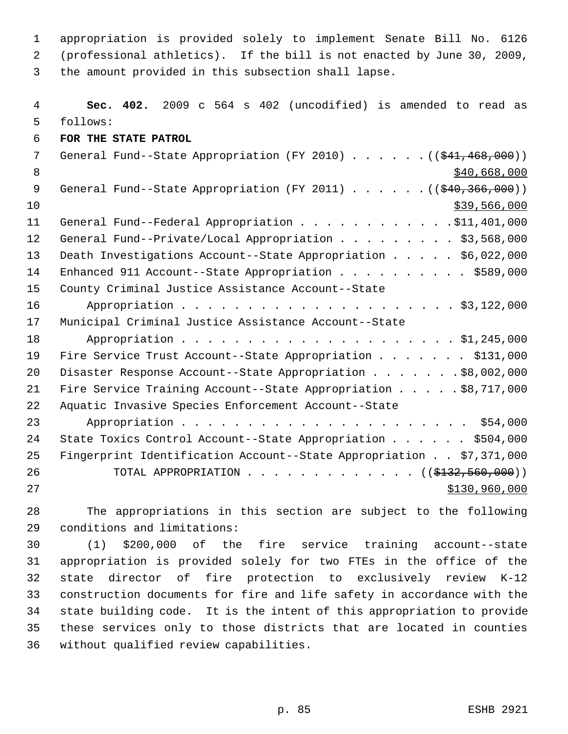appropriation is provided solely to implement Senate Bill No. 6126 (professional athletics). If the bill is not enacted by June 30, 2009, the amount provided in this subsection shall lapse.

 **Sec. 402.** 2009 c 564 s 402 (uncodified) is amended to read as follows: **FOR THE STATE PATROL** 7 General Fund--State Appropriation (FY 2010) . . . . . . ((\$41,468,000))  $8 \div 1000$ 9 General Fund--State Appropriation (FY 2011) . . . . . . ((\$40,366,000)) \$39,566,000 11 General Fund--Federal Appropriation . . . . . . . . . . . . \$11,401,000 12 General Fund--Private/Local Appropriation . . . . . . . . \$3,568,000 Death Investigations Account--State Appropriation . . . . . \$6,022,000 14 Enhanced 911 Account--State Appropriation . . . . . . . . . . \$589,000 County Criminal Justice Assistance Account--State Appropriation . . . . . . . . . . . . . . . . . . . . . \$3,122,000 Municipal Criminal Justice Assistance Account--State 18 Appropriation . . . . . . . . . . . . . . . . . . \$1,245,000 19 Fire Service Trust Account--State Appropriation . . . . . . \$131,000 20 Disaster Response Account--State Appropriation . . . . . . \$8,002,000 Fire Service Training Account--State Appropriation . . . . . \$8,717,000 Aquatic Invasive Species Enforcement Account--State Appropriation . . . . . . . . . . . . . . . . . . . . . . \$54,000 State Toxics Control Account--State Appropriation . . . . . . \$504,000 Fingerprint Identification Account--State Appropriation . . \$7,371,000 26 TOTAL APPROPRIATION . . . . . . . . . . . . ((\$<del>132,560,000</del>)) 27 \$130,960,000

 The appropriations in this section are subject to the following conditions and limitations:

 (1) \$200,000 of the fire service training account--state appropriation is provided solely for two FTEs in the office of the state director of fire protection to exclusively review K-12 construction documents for fire and life safety in accordance with the state building code. It is the intent of this appropriation to provide these services only to those districts that are located in counties without qualified review capabilities.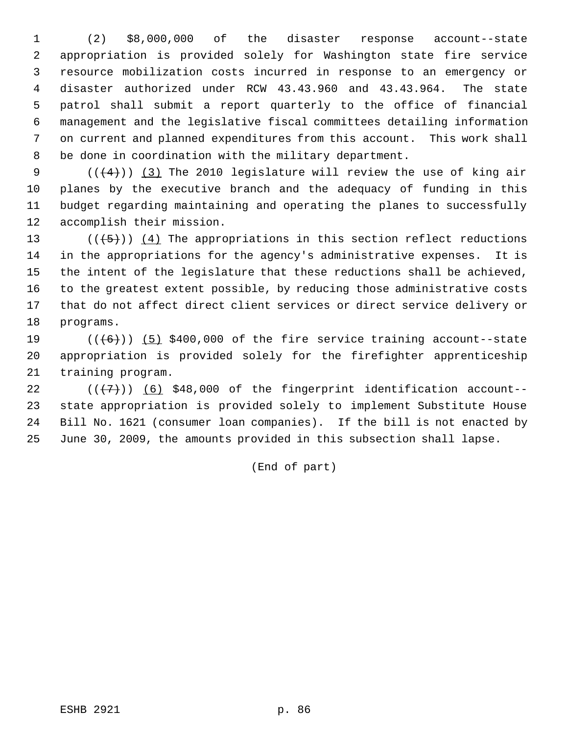(2) \$8,000,000 of the disaster response account--state appropriation is provided solely for Washington state fire service resource mobilization costs incurred in response to an emergency or disaster authorized under RCW 43.43.960 and 43.43.964. The state patrol shall submit a report quarterly to the office of financial management and the legislative fiscal committees detailing information on current and planned expenditures from this account. This work shall be done in coordination with the military department.

 $((+4))$   $(3)$  The 2010 legislature will review the use of king air planes by the executive branch and the adequacy of funding in this budget regarding maintaining and operating the planes to successfully accomplish their mission.

 $((+5))$   $(4)$  The appropriations in this section reflect reductions in the appropriations for the agency's administrative expenses. It is the intent of the legislature that these reductions shall be achieved, to the greatest extent possible, by reducing those administrative costs that do not affect direct client services or direct service delivery or programs.

19  $((+6))$   $(5)$  \$400,000 of the fire service training account--state appropriation is provided solely for the firefighter apprenticeship training program.

 $((+7))$   $(6)$  \$48,000 of the fingerprint identification account-- state appropriation is provided solely to implement Substitute House Bill No. 1621 (consumer loan companies). If the bill is not enacted by June 30, 2009, the amounts provided in this subsection shall lapse.

(End of part)

ESHB 2921 p. 86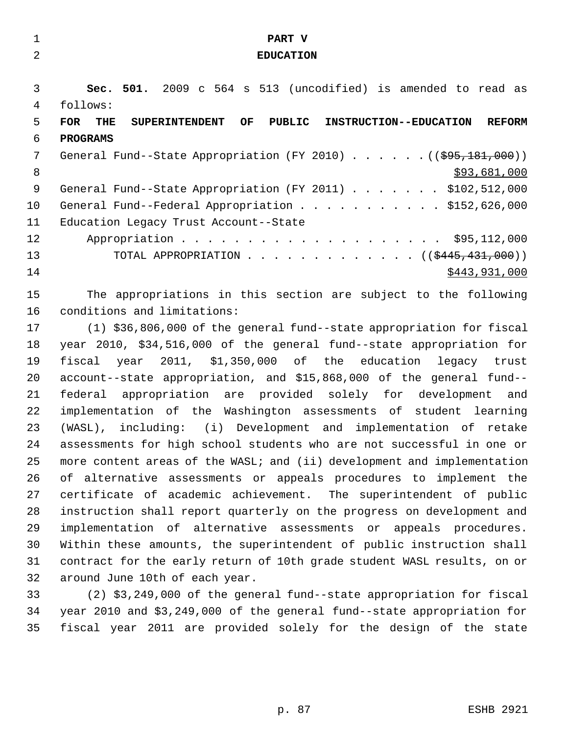| $\mathbf{1}$ | PART V                                                                                             |
|--------------|----------------------------------------------------------------------------------------------------|
| 2            | <b>EDUCATION</b>                                                                                   |
|              |                                                                                                    |
| 3            | Sec. 501. 2009 c 564 s 513 (uncodified) is amended to read as                                      |
| 4            | follows:                                                                                           |
| 5            | <b>FOR</b><br>OF<br>PUBLIC INSTRUCTION--EDUCATION<br><b>REFORM</b><br>THE<br><b>SUPERINTENDENT</b> |
| 6            | <b>PROGRAMS</b>                                                                                    |
| 7            | General Fund--State Appropriation (FY 2010) $($ $($ $\frac{695}{181},000)$ )                       |
| 8            | \$93,681,000                                                                                       |
| 9            | General Fund--State Appropriation (FY 2011) \$102,512,000                                          |
| 10           | General Fund--Federal Appropriation \$152,626,000                                                  |
| 11           | Education Legacy Trust Account--State                                                              |
| 12           |                                                                                                    |
| 13           | TOTAL APPROPRIATION ( $(\frac{2445}{131000})$ )                                                    |
| 14           | \$443,931,000                                                                                      |
| 15           | The appropriations in this section are subject to the following                                    |
| 16           | conditions and limitations:                                                                        |
| 17           | (1) \$36,806,000 of the general fund--state appropriation for fiscal                               |
| 18           | year 2010, \$34,516,000 of the general fund--state appropriation for                               |
| 19           | fiscal year 2011, \$1,350,000 of the education legacy trust                                        |
| 20           | account--state appropriation, and \$15,868,000 of the general fund--                               |
| 21           | federal appropriation are provided solely for development and                                      |
| 22           | implementation of the Washington assessments of student learning                                   |
| 23           | (WASL), including: (i) Development and implementation of retake                                    |
| 24           | assessments for high school students who are not successful in one or                              |
| 25           | more content areas of the WASL; and (ii) development and implementation                            |
| 26           | of alternative assessments or appeals procedures to implement the                                  |
| 27           | certificate of academic achievement. The superintendent of public                                  |
| 28           | instruction shall report quarterly on the progress on development and                              |
| 29           | implementation of alternative assessments or appeals procedures.                                   |
| 30           | Within these amounts, the superintendent of public instruction shall                               |
| 31           | contract for the early return of 10th grade student WASL results, on or                            |
| 32           | around June 10th of each year.                                                                     |
| 33           | (2) \$3,249,000 of the general fund--state appropriation for fiscal                                |
| 34           | year 2010 and \$3,249,000 of the general fund--state appropriation for                             |
| 35           | fiscal year 2011 are provided solely for the design of the state                                   |
|              |                                                                                                    |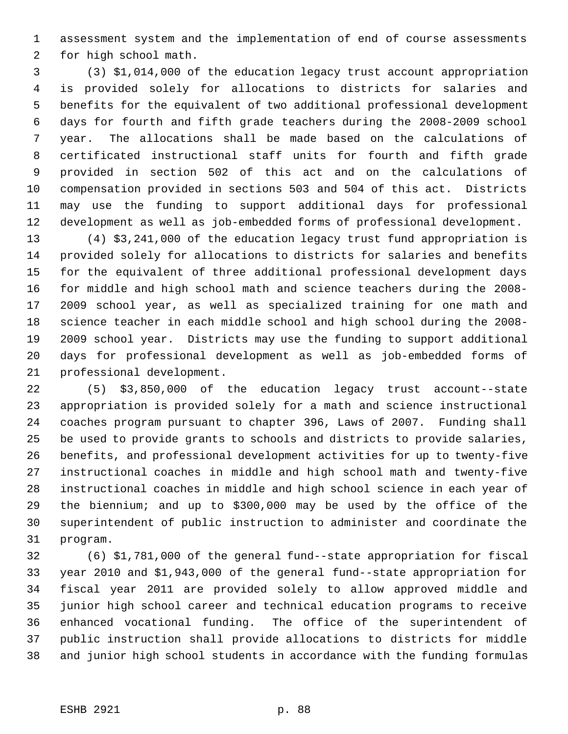assessment system and the implementation of end of course assessments for high school math.

 (3) \$1,014,000 of the education legacy trust account appropriation is provided solely for allocations to districts for salaries and benefits for the equivalent of two additional professional development days for fourth and fifth grade teachers during the 2008-2009 school year. The allocations shall be made based on the calculations of certificated instructional staff units for fourth and fifth grade provided in section 502 of this act and on the calculations of compensation provided in sections 503 and 504 of this act. Districts may use the funding to support additional days for professional development as well as job-embedded forms of professional development.

 (4) \$3,241,000 of the education legacy trust fund appropriation is provided solely for allocations to districts for salaries and benefits for the equivalent of three additional professional development days for middle and high school math and science teachers during the 2008- 2009 school year, as well as specialized training for one math and science teacher in each middle school and high school during the 2008- 2009 school year. Districts may use the funding to support additional days for professional development as well as job-embedded forms of professional development.

 (5) \$3,850,000 of the education legacy trust account--state appropriation is provided solely for a math and science instructional coaches program pursuant to chapter 396, Laws of 2007. Funding shall be used to provide grants to schools and districts to provide salaries, benefits, and professional development activities for up to twenty-five instructional coaches in middle and high school math and twenty-five instructional coaches in middle and high school science in each year of the biennium; and up to \$300,000 may be used by the office of the superintendent of public instruction to administer and coordinate the program.

 (6) \$1,781,000 of the general fund--state appropriation for fiscal year 2010 and \$1,943,000 of the general fund--state appropriation for fiscal year 2011 are provided solely to allow approved middle and junior high school career and technical education programs to receive enhanced vocational funding. The office of the superintendent of public instruction shall provide allocations to districts for middle and junior high school students in accordance with the funding formulas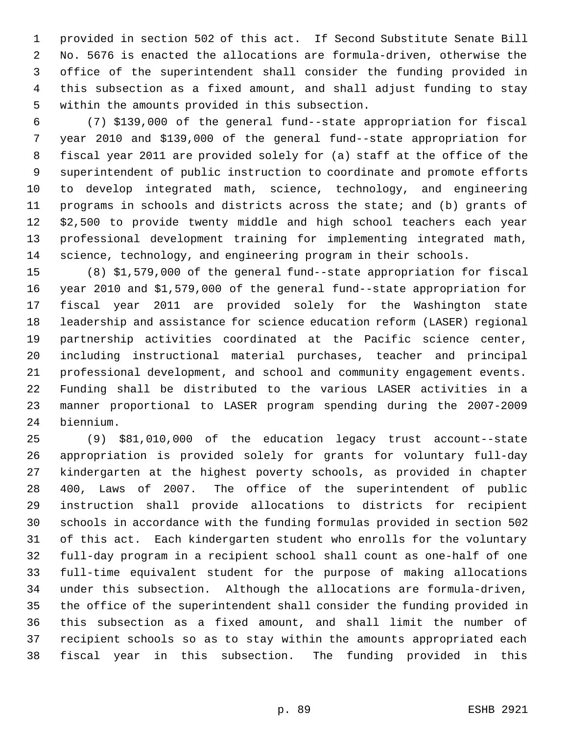provided in section 502 of this act. If Second Substitute Senate Bill No. 5676 is enacted the allocations are formula-driven, otherwise the office of the superintendent shall consider the funding provided in this subsection as a fixed amount, and shall adjust funding to stay within the amounts provided in this subsection.

 (7) \$139,000 of the general fund--state appropriation for fiscal year 2010 and \$139,000 of the general fund--state appropriation for fiscal year 2011 are provided solely for (a) staff at the office of the superintendent of public instruction to coordinate and promote efforts to develop integrated math, science, technology, and engineering programs in schools and districts across the state; and (b) grants of \$2,500 to provide twenty middle and high school teachers each year professional development training for implementing integrated math, science, technology, and engineering program in their schools.

 (8) \$1,579,000 of the general fund--state appropriation for fiscal year 2010 and \$1,579,000 of the general fund--state appropriation for fiscal year 2011 are provided solely for the Washington state leadership and assistance for science education reform (LASER) regional partnership activities coordinated at the Pacific science center, including instructional material purchases, teacher and principal professional development, and school and community engagement events. Funding shall be distributed to the various LASER activities in a manner proportional to LASER program spending during the 2007-2009 biennium.

 (9) \$81,010,000 of the education legacy trust account--state appropriation is provided solely for grants for voluntary full-day kindergarten at the highest poverty schools, as provided in chapter 400, Laws of 2007. The office of the superintendent of public instruction shall provide allocations to districts for recipient schools in accordance with the funding formulas provided in section 502 of this act. Each kindergarten student who enrolls for the voluntary full-day program in a recipient school shall count as one-half of one full-time equivalent student for the purpose of making allocations under this subsection. Although the allocations are formula-driven, the office of the superintendent shall consider the funding provided in this subsection as a fixed amount, and shall limit the number of recipient schools so as to stay within the amounts appropriated each fiscal year in this subsection. The funding provided in this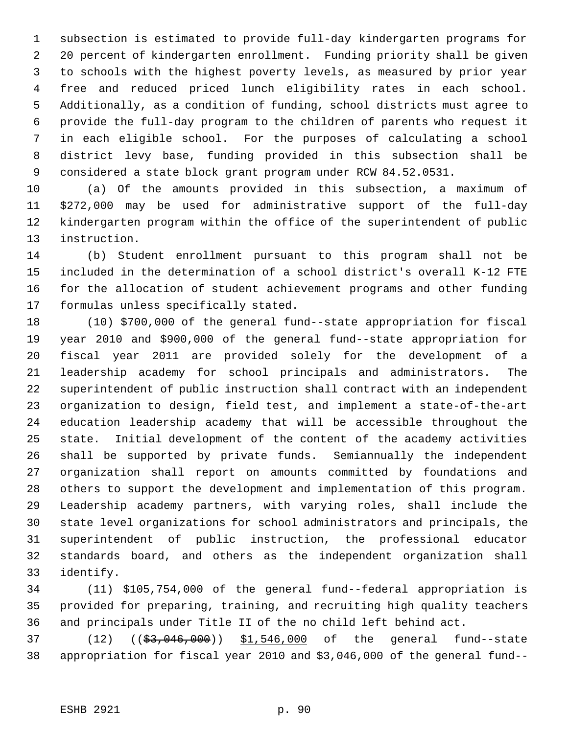subsection is estimated to provide full-day kindergarten programs for 20 percent of kindergarten enrollment. Funding priority shall be given to schools with the highest poverty levels, as measured by prior year free and reduced priced lunch eligibility rates in each school. Additionally, as a condition of funding, school districts must agree to provide the full-day program to the children of parents who request it in each eligible school. For the purposes of calculating a school district levy base, funding provided in this subsection shall be considered a state block grant program under RCW 84.52.0531.

 (a) Of the amounts provided in this subsection, a maximum of \$272,000 may be used for administrative support of the full-day kindergarten program within the office of the superintendent of public instruction.

 (b) Student enrollment pursuant to this program shall not be included in the determination of a school district's overall K-12 FTE for the allocation of student achievement programs and other funding formulas unless specifically stated.

 (10) \$700,000 of the general fund--state appropriation for fiscal year 2010 and \$900,000 of the general fund--state appropriation for fiscal year 2011 are provided solely for the development of a leadership academy for school principals and administrators. The superintendent of public instruction shall contract with an independent organization to design, field test, and implement a state-of-the-art education leadership academy that will be accessible throughout the state. Initial development of the content of the academy activities shall be supported by private funds. Semiannually the independent organization shall report on amounts committed by foundations and others to support the development and implementation of this program. Leadership academy partners, with varying roles, shall include the state level organizations for school administrators and principals, the superintendent of public instruction, the professional educator standards board, and others as the independent organization shall identify.

 (11) \$105,754,000 of the general fund--federal appropriation is provided for preparing, training, and recruiting high quality teachers and principals under Title II of the no child left behind act.

37 (12) ((\$3,046,000)) \$1,546,000 of the general fund--state appropriation for fiscal year 2010 and \$3,046,000 of the general fund--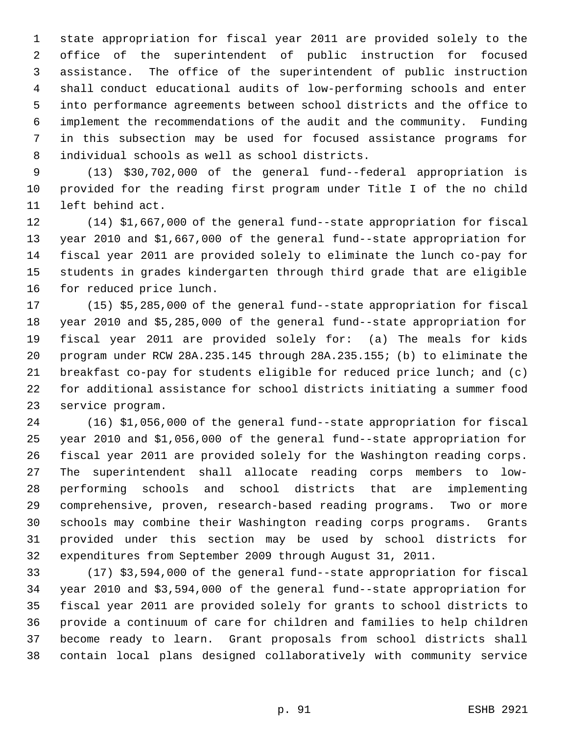state appropriation for fiscal year 2011 are provided solely to the office of the superintendent of public instruction for focused assistance. The office of the superintendent of public instruction shall conduct educational audits of low-performing schools and enter into performance agreements between school districts and the office to implement the recommendations of the audit and the community. Funding in this subsection may be used for focused assistance programs for individual schools as well as school districts.

 (13) \$30,702,000 of the general fund--federal appropriation is provided for the reading first program under Title I of the no child left behind act.

 (14) \$1,667,000 of the general fund--state appropriation for fiscal year 2010 and \$1,667,000 of the general fund--state appropriation for fiscal year 2011 are provided solely to eliminate the lunch co-pay for students in grades kindergarten through third grade that are eligible for reduced price lunch.

 (15) \$5,285,000 of the general fund--state appropriation for fiscal year 2010 and \$5,285,000 of the general fund--state appropriation for fiscal year 2011 are provided solely for: (a) The meals for kids program under RCW 28A.235.145 through 28A.235.155; (b) to eliminate the breakfast co-pay for students eligible for reduced price lunch; and (c) for additional assistance for school districts initiating a summer food service program.

 (16) \$1,056,000 of the general fund--state appropriation for fiscal year 2010 and \$1,056,000 of the general fund--state appropriation for fiscal year 2011 are provided solely for the Washington reading corps. The superintendent shall allocate reading corps members to low- performing schools and school districts that are implementing comprehensive, proven, research-based reading programs. Two or more schools may combine their Washington reading corps programs. Grants provided under this section may be used by school districts for expenditures from September 2009 through August 31, 2011.

 (17) \$3,594,000 of the general fund--state appropriation for fiscal year 2010 and \$3,594,000 of the general fund--state appropriation for fiscal year 2011 are provided solely for grants to school districts to provide a continuum of care for children and families to help children become ready to learn. Grant proposals from school districts shall contain local plans designed collaboratively with community service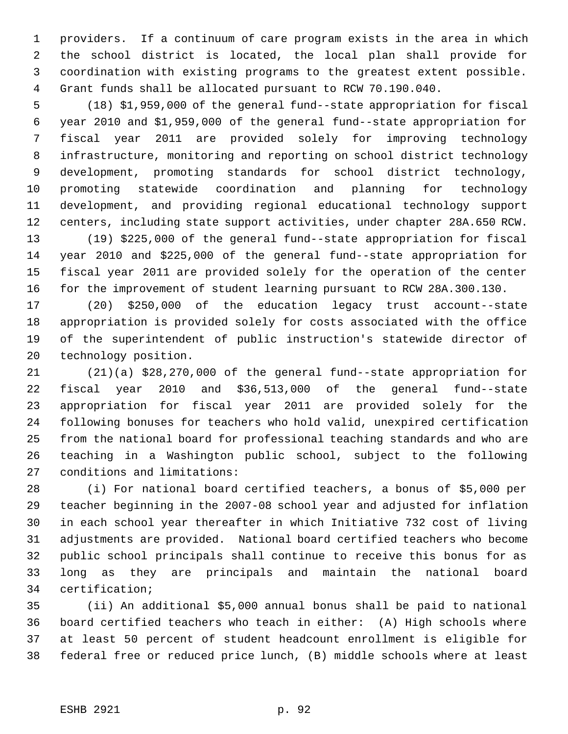providers. If a continuum of care program exists in the area in which the school district is located, the local plan shall provide for coordination with existing programs to the greatest extent possible. Grant funds shall be allocated pursuant to RCW 70.190.040.

 (18) \$1,959,000 of the general fund--state appropriation for fiscal year 2010 and \$1,959,000 of the general fund--state appropriation for fiscal year 2011 are provided solely for improving technology infrastructure, monitoring and reporting on school district technology development, promoting standards for school district technology, promoting statewide coordination and planning for technology development, and providing regional educational technology support centers, including state support activities, under chapter 28A.650 RCW.

 (19) \$225,000 of the general fund--state appropriation for fiscal year 2010 and \$225,000 of the general fund--state appropriation for fiscal year 2011 are provided solely for the operation of the center for the improvement of student learning pursuant to RCW 28A.300.130.

 (20) \$250,000 of the education legacy trust account--state appropriation is provided solely for costs associated with the office of the superintendent of public instruction's statewide director of technology position.

 (21)(a) \$28,270,000 of the general fund--state appropriation for fiscal year 2010 and \$36,513,000 of the general fund--state appropriation for fiscal year 2011 are provided solely for the following bonuses for teachers who hold valid, unexpired certification from the national board for professional teaching standards and who are teaching in a Washington public school, subject to the following conditions and limitations:

 (i) For national board certified teachers, a bonus of \$5,000 per teacher beginning in the 2007-08 school year and adjusted for inflation in each school year thereafter in which Initiative 732 cost of living adjustments are provided. National board certified teachers who become public school principals shall continue to receive this bonus for as long as they are principals and maintain the national board certification;

 (ii) An additional \$5,000 annual bonus shall be paid to national board certified teachers who teach in either: (A) High schools where at least 50 percent of student headcount enrollment is eligible for federal free or reduced price lunch, (B) middle schools where at least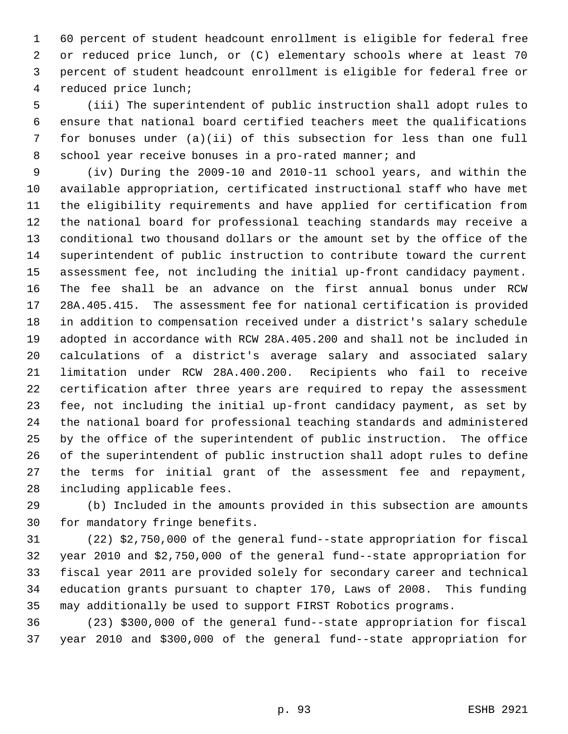60 percent of student headcount enrollment is eligible for federal free or reduced price lunch, or (C) elementary schools where at least 70 percent of student headcount enrollment is eligible for federal free or reduced price lunch;

 (iii) The superintendent of public instruction shall adopt rules to ensure that national board certified teachers meet the qualifications for bonuses under (a)(ii) of this subsection for less than one full 8 school year receive bonuses in a pro-rated manner; and

 (iv) During the 2009-10 and 2010-11 school years, and within the available appropriation, certificated instructional staff who have met the eligibility requirements and have applied for certification from the national board for professional teaching standards may receive a conditional two thousand dollars or the amount set by the office of the superintendent of public instruction to contribute toward the current assessment fee, not including the initial up-front candidacy payment. The fee shall be an advance on the first annual bonus under RCW 28A.405.415. The assessment fee for national certification is provided in addition to compensation received under a district's salary schedule adopted in accordance with RCW 28A.405.200 and shall not be included in calculations of a district's average salary and associated salary limitation under RCW 28A.400.200. Recipients who fail to receive certification after three years are required to repay the assessment fee, not including the initial up-front candidacy payment, as set by the national board for professional teaching standards and administered by the office of the superintendent of public instruction. The office of the superintendent of public instruction shall adopt rules to define the terms for initial grant of the assessment fee and repayment, including applicable fees.

 (b) Included in the amounts provided in this subsection are amounts for mandatory fringe benefits.

 (22) \$2,750,000 of the general fund--state appropriation for fiscal year 2010 and \$2,750,000 of the general fund--state appropriation for fiscal year 2011 are provided solely for secondary career and technical education grants pursuant to chapter 170, Laws of 2008. This funding may additionally be used to support FIRST Robotics programs.

 (23) \$300,000 of the general fund--state appropriation for fiscal year 2010 and \$300,000 of the general fund--state appropriation for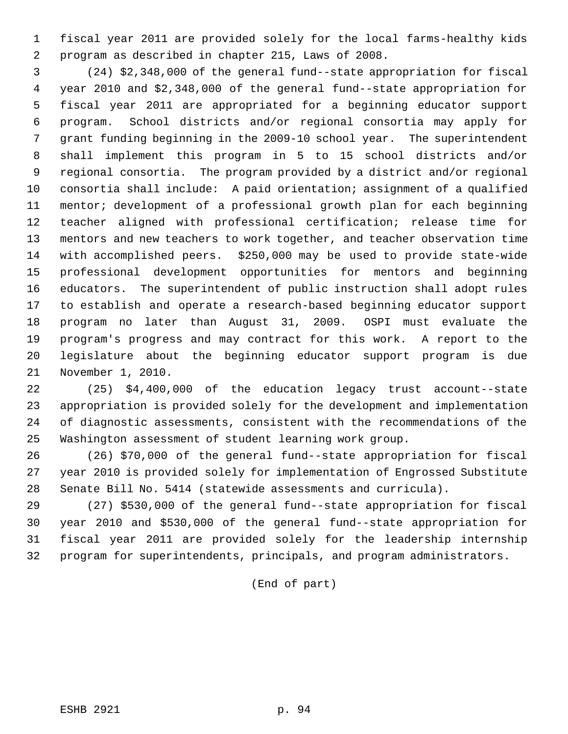fiscal year 2011 are provided solely for the local farms-healthy kids program as described in chapter 215, Laws of 2008.

 (24) \$2,348,000 of the general fund--state appropriation for fiscal year 2010 and \$2,348,000 of the general fund--state appropriation for fiscal year 2011 are appropriated for a beginning educator support program. School districts and/or regional consortia may apply for grant funding beginning in the 2009-10 school year. The superintendent shall implement this program in 5 to 15 school districts and/or regional consortia. The program provided by a district and/or regional consortia shall include: A paid orientation; assignment of a qualified mentor; development of a professional growth plan for each beginning teacher aligned with professional certification; release time for mentors and new teachers to work together, and teacher observation time with accomplished peers. \$250,000 may be used to provide state-wide professional development opportunities for mentors and beginning educators. The superintendent of public instruction shall adopt rules to establish and operate a research-based beginning educator support program no later than August 31, 2009. OSPI must evaluate the program's progress and may contract for this work. A report to the legislature about the beginning educator support program is due November 1, 2010.

 (25) \$4,400,000 of the education legacy trust account--state appropriation is provided solely for the development and implementation of diagnostic assessments, consistent with the recommendations of the Washington assessment of student learning work group.

 (26) \$70,000 of the general fund--state appropriation for fiscal year 2010 is provided solely for implementation of Engrossed Substitute Senate Bill No. 5414 (statewide assessments and curricula).

 (27) \$530,000 of the general fund--state appropriation for fiscal year 2010 and \$530,000 of the general fund--state appropriation for fiscal year 2011 are provided solely for the leadership internship program for superintendents, principals, and program administrators.

(End of part)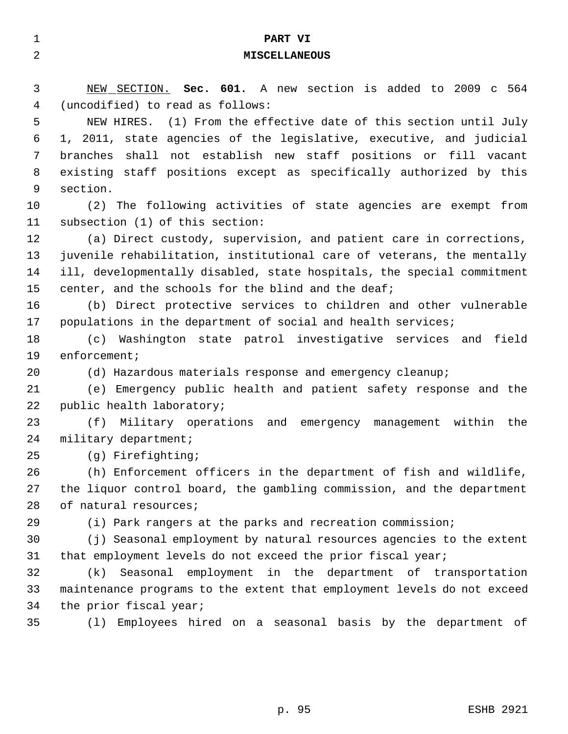| 1  | PART VI                                                                 |
|----|-------------------------------------------------------------------------|
| 2  | <b>MISCELLANEOUS</b>                                                    |
|    |                                                                         |
| 3  | NEW SECTION. Sec. 601. A new section is added to 2009 c 564             |
| 4  | (uncodified) to read as follows:                                        |
| 5  | NEW HIRES. (1) From the effective date of this section until July       |
| 6  | 1, 2011, state agencies of the legislative, executive, and judicial     |
| 7  | shall not establish new staff positions or fill vacant<br>branches      |
| 8  | existing staff positions except as specifically authorized by this      |
| 9  | section.                                                                |
| 10 | (2) The following activities of state agencies are exempt from          |
| 11 | subsection (1) of this section:                                         |
| 12 | (a) Direct custody, supervision, and patient care in corrections,       |
| 13 | juvenile rehabilitation, institutional care of veterans, the mentally   |
| 14 | ill, developmentally disabled, state hospitals, the special commitment  |
| 15 | center, and the schools for the blind and the deaf;                     |
| 16 | (b) Direct protective services to children and other vulnerable         |
| 17 | populations in the department of social and health services;            |
| 18 | Washington state patrol investigative services and field<br>(C)         |
| 19 | $enfore$ ment;                                                          |
| 20 | (d) Hazardous materials response and emergency cleanup;                 |
| 21 | (e) Emergency public health and patient safety response and the         |
| 22 | public health laboratory;                                               |
| 23 | (f)<br>Military operations and emergency management<br>within<br>the    |
| 24 | military department;                                                    |
| 25 | (g) Firefighting;                                                       |
| 26 | (h) Enforcement officers in the department of fish and wildlife,        |
| 27 | the liquor control board, the gambling commission, and the department   |
| 28 | of natural resources;                                                   |
| 29 | (i) Park rangers at the parks and recreation commission;                |
| 30 | (j) Seasonal employment by natural resources agencies to the extent     |
| 31 | that employment levels do not exceed the prior fiscal year;             |
| 32 | Seasonal employment in the department of transportation<br>(k)          |
| 33 | maintenance programs to the extent that employment levels do not exceed |
| 34 | the prior fiscal year;                                                  |
| 35 | Employees hired on a seasonal basis by the department of<br>(1)         |
|    |                                                                         |
|    |                                                                         |
|    |                                                                         |
|    | p. 95<br><b>ESHB 2921</b>                                               |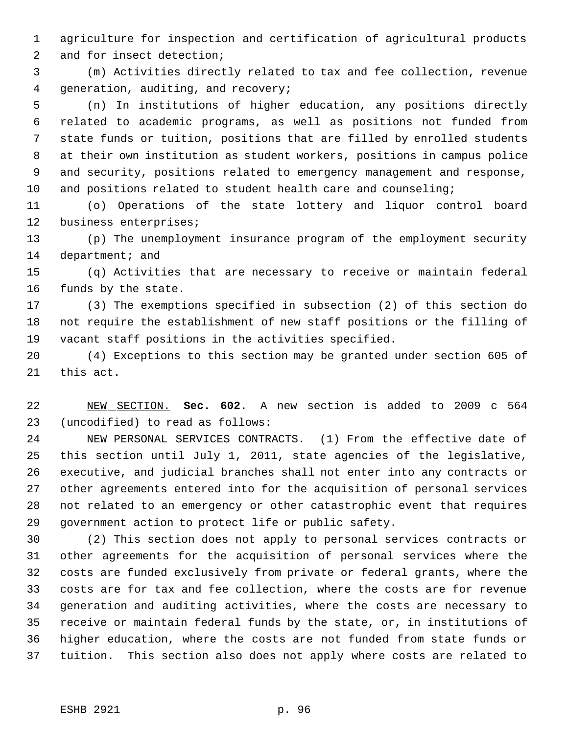agriculture for inspection and certification of agricultural products

and for insect detection;

 (m) Activities directly related to tax and fee collection, revenue generation, auditing, and recovery;

 (n) In institutions of higher education, any positions directly related to academic programs, as well as positions not funded from state funds or tuition, positions that are filled by enrolled students at their own institution as student workers, positions in campus police and security, positions related to emergency management and response, and positions related to student health care and counseling;

 (o) Operations of the state lottery and liquor control board business enterprises;

 (p) The unemployment insurance program of the employment security 14 department; and

 (q) Activities that are necessary to receive or maintain federal funds by the state.

 (3) The exemptions specified in subsection (2) of this section do not require the establishment of new staff positions or the filling of vacant staff positions in the activities specified.

 (4) Exceptions to this section may be granted under section 605 of this act.

 NEW SECTION. **Sec. 602.** A new section is added to 2009 c 564 (uncodified) to read as follows:

 NEW PERSONAL SERVICES CONTRACTS. (1) From the effective date of this section until July 1, 2011, state agencies of the legislative, executive, and judicial branches shall not enter into any contracts or other agreements entered into for the acquisition of personal services not related to an emergency or other catastrophic event that requires government action to protect life or public safety.

 (2) This section does not apply to personal services contracts or other agreements for the acquisition of personal services where the costs are funded exclusively from private or federal grants, where the costs are for tax and fee collection, where the costs are for revenue generation and auditing activities, where the costs are necessary to receive or maintain federal funds by the state, or, in institutions of higher education, where the costs are not funded from state funds or tuition. This section also does not apply where costs are related to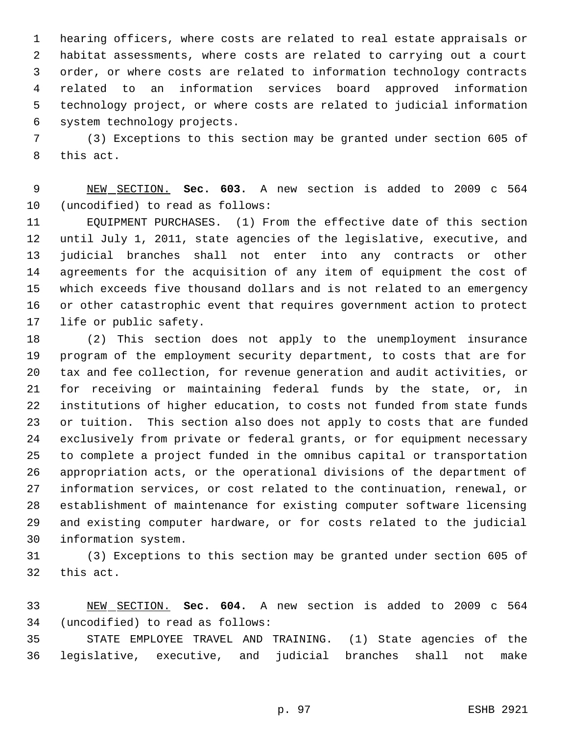hearing officers, where costs are related to real estate appraisals or habitat assessments, where costs are related to carrying out a court order, or where costs are related to information technology contracts related to an information services board approved information technology project, or where costs are related to judicial information system technology projects.

 (3) Exceptions to this section may be granted under section 605 of this act.

 NEW SECTION. **Sec. 603.** A new section is added to 2009 c 564 (uncodified) to read as follows:

 EQUIPMENT PURCHASES. (1) From the effective date of this section until July 1, 2011, state agencies of the legislative, executive, and judicial branches shall not enter into any contracts or other agreements for the acquisition of any item of equipment the cost of which exceeds five thousand dollars and is not related to an emergency or other catastrophic event that requires government action to protect life or public safety.

 (2) This section does not apply to the unemployment insurance program of the employment security department, to costs that are for tax and fee collection, for revenue generation and audit activities, or for receiving or maintaining federal funds by the state, or, in institutions of higher education, to costs not funded from state funds or tuition. This section also does not apply to costs that are funded exclusively from private or federal grants, or for equipment necessary to complete a project funded in the omnibus capital or transportation appropriation acts, or the operational divisions of the department of information services, or cost related to the continuation, renewal, or establishment of maintenance for existing computer software licensing and existing computer hardware, or for costs related to the judicial information system.

 (3) Exceptions to this section may be granted under section 605 of this act.

 NEW SECTION. **Sec. 604.** A new section is added to 2009 c 564 (uncodified) to read as follows:

 STATE EMPLOYEE TRAVEL AND TRAINING. (1) State agencies of the legislative, executive, and judicial branches shall not make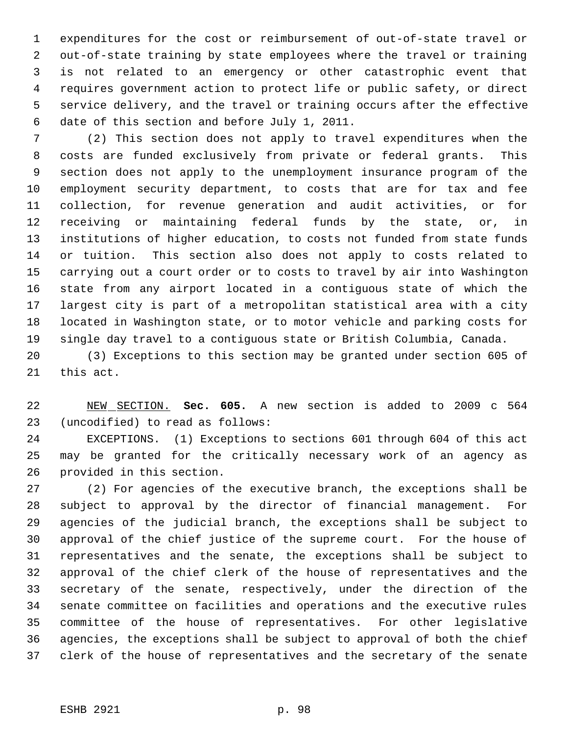expenditures for the cost or reimbursement of out-of-state travel or out-of-state training by state employees where the travel or training is not related to an emergency or other catastrophic event that requires government action to protect life or public safety, or direct service delivery, and the travel or training occurs after the effective date of this section and before July 1, 2011.

 (2) This section does not apply to travel expenditures when the costs are funded exclusively from private or federal grants. This section does not apply to the unemployment insurance program of the employment security department, to costs that are for tax and fee collection, for revenue generation and audit activities, or for receiving or maintaining federal funds by the state, or, in institutions of higher education, to costs not funded from state funds or tuition. This section also does not apply to costs related to carrying out a court order or to costs to travel by air into Washington state from any airport located in a contiguous state of which the largest city is part of a metropolitan statistical area with a city located in Washington state, or to motor vehicle and parking costs for single day travel to a contiguous state or British Columbia, Canada.

 (3) Exceptions to this section may be granted under section 605 of this act.

 NEW SECTION. **Sec. 605.** A new section is added to 2009 c 564 (uncodified) to read as follows:

 EXCEPTIONS. (1) Exceptions to sections 601 through 604 of this act may be granted for the critically necessary work of an agency as provided in this section.

 (2) For agencies of the executive branch, the exceptions shall be subject to approval by the director of financial management. For agencies of the judicial branch, the exceptions shall be subject to approval of the chief justice of the supreme court. For the house of representatives and the senate, the exceptions shall be subject to approval of the chief clerk of the house of representatives and the secretary of the senate, respectively, under the direction of the senate committee on facilities and operations and the executive rules committee of the house of representatives. For other legislative agencies, the exceptions shall be subject to approval of both the chief clerk of the house of representatives and the secretary of the senate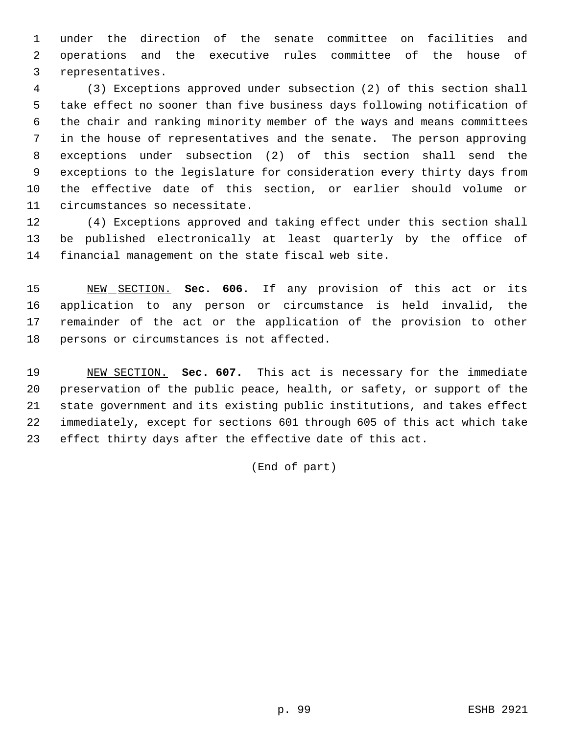under the direction of the senate committee on facilities and operations and the executive rules committee of the house of representatives.

 (3) Exceptions approved under subsection (2) of this section shall take effect no sooner than five business days following notification of the chair and ranking minority member of the ways and means committees in the house of representatives and the senate. The person approving exceptions under subsection (2) of this section shall send the exceptions to the legislature for consideration every thirty days from the effective date of this section, or earlier should volume or circumstances so necessitate.

 (4) Exceptions approved and taking effect under this section shall be published electronically at least quarterly by the office of financial management on the state fiscal web site.

 NEW SECTION. **Sec. 606.** If any provision of this act or its application to any person or circumstance is held invalid, the remainder of the act or the application of the provision to other persons or circumstances is not affected.

 NEW SECTION. **Sec. 607.** This act is necessary for the immediate preservation of the public peace, health, or safety, or support of the state government and its existing public institutions, and takes effect immediately, except for sections 601 through 605 of this act which take effect thirty days after the effective date of this act.

(End of part)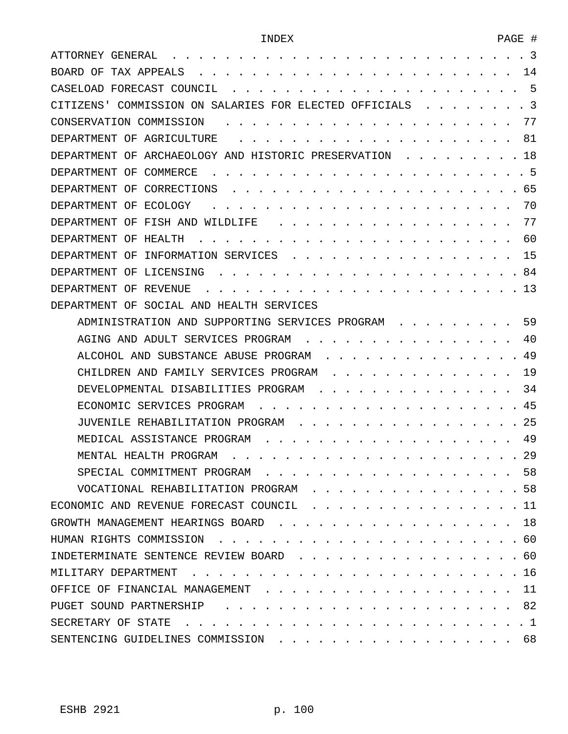| -3<br>ATTORNEY GENERAL                                          |
|-----------------------------------------------------------------|
| 14<br>TAX APPEALS<br>BOARD OF                                   |
| -5<br>CASELOAD FORECAST COUNCIL                                 |
| -3<br>COMMISSION ON SALARIES FOR ELECTED OFFICIALS<br>CITIZENS' |
| 77<br>CONSERVATION COMMISSION                                   |
| DEPARTMENT OF AGRICULTURE<br>81                                 |
| 18<br>ARCHAEOLOGY AND HISTORIC PRESERVATION<br>DEPARTMENT OF    |
| - 5<br>COMMERCE<br>DEPARTMENT<br>OF                             |
| 65<br>CORRECTIONS<br>DEPARTMENT OF                              |
| 70<br>ECOLOGY<br>DEPARTMENT OF                                  |
| 77<br>FISH AND WILDLIFE<br>DEPARTMENT OF                        |
| 60<br>HEALTH<br>DEPARTMENT<br>OF                                |
| 15<br>INFORMATION SERVICES<br>DEPARTMENT OF                     |
| 84<br>DEPARTMENT<br>OF<br>LICENSING                             |
| 13<br>DEPARTMENT OF<br>REVENUE                                  |
| SOCIAL AND HEALTH SERVICES<br>DEPARTMENT OF                     |
| 59<br>ADMINISTRATION AND SUPPORTING SERVICES PROGRAM            |
| 40<br>AGING AND ADULT SERVICES PROGRAM                          |
| 49<br>ALCOHOL AND SUBSTANCE ABUSE PROGRAM                       |
| 19<br>CHILDREN AND FAMILY SERVICES PROGRAM                      |
| 34<br>DEVELOPMENTAL DISABILITIES PROGRAM                        |
| 45<br>ECONOMIC SERVICES PROGRAM                                 |
| 25<br>JUVENILE REHABILITATION PROGRAM                           |
| 49<br>MEDICAL ASSISTANCE PROGRAM                                |
| 29<br>MENTAL HEALTH PROGRAM                                     |
| 58                                                              |
| . 58<br>VOCATIONAL REHABILITATION PROGRAM                       |
| ECONOMIC AND REVENUE FORECAST COUNCIL 11                        |
| GROWTH MANAGEMENT HEARINGS BOARD 18                             |
|                                                                 |
| INDETERMINATE SENTENCE REVIEW BOARD 60                          |
|                                                                 |
| OFFICE OF FINANCIAL MANAGEMENT 11                               |
|                                                                 |
| SECRETARY OF STATE                                              |
| SENTENCING GUIDELINES COMMISSION 68                             |